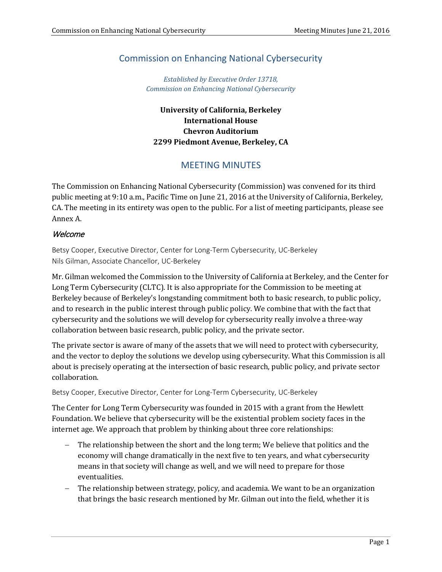# Commission on Enhancing National Cybersecurity

*Established by Executive Order 13718, Commission on Enhancing National Cybersecurity*

# **University of California, Berkeley International House Chevron Auditorium 2299 Piedmont Avenue, Berkeley, CA**

# MEETING MINUTES

The Commission on Enhancing National Cybersecurity (Commission) was convened for its third public meeting at 9:10 a.m., Pacific Time on June 21, 2016 at the University of California, Berkeley, CA. The meeting in its entirety was open to the public. For a list of meeting participants, please see Annex A.

## **Welcome**

Betsy Cooper, Executive Director, Center for Long-Term Cybersecurity, UC-Berkeley Nils Gilman, Associate Chancellor, UC-Berkeley

Mr. Gilman welcomed the Commission to the University of California at Berkeley, and the Center for Long Term Cybersecurity (CLTC). It is also appropriate for the Commission to be meeting at Berkeley because of Berkeley's longstanding commitment both to basic research, to public policy, and to research in the public interest through public policy. We combine that with the fact that cybersecurity and the solutions we will develop for cybersecurity really involve a three-way collaboration between basic research, public policy, and the private sector.

The private sector is aware of many of the assets that we will need to protect with cybersecurity, and the vector to deploy the solutions we develop using cybersecurity. What this Commission is all about is precisely operating at the intersection of basic research, public policy, and private sector collaboration.

Betsy Cooper, Executive Director, Center for Long-Term Cybersecurity, UC-Berkeley

The Center for Long Term Cybersecurity was founded in 2015 with a grant from the Hewlett Foundation. We believe that cybersecurity will be the existential problem society faces in the internet age. We approach that problem by thinking about three core relationships:

- − The relationship between the short and the long term; We believe that politics and the economy will change dramatically in the next five to ten years, and what cybersecurity means in that society will change as well, and we will need to prepare for those eventualities.
- − The relationship between strategy, policy, and academia. We want to be an organization that brings the basic research mentioned by Mr. Gilman out into the field, whether it is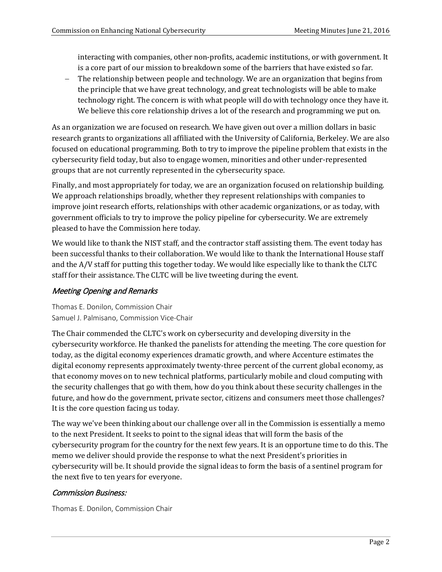interacting with companies, other non-profits, academic institutions, or with government. It is a core part of our mission to breakdown some of the barriers that have existed so far.

− The relationship between people and technology. We are an organization that begins from the principle that we have great technology, and great technologists will be able to make technology right. The concern is with what people will do with technology once they have it. We believe this core relationship drives a lot of the research and programming we put on.

As an organization we are focused on research. We have given out over a million dollars in basic research grants to organizations all affiliated with the University of California, Berkeley. We are also focused on educational programming. Both to try to improve the pipeline problem that exists in the cybersecurity field today, but also to engage women, minorities and other under-represented groups that are not currently represented in the cybersecurity space.

Finally, and most appropriately for today, we are an organization focused on relationship building. We approach relationships broadly, whether they represent relationships with companies to improve joint research efforts, relationships with other academic organizations, or as today, with government officials to try to improve the policy pipeline for cybersecurity. We are extremely pleased to have the Commission here today.

We would like to thank the NIST staff, and the contractor staff assisting them. The event today has been successful thanks to their collaboration. We would like to thank the International House staff and the A/V staff for putting this together today. We would like especially like to thank the CLTC staff for their assistance. The CLTC will be live tweeting during the event.

# Meeting Opening and Remarks

Thomas E. Donilon, Commission Chair Samuel J. Palmisano, Commission Vice-Chair

The Chair commended the CLTC's work on cybersecurity and developing diversity in the cybersecurity workforce. He thanked the panelists for attending the meeting. The core question for today, as the digital economy experiences dramatic growth, and where Accenture estimates the digital economy represents approximately twenty-three percent of the current global economy, as that economy moves on to new technical platforms, particularly mobile and cloud computing with the security challenges that go with them, how do you think about these security challenges in the future, and how do the government, private sector, citizens and consumers meet those challenges? It is the core question facing us today.

The way we've been thinking about our challenge over all in the Commission is essentially a memo to the next President. It seeks to point to the signal ideas that will form the basis of the cybersecurity program for the country for the next few years. It is an opportune time to do this. The memo we deliver should provide the response to what the next President's priorities in cybersecurity will be. It should provide the signal ideas to form the basis of a sentinel program for the next five to ten years for everyone.

# Commission Business:

Thomas E. Donilon, Commission Chair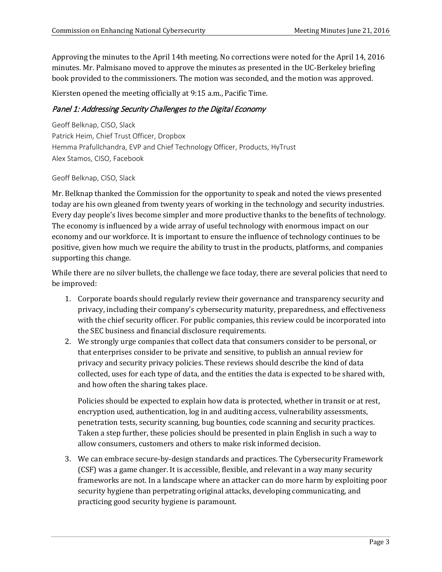Approving the minutes to the April 14th meeting. No corrections were noted for the April 14, 2016 minutes. Mr. Palmisano moved to approve the minutes as presented in the UC-Berkeley briefing book provided to the commissioners. The motion was seconded, and the motion was approved.

Kiersten opened the meeting officially at 9:15 a.m., Pacific Time.

## Panel 1: Addressing Security Challenges to the Digital Economy

Geoff Belknap, CISO, Slack Patrick Heim, Chief Trust Officer, Dropbox Hemma Prafullchandra, EVP and Chief Technology Officer, Products, HyTrust Alex Stamos, CISO, Facebook

Geoff Belknap, CISO, Slack

Mr. Belknap thanked the Commission for the opportunity to speak and noted the views presented today are his own gleaned from twenty years of working in the technology and security industries. Every day people's lives become simpler and more productive thanks to the benefits of technology. The economy is influenced by a wide array of useful technology with enormous impact on our economy and our workforce. It is important to ensure the influence of technology continues to be positive, given how much we require the ability to trust in the products, platforms, and companies supporting this change.

While there are no silver bullets, the challenge we face today, there are several policies that need to be improved:

- 1. Corporate boards should regularly review their governance and transparency security and privacy, including their company's cybersecurity maturity, preparedness, and effectiveness with the chief security officer. For public companies, this review could be incorporated into the SEC business and financial disclosure requirements.
- 2. We strongly urge companies that collect data that consumers consider to be personal, or that enterprises consider to be private and sensitive, to publish an annual review for privacy and security privacy policies. These reviews should describe the kind of data collected, uses for each type of data, and the entities the data is expected to be shared with, and how often the sharing takes place.

Policies should be expected to explain how data is protected, whether in transit or at rest, encryption used, authentication, log in and auditing access, vulnerability assessments, penetration tests, security scanning, bug bounties, code scanning and security practices. Taken a step further, these policies should be presented in plain English in such a way to allow consumers, customers and others to make risk informed decision.

3. We can embrace secure-by-design standards and practices. The Cybersecurity Framework (CSF) was a game changer. It is accessible, flexible, and relevant in a way many security frameworks are not. In a landscape where an attacker can do more harm by exploiting poor security hygiene than perpetrating original attacks, developing communicating, and practicing good security hygiene is paramount.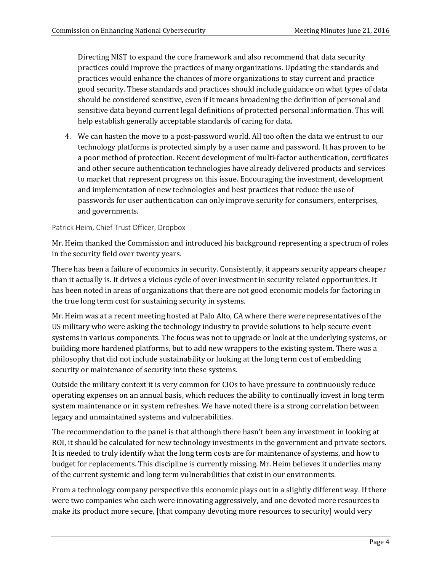Directing NIST to expand the core framework and also recommend that data security practices could improve the practices of many organizations. Updating the standards and practices would enhance the chances of more organizations to stay current and practice good security. These standards and practices should include guidance on what types of data should be considered sensitive, even if it means broadening the definition of personal and sensitive data beyond current legal definitions of protected personal information. This will help establish generally acceptable standards of caring for data.

4. We can hasten the move to a post-password world. All too often the data we entrust to our technology platforms is protected simply by a user name and password. It has proven to be a poor method of protection. Recent development of multi-factor authentication, certificates and other secure authentication technologies have already delivered products and services to market that represent progress on this issue. Encouraging the investment, development and implementation of new technologies and best practices that reduce the use of passwords for user authentication can only improve security for consumers, enterprises, and governments.

#### Patrick Heim, Chief Trust Officer, Dropbox

Mr. Heim thanked the Commission and introduced his background representing a spectrum of roles in the security field over twenty years.

There has been a failure of economics in security. Consistently, it appears security appears cheaper than it actually is. It drives a vicious cycle of over investment in security related opportunities. It has been noted in areas of organizations that there are not good economic models for factoring in the true long term cost for sustaining security in systems.

Mr. Heim was at a recent meeting hosted at Palo Alto, CA where there were representatives of the US military who were asking the technology industry to provide solutions to help secure event systems in various components. The focus was not to upgrade or look at the underlying systems, or building more hardened platforms, but to add new wrappers to the existing system. There was a philosophy that did not include sustainability or looking at the long term cost of embedding security or maintenance of security into these systems.

Outside the military context it is very common for CIOs to have pressure to continuously reduce operating expenses on an annual basis, which reduces the ability to continually invest in long term system maintenance or in system refreshes. We have noted there is a strong correlation between legacy and unmaintained systems and vulnerabilities.

The recommendation to the panel is that although there hasn't been any investment in looking at ROI, it should be calculated for new technology investments in the government and private sectors. It is needed to truly identify what the long term costs are for maintenance of systems, and how to budget for replacements. This discipline is currently missing. Mr. Heim believes it underlies many of the current systemic and long term vulnerabilities that exist in our environments.

From a technology company perspective this economic plays out in a slightly different way. If there were two companies who each were innovating aggressively, and one devoted more resources to make its product more secure, [that company devoting more resources to security] would very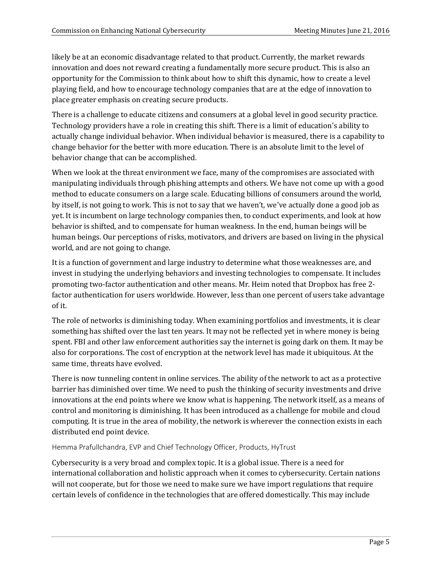likely be at an economic disadvantage related to that product. Currently, the market rewards innovation and does not reward creating a fundamentally more secure product. This is also an opportunity for the Commission to think about how to shift this dynamic, how to create a level playing field, and how to encourage technology companies that are at the edge of innovation to place greater emphasis on creating secure products.

There is a challenge to educate citizens and consumers at a global level in good security practice. Technology providers have a role in creating this shift. There is a limit of education's ability to actually change individual behavior. When individual behavior is measured, there is a capability to change behavior for the better with more education. There is an absolute limit to the level of behavior change that can be accomplished.

When we look at the threat environment we face, many of the compromises are associated with manipulating individuals through phishing attempts and others. We have not come up with a good method to educate consumers on a large scale. Educating billions of consumers around the world, by itself, is not going to work. This is not to say that we haven't, we've actually done a good job as yet. It is incumbent on large technology companies then, to conduct experiments, and look at how behavior is shifted, and to compensate for human weakness. In the end, human beings will be human beings. Our perceptions of risks, motivators, and drivers are based on living in the physical world, and are not going to change.

It is a function of government and large industry to determine what those weaknesses are, and invest in studying the underlying behaviors and investing technologies to compensate. It includes promoting two-factor authentication and other means. Mr. Heim noted that Dropbox has free 2 factor authentication for users worldwide. However, less than one percent of users take advantage of it.

The role of networks is diminishing today. When examining portfolios and investments, it is clear something has shifted over the last ten years. It may not be reflected yet in where money is being spent. FBI and other law enforcement authorities say the internet is going dark on them. It may be also for corporations. The cost of encryption at the network level has made it ubiquitous. At the same time, threats have evolved.

There is now tunneling content in online services. The ability of the network to act as a protective barrier has diminished over time. We need to push the thinking of security investments and drive innovations at the end points where we know what is happening. The network itself, as a means of control and monitoring is diminishing. It has been introduced as a challenge for mobile and cloud computing. It is true in the area of mobility, the network is wherever the connection exists in each distributed end point device.

Hemma Prafullchandra, EVP and Chief Technology Officer, Products, HyTrust

Cybersecurity is a very broad and complex topic. It is a global issue. There is a need for international collaboration and holistic approach when it comes to cybersecurity. Certain nations will not cooperate, but for those we need to make sure we have import regulations that require certain levels of confidence in the technologies that are offered domestically. This may include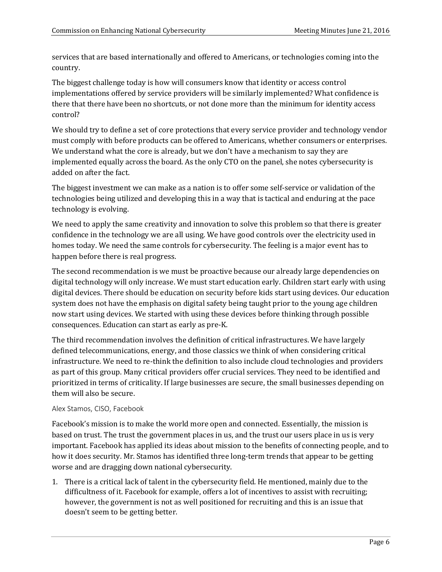services that are based internationally and offered to Americans, or technologies coming into the country.

The biggest challenge today is how will consumers know that identity or access control implementations offered by service providers will be similarly implemented? What confidence is there that there have been no shortcuts, or not done more than the minimum for identity access control?

We should try to define a set of core protections that every service provider and technology vendor must comply with before products can be offered to Americans, whether consumers or enterprises. We understand what the core is already, but we don't have a mechanism to say they are implemented equally across the board. As the only CTO on the panel, she notes cybersecurity is added on after the fact.

The biggest investment we can make as a nation is to offer some self-service or validation of the technologies being utilized and developing this in a way that is tactical and enduring at the pace technology is evolving.

We need to apply the same creativity and innovation to solve this problem so that there is greater confidence in the technology we are all using. We have good controls over the electricity used in homes today. We need the same controls for cybersecurity. The feeling is a major event has to happen before there is real progress.

The second recommendation is we must be proactive because our already large dependencies on digital technology will only increase. We must start education early. Children start early with using digital devices. There should be education on security before kids start using devices. Our education system does not have the emphasis on digital safety being taught prior to the young age children now start using devices. We started with using these devices before thinking through possible consequences. Education can start as early as pre-K.

The third recommendation involves the definition of critical infrastructures. We have largely defined telecommunications, energy, and those classics we think of when considering critical infrastructure. We need to re-think the definition to also include cloud technologies and providers as part of this group. Many critical providers offer crucial services. They need to be identified and prioritized in terms of criticality. If large businesses are secure, the small businesses depending on them will also be secure.

## Alex Stamos, CISO, Facebook

Facebook's mission is to make the world more open and connected. Essentially, the mission is based on trust. The trust the government places in us, and the trust our users place in us is very important. Facebook has applied its ideas about mission to the benefits of connecting people, and to how it does security. Mr. Stamos has identified three long-term trends that appear to be getting worse and are dragging down national cybersecurity.

1. There is a critical lack of talent in the cybersecurity field. He mentioned, mainly due to the difficultness of it. Facebook for example, offers a lot of incentives to assist with recruiting; however, the government is not as well positioned for recruiting and this is an issue that doesn't seem to be getting better.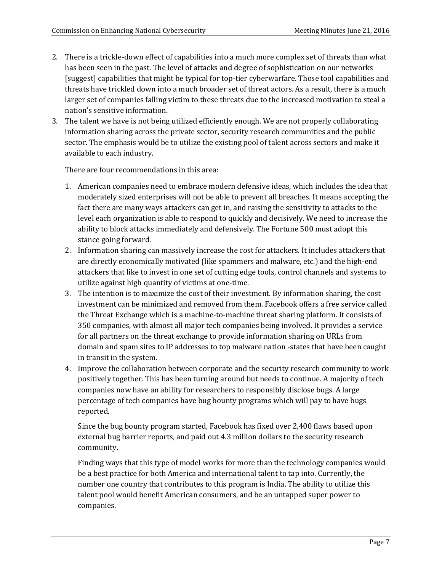- 2. There is a trickle-down effect of capabilities into a much more complex set of threats than what has been seen in the past. The level of attacks and degree of sophistication on our networks [suggest] capabilities that might be typical for top-tier cyberwarfare. Those tool capabilities and threats have trickled down into a much broader set of threat actors. As a result, there is a much larger set of companies falling victim to these threats due to the increased motivation to steal a nation's sensitive information.
- 3. The talent we have is not being utilized efficiently enough. We are not properly collaborating information sharing across the private sector, security research communities and the public sector. The emphasis would be to utilize the existing pool of talent across sectors and make it available to each industry.

There are four recommendations in this area:

- 1. American companies need to embrace modern defensive ideas, which includes the idea that moderately sized enterprises will not be able to prevent all breaches. It means accepting the fact there are many ways attackers can get in, and raising the sensitivity to attacks to the level each organization is able to respond to quickly and decisively. We need to increase the ability to block attacks immediately and defensively. The Fortune 500 must adopt this stance going forward.
- 2. Information sharing can massively increase the cost for attackers. It includes attackers that are directly economically motivated (like spammers and malware, etc.) and the high-end attackers that like to invest in one set of cutting edge tools, control channels and systems to utilize against high quantity of victims at one-time.
- 3. The intention is to maximize the cost of their investment. By information sharing, the cost investment can be minimized and removed from them. Facebook offers a free service called the Threat Exchange which is a machine-to-machine threat sharing platform. It consists of 350 companies, with almost all major tech companies being involved. It provides a service for all partners on the threat exchange to provide information sharing on URLs from domain and spam sites to IP addresses to top malware nation -states that have been caught in transit in the system.
- 4. Improve the collaboration between corporate and the security research community to work positively together. This has been turning around but needs to continue. A majority of tech companies now have an ability for researchers to responsibly disclose bugs. A large percentage of tech companies have bug bounty programs which will pay to have bugs reported.

Since the bug bounty program started, Facebook has fixed over 2,400 flaws based upon external bug barrier reports, and paid out 4.3 million dollars to the security research community.

Finding ways that this type of model works for more than the technology companies would be a best practice for both America and international talent to tap into. Currently, the number one country that contributes to this program is India. The ability to utilize this talent pool would benefit American consumers, and be an untapped super power to companies.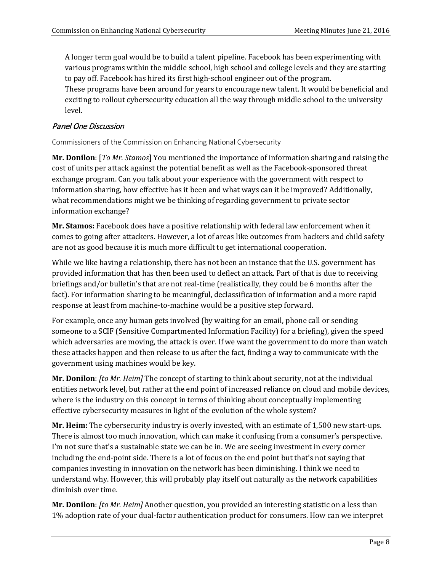A longer term goal would be to build a talent pipeline. Facebook has been experimenting with various programs within the middle school, high school and college levels and they are starting to pay off. Facebook has hired its first high-school engineer out of the program.

These programs have been around for years to encourage new talent. It would be beneficial and exciting to rollout cybersecurity education all the way through middle school to the university level.

# Panel One Discussion

Commissioners of the Commission on Enhancing National Cybersecurity

**Mr. Donilon**: [*To Mr. Stamos*] You mentioned the importance of information sharing and raising the cost of units per attack against the potential benefit as well as the Facebook-sponsored threat exchange program. Can you talk about your experience with the government with respect to information sharing, how effective has it been and what ways can it be improved? Additionally, what recommendations might we be thinking of regarding government to private sector information exchange?

**Mr. Stamos:** Facebook does have a positive relationship with federal law enforcement when it comes to going after attackers. However, a lot of areas like outcomes from hackers and child safety are not as good because it is much more difficult to get international cooperation.

While we like having a relationship, there has not been an instance that the U.S. government has provided information that has then been used to deflect an attack. Part of that is due to receiving briefings and/or bulletin's that are not real-time (realistically, they could be 6 months after the fact). For information sharing to be meaningful, declassification of information and a more rapid response at least from machine-to-machine would be a positive step forward.

For example, once any human gets involved (by waiting for an email, phone call or sending someone to a SCIF (Sensitive Compartmented Information Facility) for a briefing), given the speed which adversaries are moving, the attack is over. If we want the government to do more than watch these attacks happen and then release to us after the fact, finding a way to communicate with the government using machines would be key.

**Mr. Donilon**: *[to Mr. Heim]* The concept of starting to think about security, not at the individual entities network level, but rather at the end point of increased reliance on cloud and mobile devices, where is the industry on this concept in terms of thinking about conceptually implementing effective cybersecurity measures in light of the evolution of the whole system?

**Mr. Heim:** The cybersecurity industry is overly invested, with an estimate of 1,500 new start-ups. There is almost too much innovation, which can make it confusing from a consumer's perspective. I'm not sure that's a sustainable state we can be in. We are seeing investment in every corner including the end-point side. There is a lot of focus on the end point but that's not saying that companies investing in innovation on the network has been diminishing. I think we need to understand why. However, this will probably play itself out naturally as the network capabilities diminish over time.

**Mr. Donilon**: *[to Mr. Heim]* Another question, you provided an interesting statistic on a less than 1% adoption rate of your dual-factor authentication product for consumers. How can we interpret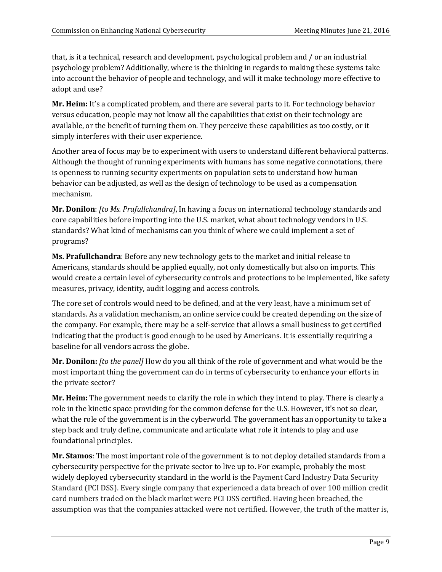that, is it a technical, research and development, psychological problem and / or an industrial psychology problem? Additionally, where is the thinking in regards to making these systems take into account the behavior of people and technology, and will it make technology more effective to adopt and use?

**Mr. Heim:** It's a complicated problem, and there are several parts to it. For technology behavior versus education, people may not know all the capabilities that exist on their technology are available, or the benefit of turning them on. They perceive these capabilities as too costly, or it simply interferes with their user experience.

Another area of focus may be to experiment with users to understand different behavioral patterns. Although the thought of running experiments with humans has some negative connotations, there is openness to running security experiments on population sets to understand how human behavior can be adjusted, as well as the design of technology to be used as a compensation mechanism.

**Mr. Donilon**: *[to Ms. Prafullchandra]*, In having a focus on international technology standards and core capabilities before importing into the U.S. market, what about technology vendors in U.S. standards? What kind of mechanisms can you think of where we could implement a set of programs?

**Ms. Prafullchandra**: Before any new technology gets to the market and initial release to Americans, standards should be applied equally, not only domestically but also on imports. This would create a certain level of cybersecurity controls and protections to be implemented, like safety measures, privacy, identity, audit logging and access controls.

The core set of controls would need to be defined, and at the very least, have a minimum set of standards. As a validation mechanism, an online service could be created depending on the size of the company. For example, there may be a self-service that allows a small business to get certified indicating that the product is good enough to be used by Americans. It is essentially requiring a baseline for all vendors across the globe.

**Mr. Donilon:** *[to the panel]* How do you all think of the role of government and what would be the most important thing the government can do in terms of cybersecurity to enhance your efforts in the private sector?

**Mr. Heim:** The government needs to clarify the role in which they intend to play. There is clearly a role in the kinetic space providing for the common defense for the U.S. However, it's not so clear, what the role of the government is in the cyberworld. The government has an opportunity to take a step back and truly define, communicate and articulate what role it intends to play and use foundational principles.

**Mr. Stamos**: The most important role of the government is to not deploy detailed standards from a cybersecurity perspective for the private sector to live up to. For example, probably the most widely deployed cybersecurity standard in the world is the Payment Card Industry Data Security Standard (PCI DSS). Every single company that experienced a data breach of over 100 million credit card numbers traded on the black market were PCI DSS certified. Having been breached, the assumption was that the companies attacked were not certified. However, the truth of the matter is,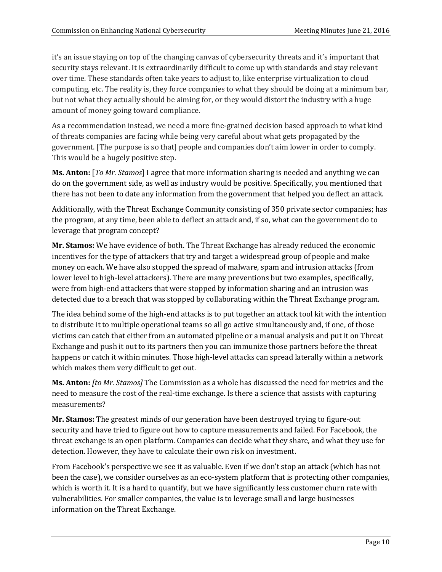it's an issue staying on top of the changing canvas of cybersecurity threats and it's important that security stays relevant. It is extraordinarily difficult to come up with standards and stay relevant over time. These standards often take years to adjust to, like enterprise virtualization to cloud computing, etc. The reality is, they force companies to what they should be doing at a minimum bar, but not what they actually should be aiming for, or they would distort the industry with a huge amount of money going toward compliance.

As a recommendation instead, we need a more fine-grained decision based approach to what kind of threats companies are facing while being very careful about what gets propagated by the government. [The purpose is so that] people and companies don't aim lower in order to comply. This would be a hugely positive step.

**Ms. Anton:** [*To Mr. Stamos*] I agree that more information sharing is needed and anything we can do on the government side, as well as industry would be positive. Specifically, you mentioned that there has not been to date any information from the government that helped you deflect an attack.

Additionally, with the Threat Exchange Community consisting of 350 private sector companies; has the program, at any time, been able to deflect an attack and, if so, what can the government do to leverage that program concept?

**Mr. Stamos:** We have evidence of both. The Threat Exchange has already reduced the economic incentives for the type of attackers that try and target a widespread group of people and make money on each. We have also stopped the spread of malware, spam and intrusion attacks (from lower level to high-level attackers). There are many preventions but two examples, specifically, were from high-end attackers that were stopped by information sharing and an intrusion was detected due to a breach that was stopped by collaborating within the Threat Exchange program.

The idea behind some of the high-end attacks is to put together an attack tool kit with the intention to distribute it to multiple operational teams so all go active simultaneously and, if one, of those victims can catch that either from an automated pipeline or a manual analysis and put it on Threat Exchange and push it out to its partners then you can immunize those partners before the threat happens or catch it within minutes. Those high-level attacks can spread laterally within a network which makes them very difficult to get out.

**Ms. Anton:** *[to Mr. Stamos]* The Commission as a whole has discussed the need for metrics and the need to measure the cost of the real-time exchange. Is there a science that assists with capturing measurements?

**Mr. Stamos:** The greatest minds of our generation have been destroyed trying to figure-out security and have tried to figure out how to capture measurements and failed. For Facebook, the threat exchange is an open platform. Companies can decide what they share, and what they use for detection. However, they have to calculate their own risk on investment.

From Facebook's perspective we see it as valuable. Even if we don't stop an attack (which has not been the case), we consider ourselves as an eco-system platform that is protecting other companies, which is worth it. It is a hard to quantify, but we have significantly less customer churn rate with vulnerabilities. For smaller companies, the value is to leverage small and large businesses information on the Threat Exchange.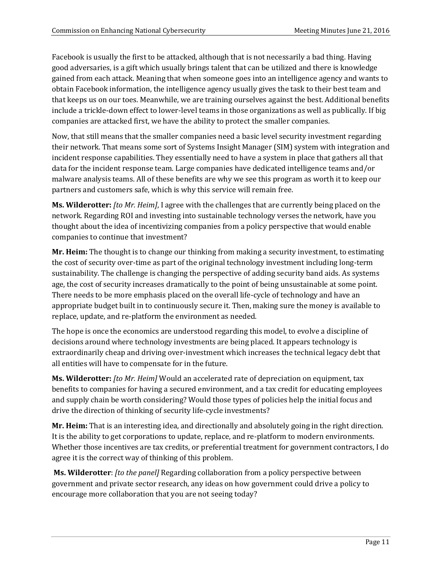Facebook is usually the first to be attacked, although that is not necessarily a bad thing. Having good adversaries, is a gift which usually brings talent that can be utilized and there is knowledge gained from each attack. Meaning that when someone goes into an intelligence agency and wants to obtain Facebook information, the intelligence agency usually gives the task to their best team and that keeps us on our toes. Meanwhile, we are training ourselves against the best. Additional benefits include a trickle-down effect to lower-level teams in those organizations as well as publically. If big companies are attacked first, we have the ability to protect the smaller companies.

Now, that still means that the smaller companies need a basic level security investment regarding their network. That means some sort of Systems Insight Manager (SIM) system with integration and incident response capabilities. They essentially need to have a system in place that gathers all that data for the incident response team. Large companies have dedicated intelligence teams and/or malware analysis teams. All of these benefits are why we see this program as worth it to keep our partners and customers safe, which is why this service will remain free.

**Ms. Wilderotter:** *[to Mr. Heim]*, I agree with the challenges that are currently being placed on the network. Regarding ROI and investing into sustainable technology verses the network, have you thought about the idea of incentivizing companies from a policy perspective that would enable companies to continue that investment?

**Mr. Heim:** The thought is to change our thinking from making a security investment, to estimating the cost of security over-time as part of the original technology investment including long-term sustainability. The challenge is changing the perspective of adding security band aids. As systems age, the cost of security increases dramatically to the point of being unsustainable at some point. There needs to be more emphasis placed on the overall life-cycle of technology and have an appropriate budget built in to continuously secure it. Then, making sure the money is available to replace, update, and re-platform the environment as needed.

The hope is once the economics are understood regarding this model, to evolve a discipline of decisions around where technology investments are being placed. It appears technology is extraordinarily cheap and driving over-investment which increases the technical legacy debt that all entities will have to compensate for in the future.

**Ms. Wilderotter:** *[to Mr. Heim]* Would an accelerated rate of depreciation on equipment, tax benefits to companies for having a secured environment, and a tax credit for educating employees and supply chain be worth considering? Would those types of policies help the initial focus and drive the direction of thinking of security life-cycle investments?

**Mr. Heim:** That is an interesting idea, and directionally and absolutely going in the right direction. It is the ability to get corporations to update, replace, and re-platform to modern environments. Whether those incentives are tax credits, or preferential treatment for government contractors, I do agree it is the correct way of thinking of this problem.

**Ms. Wilderotter**: *[to the panel]* Regarding collaboration from a policy perspective between government and private sector research, any ideas on how government could drive a policy to encourage more collaboration that you are not seeing today?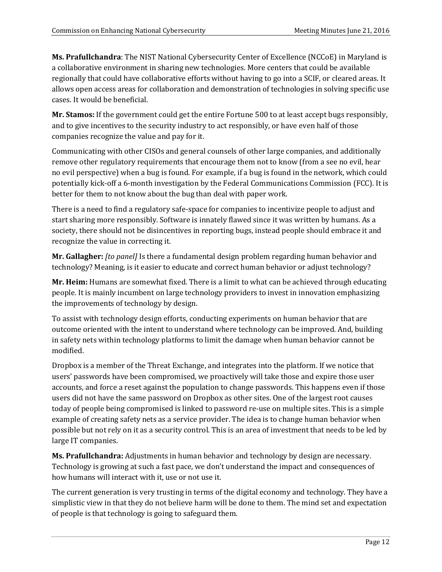**Ms. Prafullchandra**: The NIST National Cybersecurity Center of Excellence (NCCoE) in Maryland is a collaborative environment in sharing new technologies. More centers that could be available regionally that could have collaborative efforts without having to go into a SCIF, or cleared areas. It allows open access areas for collaboration and demonstration of technologies in solving specific use cases. It would be beneficial.

**Mr. Stamos:** If the government could get the entire Fortune 500 to at least accept bugs responsibly, and to give incentives to the security industry to act responsibly, or have even half of those companies recognize the value and pay for it.

Communicating with other CISOs and general counsels of other large companies, and additionally remove other regulatory requirements that encourage them not to know (from a see no evil, hear no evil perspective) when a bug is found. For example, if a bug is found in the network, which could potentially kick-off a 6-month investigation by the Federal Communications Commission (FCC). It is better for them to not know about the bug than deal with paper work.

There is a need to find a regulatory safe-space for companies to incentivize people to adjust and start sharing more responsibly. Software is innately flawed since it was written by humans. As a society, there should not be disincentives in reporting bugs, instead people should embrace it and recognize the value in correcting it.

**Mr. Gallagher:** *[to panel]* Is there a fundamental design problem regarding human behavior and technology? Meaning, is it easier to educate and correct human behavior or adjust technology?

**Mr. Heim:** Humans are somewhat fixed. There is a limit to what can be achieved through educating people. It is mainly incumbent on large technology providers to invest in innovation emphasizing the improvements of technology by design.

To assist with technology design efforts, conducting experiments on human behavior that are outcome oriented with the intent to understand where technology can be improved. And, building in safety nets within technology platforms to limit the damage when human behavior cannot be modified.

Dropbox is a member of the Threat Exchange, and integrates into the platform. If we notice that users' passwords have been compromised, we proactively will take those and expire those user accounts, and force a reset against the population to change passwords. This happens even if those users did not have the same password on Dropbox as other sites. One of the largest root causes today of people being compromised is linked to password re-use on multiple sites. This is a simple example of creating safety nets as a service provider. The idea is to change human behavior when possible but not rely on it as a security control. This is an area of investment that needs to be led by large IT companies.

**Ms. Prafullchandra:** Adjustments in human behavior and technology by design are necessary. Technology is growing at such a fast pace, we don't understand the impact and consequences of how humans will interact with it, use or not use it.

The current generation is very trusting in terms of the digital economy and technology. They have a simplistic view in that they do not believe harm will be done to them. The mind set and expectation of people is that technology is going to safeguard them.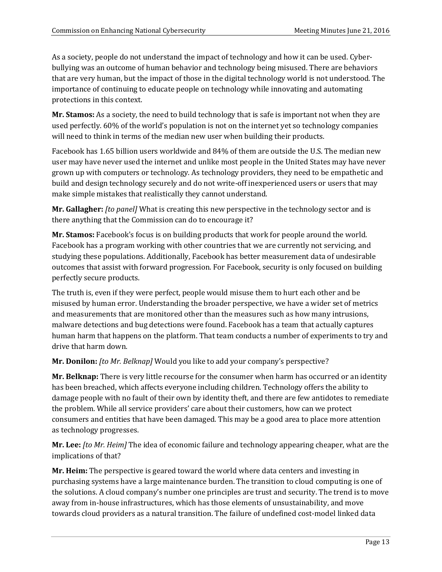As a society, people do not understand the impact of technology and how it can be used. Cyberbullying was an outcome of human behavior and technology being misused. There are behaviors that are very human, but the impact of those in the digital technology world is not understood. The importance of continuing to educate people on technology while innovating and automating protections in this context.

**Mr. Stamos:** As a society, the need to build technology that is safe is important not when they are used perfectly. 60% of the world's population is not on the internet yet so technology companies will need to think in terms of the median new user when building their products.

Facebook has 1.65 billion users worldwide and 84% of them are outside the U.S. The median new user may have never used the internet and unlike most people in the United States may have never grown up with computers or technology. As technology providers, they need to be empathetic and build and design technology securely and do not write-off inexperienced users or users that may make simple mistakes that realistically they cannot understand.

**Mr. Gallagher:** *[to panel]* What is creating this new perspective in the technology sector and is there anything that the Commission can do to encourage it?

**Mr. Stamos:** Facebook's focus is on building products that work for people around the world. Facebook has a program working with other countries that we are currently not servicing, and studying these populations. Additionally, Facebook has better measurement data of undesirable outcomes that assist with forward progression. For Facebook, security is only focused on building perfectly secure products.

The truth is, even if they were perfect, people would misuse them to hurt each other and be misused by human error. Understanding the broader perspective, we have a wider set of metrics and measurements that are monitored other than the measures such as how many intrusions, malware detections and bug detections were found. Facebook has a team that actually captures human harm that happens on the platform. That team conducts a number of experiments to try and drive that harm down.

## **Mr. Donilon:** *[to Mr. Belknap]* Would you like to add your company's perspective?

**Mr. Belknap:** There is very little recourse for the consumer when harm has occurred or an identity has been breached, which affects everyone including children. Technology offers the ability to damage people with no fault of their own by identity theft, and there are few antidotes to remediate the problem. While all service providers' care about their customers, how can we protect consumers and entities that have been damaged. This may be a good area to place more attention as technology progresses.

**Mr. Lee:** *[to Mr. Heim]* The idea of economic failure and technology appearing cheaper, what are the implications of that?

**Mr. Heim:** The perspective is geared toward the world where data centers and investing in purchasing systems have a large maintenance burden. The transition to cloud computing is one of the solutions. A cloud company's number one principles are trust and security. The trend is to move away from in-house infrastructures, which has those elements of unsustainability, and move towards cloud providers as a natural transition. The failure of undefined cost-model linked data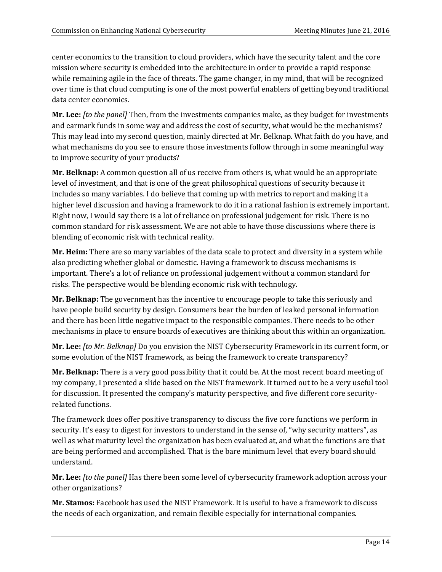center economics to the transition to cloud providers, which have the security talent and the core mission where security is embedded into the architecture in order to provide a rapid response while remaining agile in the face of threats. The game changer, in my mind, that will be recognized over time is that cloud computing is one of the most powerful enablers of getting beyond traditional data center economics.

**Mr. Lee:** *[to the panel]* Then, from the investments companies make, as they budget for investments and earmark funds in some way and address the cost of security, what would be the mechanisms? This may lead into my second question, mainly directed at Mr. Belknap. What faith do you have, and what mechanisms do you see to ensure those investments follow through in some meaningful way to improve security of your products?

**Mr. Belknap:** A common question all of us receive from others is, what would be an appropriate level of investment, and that is one of the great philosophical questions of security because it includes so many variables. I do believe that coming up with metrics to report and making it a higher level discussion and having a framework to do it in a rational fashion is extremely important. Right now, I would say there is a lot of reliance on professional judgement for risk. There is no common standard for risk assessment. We are not able to have those discussions where there is blending of economic risk with technical reality.

**Mr. Heim:** There are so many variables of the data scale to protect and diversity in a system while also predicting whether global or domestic. Having a framework to discuss mechanisms is important. There's a lot of reliance on professional judgement without a common standard for risks. The perspective would be blending economic risk with technology.

**Mr. Belknap:** The government has the incentive to encourage people to take this seriously and have people build security by design. Consumers bear the burden of leaked personal information and there has been little negative impact to the responsible companies. There needs to be other mechanisms in place to ensure boards of executives are thinking about this within an organization.

**Mr. Lee:** *[to Mr. Belknap]* Do you envision the NIST Cybersecurity Framework in its current form, or some evolution of the NIST framework, as being the framework to create transparency?

**Mr. Belknap:** There is a very good possibility that it could be. At the most recent board meeting of my company, I presented a slide based on the NIST framework. It turned out to be a very useful tool for discussion. It presented the company's maturity perspective, and five different core securityrelated functions.

The framework does offer positive transparency to discuss the five core functions we perform in security. It's easy to digest for investors to understand in the sense of, "why security matters", as well as what maturity level the organization has been evaluated at, and what the functions are that are being performed and accomplished. That is the bare minimum level that every board should understand.

**Mr. Lee:** *[to the panel]* Has there been some level of cybersecurity framework adoption across your other organizations?

**Mr. Stamos:** Facebook has used the NIST Framework. It is useful to have a framework to discuss the needs of each organization, and remain flexible especially for international companies.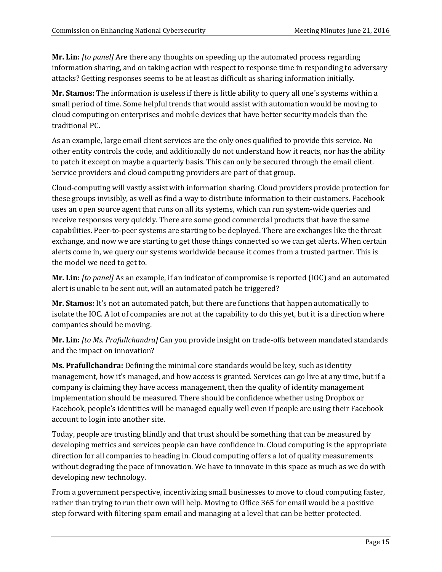**Mr. Lin:** *[to panel]* Are there any thoughts on speeding up the automated process regarding information sharing, and on taking action with respect to response time in responding to adversary attacks? Getting responses seems to be at least as difficult as sharing information initially.

**Mr. Stamos:** The information is useless if there is little ability to query all one's systems within a small period of time. Some helpful trends that would assist with automation would be moving to cloud computing on enterprises and mobile devices that have better security models than the traditional PC.

As an example, large email client services are the only ones qualified to provide this service. No other entity controls the code, and additionally do not understand how it reacts, nor has the ability to patch it except on maybe a quarterly basis. This can only be secured through the email client. Service providers and cloud computing providers are part of that group.

Cloud-computing will vastly assist with information sharing. Cloud providers provide protection for these groups invisibly, as well as find a way to distribute information to their customers. Facebook uses an open source agent that runs on all its systems, which can run system-wide queries and receive responses very quickly. There are some good commercial products that have the same capabilities. Peer-to-peer systems are starting to be deployed. There are exchanges like the threat exchange, and now we are starting to get those things connected so we can get alerts. When certain alerts come in, we query our systems worldwide because it comes from a trusted partner. This is the model we need to get to.

**Mr. Lin:** *[to panel]* As an example, if an indicator of compromise is reported (IOC) and an automated alert is unable to be sent out, will an automated patch be triggered?

**Mr. Stamos:** It's not an automated patch, but there are functions that happen automatically to isolate the IOC. A lot of companies are not at the capability to do this yet, but it is a direction where companies should be moving.

**Mr. Lin:** *[to Ms. Prafullchandra]* Can you provide insight on trade-offs between mandated standards and the impact on innovation?

**Ms. Prafullchandra:** Defining the minimal core standards would be key, such as identity management, how it's managed, and how access is granted. Services can go live at any time, but if a company is claiming they have access management, then the quality of identity management implementation should be measured. There should be confidence whether using Dropbox or Facebook, people's identities will be managed equally well even if people are using their Facebook account to login into another site.

Today, people are trusting blindly and that trust should be something that can be measured by developing metrics and services people can have confidence in. Cloud computing is the appropriate direction for all companies to heading in. Cloud computing offers a lot of quality measurements without degrading the pace of innovation. We have to innovate in this space as much as we do with developing new technology.

From a government perspective, incentivizing small businesses to move to cloud computing faster, rather than trying to run their own will help. Moving to Office 365 for email would be a positive step forward with filtering spam email and managing at a level that can be better protected.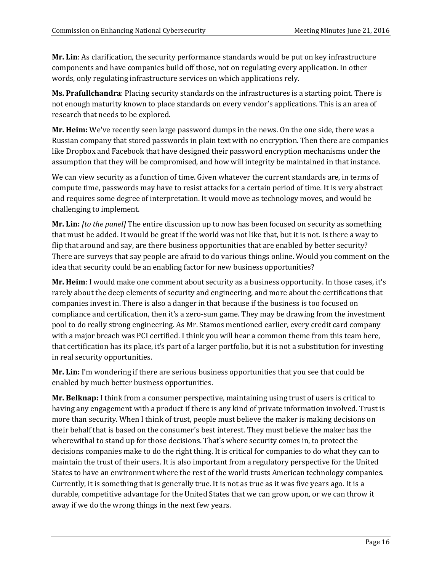**Mr. Lin**: As clarification, the security performance standards would be put on key infrastructure components and have companies build off those, not on regulating every application. In other words, only regulating infrastructure services on which applications rely.

**Ms. Prafullchandra**: Placing security standards on the infrastructures is a starting point. There is not enough maturity known to place standards on every vendor's applications. This is an area of research that needs to be explored.

**Mr. Heim:** We've recently seen large password dumps in the news. On the one side, there was a Russian company that stored passwords in plain text with no encryption. Then there are companies like Dropbox and Facebook that have designed their password encryption mechanisms under the assumption that they will be compromised, and how will integrity be maintained in that instance.

We can view security as a function of time. Given whatever the current standards are, in terms of compute time, passwords may have to resist attacks for a certain period of time. It is very abstract and requires some degree of interpretation. It would move as technology moves, and would be challenging to implement.

**Mr. Lin:** *[to the panel]* The entire discussion up to now has been focused on security as something that must be added. It would be great if the world was not like that, but it is not. Is there a way to flip that around and say, are there business opportunities that are enabled by better security? There are surveys that say people are afraid to do various things online. Would you comment on the idea that security could be an enabling factor for new business opportunities?

**Mr. Heim**: I would make one comment about security as a business opportunity. In those cases, it's rarely about the deep elements of security and engineering, and more about the certifications that companies invest in. There is also a danger in that because if the business is too focused on compliance and certification, then it's a zero-sum game. They may be drawing from the investment pool to do really strong engineering. As Mr. Stamos mentioned earlier, every credit card company with a major breach was PCI certified. I think you will hear a common theme from this team here, that certification has its place, it's part of a larger portfolio, but it is not a substitution for investing in real security opportunities.

**Mr. Lin:** I'm wondering if there are serious business opportunities that you see that could be enabled by much better business opportunities.

**Mr. Belknap:** I think from a consumer perspective, maintaining using trust of users is critical to having any engagement with a product if there is any kind of private information involved. Trust is more than security. When I think of trust, people must believe the maker is making decisions on their behalf that is based on the consumer's best interest. They must believe the maker has the wherewithal to stand up for those decisions. That's where security comes in, to protect the decisions companies make to do the right thing. It is critical for companies to do what they can to maintain the trust of their users. It is also important from a regulatory perspective for the United States to have an environment where the rest of the world trusts American technology companies. Currently, it is something that is generally true. It is not as true as it was five years ago. It is a durable, competitive advantage for the United States that we can grow upon, or we can throw it away if we do the wrong things in the next few years.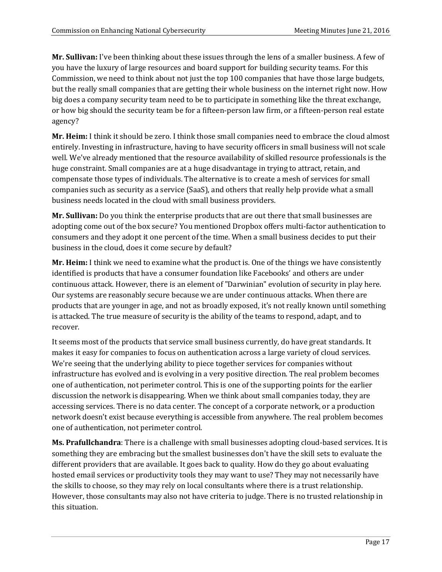**Mr. Sullivan:** I've been thinking about these issues through the lens of a smaller business. A few of you have the luxury of large resources and board support for building security teams. For this Commission, we need to think about not just the top 100 companies that have those large budgets, but the really small companies that are getting their whole business on the internet right now. How big does a company security team need to be to participate in something like the threat exchange, or how big should the security team be for a fifteen-person law firm, or a fifteen-person real estate agency?

**Mr. Heim:** I think it should be zero. I think those small companies need to embrace the cloud almost entirely. Investing in infrastructure, having to have security officers in small business will not scale well. We've already mentioned that the resource availability of skilled resource professionals is the huge constraint. Small companies are at a huge disadvantage in trying to attract, retain, and compensate those types of individuals. The alternative is to create a mesh of services for small companies such as security as a service (SaaS), and others that really help provide what a small business needs located in the cloud with small business providers.

**Mr. Sullivan:** Do you think the enterprise products that are out there that small businesses are adopting come out of the box secure? You mentioned Dropbox offers multi-factor authentication to consumers and they adopt it one percent of the time. When a small business decides to put their business in the cloud, does it come secure by default?

**Mr. Heim:** I think we need to examine what the product is. One of the things we have consistently identified is products that have a consumer foundation like Facebooks' and others are under continuous attack. However, there is an element of "Darwinian" evolution of security in play here. Our systems are reasonably secure because we are under continuous attacks. When there are products that are younger in age, and not as broadly exposed, it's not really known until something is attacked. The true measure of security is the ability of the teams to respond, adapt, and to recover.

It seems most of the products that service small business currently, do have great standards. It makes it easy for companies to focus on authentication across a large variety of cloud services. We're seeing that the underlying ability to piece together services for companies without infrastructure has evolved and is evolving in a very positive direction. The real problem becomes one of authentication, not perimeter control. This is one of the supporting points for the earlier discussion the network is disappearing. When we think about small companies today, they are accessing services. There is no data center. The concept of a corporate network, or a production network doesn't exist because everything is accessible from anywhere. The real problem becomes one of authentication, not perimeter control.

**Ms. Prafullchandra**: There is a challenge with small businesses adopting cloud-based services. It is something they are embracing but the smallest businesses don't have the skill sets to evaluate the different providers that are available. It goes back to quality. How do they go about evaluating hosted email services or productivity tools they may want to use? They may not necessarily have the skills to choose, so they may rely on local consultants where there is a trust relationship. However, those consultants may also not have criteria to judge. There is no trusted relationship in this situation.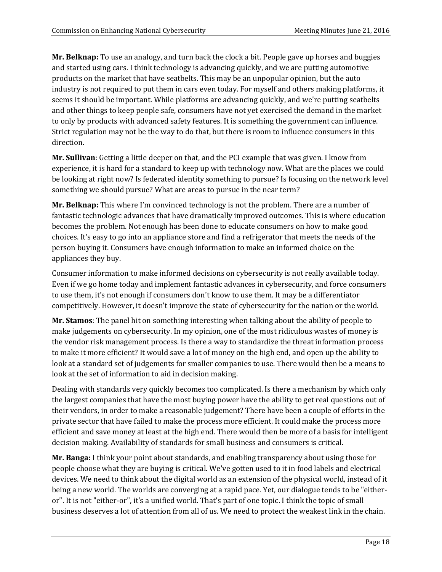**Mr. Belknap:** To use an analogy, and turn back the clock a bit. People gave up horses and buggies and started using cars. I think technology is advancing quickly, and we are putting automotive products on the market that have seatbelts. This may be an unpopular opinion, but the auto industry is not required to put them in cars even today. For myself and others making platforms, it seems it should be important. While platforms are advancing quickly, and we're putting seatbelts and other things to keep people safe, consumers have not yet exercised the demand in the market to only by products with advanced safety features. It is something the government can influence. Strict regulation may not be the way to do that, but there is room to influence consumers in this direction.

**Mr. Sullivan**: Getting a little deeper on that, and the PCI example that was given. I know from experience, it is hard for a standard to keep up with technology now. What are the places we could be looking at right now? Is federated identity something to pursue? Is focusing on the network level something we should pursue? What are areas to pursue in the near term?

**Mr. Belknap:** This where I'm convinced technology is not the problem. There are a number of fantastic technologic advances that have dramatically improved outcomes. This is where education becomes the problem. Not enough has been done to educate consumers on how to make good choices. It's easy to go into an appliance store and find a refrigerator that meets the needs of the person buying it. Consumers have enough information to make an informed choice on the appliances they buy.

Consumer information to make informed decisions on cybersecurity is not really available today. Even if we go home today and implement fantastic advances in cybersecurity, and force consumers to use them, it's not enough if consumers don't know to use them. It may be a differentiator competitively. However, it doesn't improve the state of cybersecurity for the nation or the world.

**Mr. Stamos**: The panel hit on something interesting when talking about the ability of people to make judgements on cybersecurity. In my opinion, one of the most ridiculous wastes of money is the vendor risk management process. Is there a way to standardize the threat information process to make it more efficient? It would save a lot of money on the high end, and open up the ability to look at a standard set of judgements for smaller companies to use. There would then be a means to look at the set of information to aid in decision making.

Dealing with standards very quickly becomes too complicated. Is there a mechanism by which only the largest companies that have the most buying power have the ability to get real questions out of their vendors, in order to make a reasonable judgement? There have been a couple of efforts in the private sector that have failed to make the process more efficient. It could make the process more efficient and save money at least at the high end. There would then be more of a basis for intelligent decision making. Availability of standards for small business and consumers is critical.

**Mr. Banga:** I think your point about standards, and enabling transparency about using those for people choose what they are buying is critical. We've gotten used to it in food labels and electrical devices. We need to think about the digital world as an extension of the physical world, instead of it being a new world. The worlds are converging at a rapid pace. Yet, our dialogue tends to be "eitheror". It is not "either-or", it's a unified world. That's part of one topic. I think the topic of small business deserves a lot of attention from all of us. We need to protect the weakest link in the chain.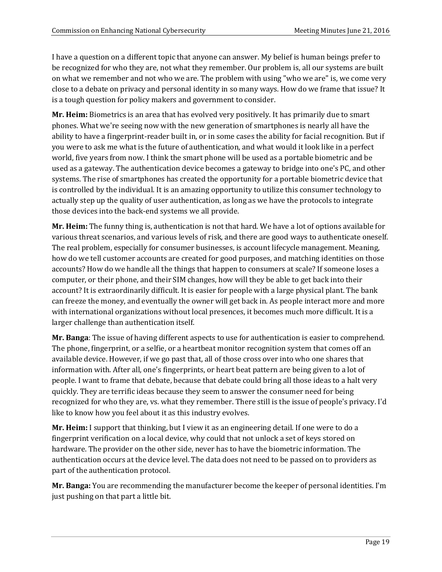I have a question on a different topic that anyone can answer. My belief is human beings prefer to be recognized for who they are, not what they remember. Our problem is, all our systems are built on what we remember and not who we are. The problem with using "who we are" is, we come very close to a debate on privacy and personal identity in so many ways. How do we frame that issue? It is a tough question for policy makers and government to consider.

**Mr. Heim:** Biometrics is an area that has evolved very positively. It has primarily due to smart phones. What we're seeing now with the new generation of smartphones is nearly all have the ability to have a fingerprint-reader built in, or in some cases the ability for facial recognition. But if you were to ask me what is the future of authentication, and what would it look like in a perfect world, five years from now. I think the smart phone will be used as a portable biometric and be used as a gateway. The authentication device becomes a gateway to bridge into one's PC, and other systems. The rise of smartphones has created the opportunity for a portable biometric device that is controlled by the individual. It is an amazing opportunity to utilize this consumer technology to actually step up the quality of user authentication, as long as we have the protocols to integrate those devices into the back-end systems we all provide.

**Mr. Heim:** The funny thing is, authentication is not that hard. We have a lot of options available for various threat scenarios, and various levels of risk, and there are good ways to authenticate oneself. The real problem, especially for consumer businesses, is account lifecycle management. Meaning, how do we tell customer accounts are created for good purposes, and matching identities on those accounts? How do we handle all the things that happen to consumers at scale? If someone loses a computer, or their phone, and their SIM changes, how will they be able to get back into their account? It is extraordinarily difficult. It is easier for people with a large physical plant. The bank can freeze the money, and eventually the owner will get back in. As people interact more and more with international organizations without local presences, it becomes much more difficult. It is a larger challenge than authentication itself.

**Mr. Banga**: The issue of having different aspects to use for authentication is easier to comprehend. The phone, fingerprint, or a selfie, or a heartbeat monitor recognition system that comes off an available device. However, if we go past that, all of those cross over into who one shares that information with. After all, one's fingerprints, or heart beat pattern are being given to a lot of people. I want to frame that debate, because that debate could bring all those ideas to a halt very quickly. They are terrific ideas because they seem to answer the consumer need for being recognized for who they are, vs. what they remember. There still is the issue of people's privacy. I'd like to know how you feel about it as this industry evolves.

**Mr. Heim:** I support that thinking, but I view it as an engineering detail. If one were to do a fingerprint verification on a local device, why could that not unlock a set of keys stored on hardware. The provider on the other side, never has to have the biometric information. The authentication occurs at the device level. The data does not need to be passed on to providers as part of the authentication protocol.

**Mr. Banga:** You are recommending the manufacturer become the keeper of personal identities. I'm just pushing on that part a little bit.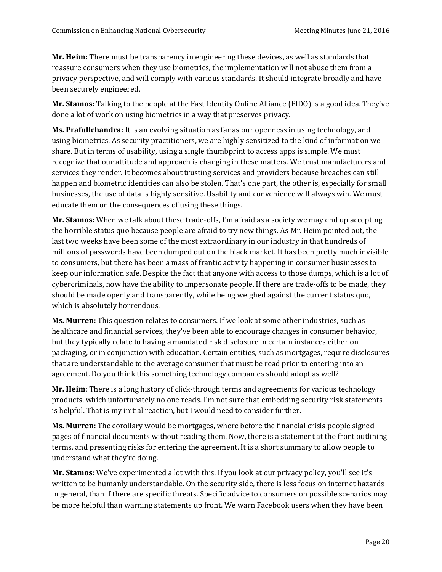**Mr. Heim:** There must be transparency in engineering these devices, as well as standards that reassure consumers when they use biometrics, the implementation will not abuse them from a privacy perspective, and will comply with various standards. It should integrate broadly and have been securely engineered.

**Mr. Stamos:** Talking to the people at the Fast Identity Online Alliance (FIDO) is a good idea. They've done a lot of work on using biometrics in a way that preserves privacy.

**Ms. Prafullchandra:** It is an evolving situation as far as our openness in using technology, and using biometrics. As security practitioners, we are highly sensitized to the kind of information we share. But in terms of usability, using a single thumbprint to access apps is simple. We must recognize that our attitude and approach is changing in these matters. We trust manufacturers and services they render. It becomes about trusting services and providers because breaches can still happen and biometric identities can also be stolen. That's one part, the other is, especially for small businesses, the use of data is highly sensitive. Usability and convenience will always win. We must educate them on the consequences of using these things.

**Mr. Stamos:** When we talk about these trade-offs, I'm afraid as a society we may end up accepting the horrible status quo because people are afraid to try new things. As Mr. Heim pointed out, the last two weeks have been some of the most extraordinary in our industry in that hundreds of millions of passwords have been dumped out on the black market. It has been pretty much invisible to consumers, but there has been a mass of frantic activity happening in consumer businesses to keep our information safe. Despite the fact that anyone with access to those dumps, which is a lot of cybercriminals, now have the ability to impersonate people. If there are trade-offs to be made, they should be made openly and transparently, while being weighed against the current status quo, which is absolutely horrendous.

**Ms. Murren:** This question relates to consumers. If we look at some other industries, such as healthcare and financial services, they've been able to encourage changes in consumer behavior, but they typically relate to having a mandated risk disclosure in certain instances either on packaging, or in conjunction with education. Certain entities, such as mortgages, require disclosures that are understandable to the average consumer that must be read prior to entering into an agreement. Do you think this something technology companies should adopt as well?

**Mr. Heim**: There is a long history of click-through terms and agreements for various technology products, which unfortunately no one reads. I'm not sure that embedding security risk statements is helpful. That is my initial reaction, but I would need to consider further.

**Ms. Murren:** The corollary would be mortgages, where before the financial crisis people signed pages of financial documents without reading them. Now, there is a statement at the front outlining terms, and presenting risks for entering the agreement. It is a short summary to allow people to understand what they're doing.

**Mr. Stamos:** We've experimented a lot with this. If you look at our privacy policy, you'll see it's written to be humanly understandable. On the security side, there is less focus on internet hazards in general, than if there are specific threats. Specific advice to consumers on possible scenarios may be more helpful than warning statements up front. We warn Facebook users when they have been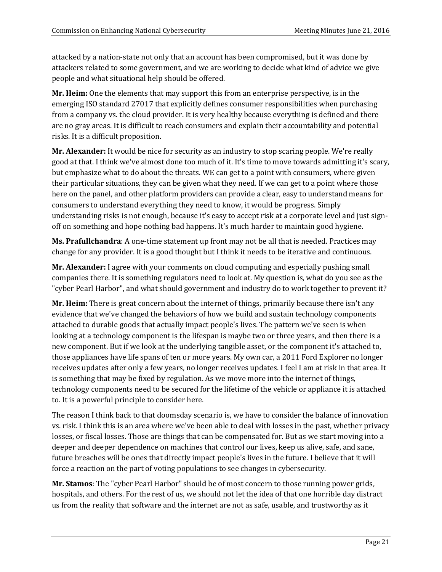attacked by a nation-state not only that an account has been compromised, but it was done by attackers related to some government, and we are working to decide what kind of advice we give people and what situational help should be offered.

**Mr. Heim:** One the elements that may support this from an enterprise perspective, is in the emerging ISO standard 27017 that explicitly defines consumer responsibilities when purchasing from a company vs. the cloud provider. It is very healthy because everything is defined and there are no gray areas. It is difficult to reach consumers and explain their accountability and potential risks. It is a difficult proposition.

**Mr. Alexander:** It would be nice for security as an industry to stop scaring people. We're really good at that. I think we've almost done too much of it. It's time to move towards admitting it's scary, but emphasize what to do about the threats. WE can get to a point with consumers, where given their particular situations, they can be given what they need. If we can get to a point where those here on the panel, and other platform providers can provide a clear, easy to understand means for consumers to understand everything they need to know, it would be progress. Simply understanding risks is not enough, because it's easy to accept risk at a corporate level and just signoff on something and hope nothing bad happens. It's much harder to maintain good hygiene.

**Ms. Prafullchandra**: A one-time statement up front may not be all that is needed. Practices may change for any provider. It is a good thought but I think it needs to be iterative and continuous.

**Mr. Alexander:** I agree with your comments on cloud computing and especially pushing small companies there. It is something regulators need to look at. My question is, what do you see as the "cyber Pearl Harbor", and what should government and industry do to work together to prevent it?

**Mr. Heim:** There is great concern about the internet of things, primarily because there isn't any evidence that we've changed the behaviors of how we build and sustain technology components attached to durable goods that actually impact people's lives. The pattern we've seen is when looking at a technology component is the lifespan is maybe two or three years, and then there is a new component. But if we look at the underlying tangible asset, or the component it's attached to, those appliances have life spans of ten or more years. My own car, a 2011 Ford Explorer no longer receives updates after only a few years, no longer receives updates. I feel I am at risk in that area. It is something that may be fixed by regulation. As we move more into the internet of things, technology components need to be secured for the lifetime of the vehicle or appliance it is attached to. It is a powerful principle to consider here.

The reason I think back to that doomsday scenario is, we have to consider the balance of innovation vs. risk. I think this is an area where we've been able to deal with losses in the past, whether privacy losses, or fiscal losses. Those are things that can be compensated for. But as we start moving into a deeper and deeper dependence on machines that control our lives, keep us alive, safe, and sane, future breaches will be ones that directly impact people's lives in the future. I believe that it will force a reaction on the part of voting populations to see changes in cybersecurity.

**Mr. Stamos**: The "cyber Pearl Harbor" should be of most concern to those running power grids, hospitals, and others. For the rest of us, we should not let the idea of that one horrible day distract us from the reality that software and the internet are not as safe, usable, and trustworthy as it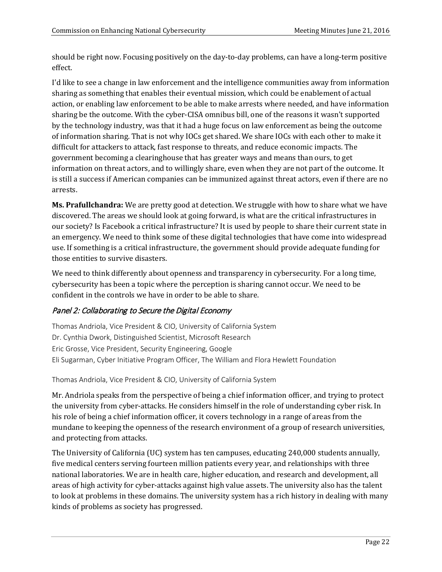should be right now. Focusing positively on the day-to-day problems, can have a long-term positive effect.

I'd like to see a change in law enforcement and the intelligence communities away from information sharing as something that enables their eventual mission, which could be enablement of actual action, or enabling law enforcement to be able to make arrests where needed, and have information sharing be the outcome. With the cyber-CISA omnibus bill, one of the reasons it wasn't supported by the technology industry, was that it had a huge focus on law enforcement as being the outcome of information sharing. That is not why IOCs get shared. We share IOCs with each other to make it difficult for attackers to attack, fast response to threats, and reduce economic impacts. The government becoming a clearinghouse that has greater ways and means than ours, to get information on threat actors, and to willingly share, even when they are not part of the outcome. It is still a success if American companies can be immunized against threat actors, even if there are no arrests.

**Ms. Prafullchandra:** We are pretty good at detection. We struggle with how to share what we have discovered. The areas we should look at going forward, is what are the critical infrastructures in our society? Is Facebook a critical infrastructure? It is used by people to share their current state in an emergency. We need to think some of these digital technologies that have come into widespread use. If something is a critical infrastructure, the government should provide adequate funding for those entities to survive disasters.

We need to think differently about openness and transparency in cybersecurity. For a long time, cybersecurity has been a topic where the perception is sharing cannot occur. We need to be confident in the controls we have in order to be able to share.

# Panel 2: Collaborating to Secure the Digital Economy

Thomas Andriola, Vice President & CIO, University of California System Dr. Cynthia Dwork, Distinguished Scientist, Microsoft Research Eric Grosse, Vice President, Security Engineering, Google Eli Sugarman, Cyber Initiative Program Officer, The William and Flora Hewlett Foundation

Thomas Andriola, Vice President & CIO, University of California System

Mr. Andriola speaks from the perspective of being a chief information officer, and trying to protect the university from cyber-attacks. He considers himself in the role of understanding cyber risk. In his role of being a chief information officer, it covers technology in a range of areas from the mundane to keeping the openness of the research environment of a group of research universities, and protecting from attacks.

The University of California (UC) system has ten campuses, educating 240,000 students annually, five medical centers serving fourteen million patients every year, and relationships with three national laboratories. We are in health care, higher education, and research and development, all areas of high activity for cyber-attacks against high value assets. The university also has the talent to look at problems in these domains. The university system has a rich history in dealing with many kinds of problems as society has progressed.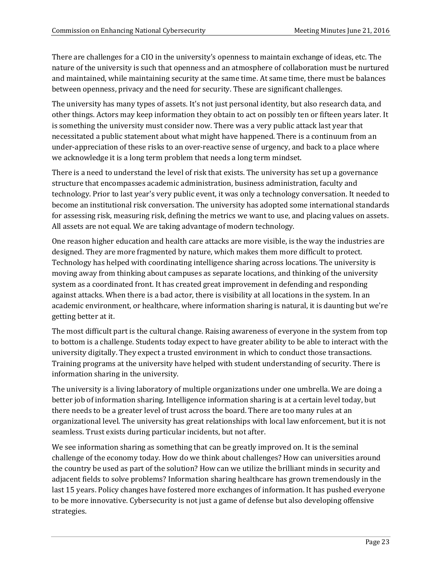There are challenges for a CIO in the university's openness to maintain exchange of ideas, etc. The nature of the university is such that openness and an atmosphere of collaboration must be nurtured and maintained, while maintaining security at the same time. At same time, there must be balances between openness, privacy and the need for security. These are significant challenges.

The university has many types of assets. It's not just personal identity, but also research data, and other things. Actors may keep information they obtain to act on possibly ten or fifteen years later. It is something the university must consider now. There was a very public attack last year that necessitated a public statement about what might have happened. There is a continuum from an under-appreciation of these risks to an over-reactive sense of urgency, and back to a place where we acknowledge it is a long term problem that needs a long term mindset.

There is a need to understand the level of risk that exists. The university has set up a governance structure that encompasses academic administration, business administration, faculty and technology. Prior to last year's very public event, it was only a technology conversation. It needed to become an institutional risk conversation. The university has adopted some international standards for assessing risk, measuring risk, defining the metrics we want to use, and placing values on assets. All assets are not equal. We are taking advantage of modern technology.

One reason higher education and health care attacks are more visible, is the way the industries are designed. They are more fragmented by nature, which makes them more difficult to protect. Technology has helped with coordinating intelligence sharing across locations. The university is moving away from thinking about campuses as separate locations, and thinking of the university system as a coordinated front. It has created great improvement in defending and responding against attacks. When there is a bad actor, there is visibility at all locations in the system. In an academic environment, or healthcare, where information sharing is natural, it is daunting but we're getting better at it.

The most difficult part is the cultural change. Raising awareness of everyone in the system from top to bottom is a challenge. Students today expect to have greater ability to be able to interact with the university digitally. They expect a trusted environment in which to conduct those transactions. Training programs at the university have helped with student understanding of security. There is information sharing in the university.

The university is a living laboratory of multiple organizations under one umbrella. We are doing a better job of information sharing. Intelligence information sharing is at a certain level today, but there needs to be a greater level of trust across the board. There are too many rules at an organizational level. The university has great relationships with local law enforcement, but it is not seamless. Trust exists during particular incidents, but not after.

We see information sharing as something that can be greatly improved on. It is the seminal challenge of the economy today. How do we think about challenges? How can universities around the country be used as part of the solution? How can we utilize the brilliant minds in security and adjacent fields to solve problems? Information sharing healthcare has grown tremendously in the last 15 years. Policy changes have fostered more exchanges of information. It has pushed everyone to be more innovative. Cybersecurity is not just a game of defense but also developing offensive strategies.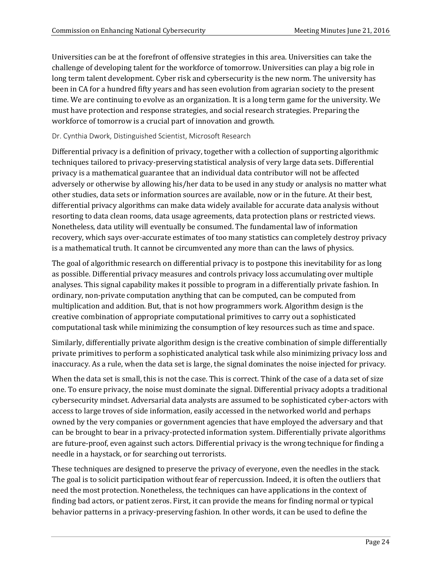Universities can be at the forefront of offensive strategies in this area. Universities can take the challenge of developing talent for the workforce of tomorrow. Universities can play a big role in long term talent development. Cyber risk and cybersecurity is the new norm. The university has been in CA for a hundred fifty years and has seen evolution from agrarian society to the present time. We are continuing to evolve as an organization. It is a long term game for the university. We must have protection and response strategies, and social research strategies. Preparing the workforce of tomorrow is a crucial part of innovation and growth.

### Dr. Cynthia Dwork, Distinguished Scientist, Microsoft Research

Differential privacy is a definition of privacy, together with a collection of supporting algorithmic techniques tailored to privacy-preserving statistical analysis of very large data sets. Differential privacy is a mathematical guarantee that an individual data contributor will not be affected adversely or otherwise by allowing his/her data to be used in any study or analysis no matter what other studies, data sets or information sources are available, now or in the future. At their best, differential privacy algorithms can make data widely available for accurate data analysis without resorting to data clean rooms, data usage agreements, data protection plans or restricted views. Nonetheless, data utility will eventually be consumed. The fundamental law of information recovery, which says over-accurate estimates of too many statistics can completely destroy privacy is a mathematical truth. It cannot be circumvented any more than can the laws of physics.

The goal of algorithmic research on differential privacy is to postpone this inevitability for as long as possible. Differential privacy measures and controls privacy loss accumulating over multiple analyses. This signal capability makes it possible to program in a differentially private fashion. In ordinary, non-private computation anything that can be computed, can be computed from multiplication and addition. But, that is not how programmers work. Algorithm design is the creative combination of appropriate computational primitives to carry out a sophisticated computational task while minimizing the consumption of key resources such as time and space.

Similarly, differentially private algorithm design is the creative combination of simple differentially private primitives to perform a sophisticated analytical task while also minimizing privacy loss and inaccuracy. As a rule, when the data set is large, the signal dominates the noise injected for privacy.

When the data set is small, this is not the case. This is correct. Think of the case of a data set of size one. To ensure privacy, the noise must dominate the signal. Differential privacy adopts a traditional cybersecurity mindset. Adversarial data analysts are assumed to be sophisticated cyber-actors with access to large troves of side information, easily accessed in the networked world and perhaps owned by the very companies or government agencies that have employed the adversary and that can be brought to bear in a privacy-protected information system. Differentially private algorithms are future-proof, even against such actors. Differential privacy is the wrong technique for finding a needle in a haystack, or for searching out terrorists.

These techniques are designed to preserve the privacy of everyone, even the needles in the stack. The goal is to solicit participation without fear of repercussion. Indeed, it is often the outliers that need the most protection. Nonetheless, the techniques can have applications in the context of finding bad actors, or patient zeros. First, it can provide the means for finding normal or typical behavior patterns in a privacy-preserving fashion. In other words, it can be used to define the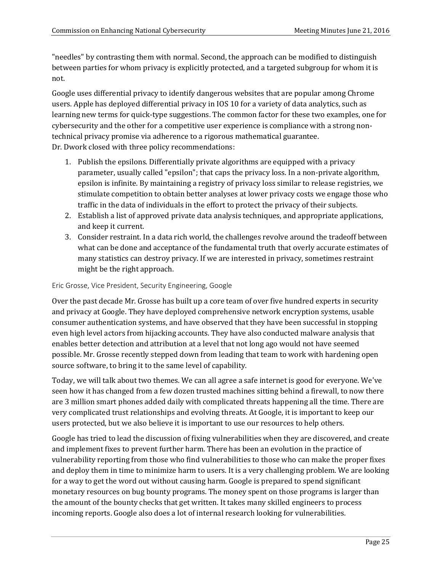"needles" by contrasting them with normal. Second, the approach can be modified to distinguish between parties for whom privacy is explicitly protected, and a targeted subgroup for whom it is not.

Google uses differential privacy to identify dangerous websites that are popular among Chrome users. Apple has deployed differential privacy in IOS 10 for a variety of data analytics, such as learning new terms for quick-type suggestions. The common factor for these two examples, one for cybersecurity and the other for a competitive user experience is compliance with a strong nontechnical privacy promise via adherence to a rigorous mathematical guarantee. Dr. Dwork closed with three policy recommendations:

- 1. Publish the epsilons. Differentially private algorithms are equipped with a privacy parameter, usually called "epsilon"; that caps the privacy loss. In a non-private algorithm, epsilon is infinite. By maintaining a registry of privacy loss similar to release registries, we stimulate competition to obtain better analyses at lower privacy costs we engage those who traffic in the data of individuals in the effort to protect the privacy of their subjects.
- 2. Establish a list of approved private data analysis techniques, and appropriate applications, and keep it current.
- 3. Consider restraint. In a data rich world, the challenges revolve around the tradeoff between what can be done and acceptance of the fundamental truth that overly accurate estimates of many statistics can destroy privacy. If we are interested in privacy, sometimes restraint might be the right approach.

#### Eric Grosse, Vice President, Security Engineering, Google

Over the past decade Mr. Grosse has built up a core team of over five hundred experts in security and privacy at Google. They have deployed comprehensive network encryption systems, usable consumer authentication systems, and have observed that they have been successful in stopping even high level actors from hijacking accounts. They have also conducted malware analysis that enables better detection and attribution at a level that not long ago would not have seemed possible. Mr. Grosse recently stepped down from leading that team to work with hardening open source software, to bring it to the same level of capability.

Today, we will talk about two themes. We can all agree a safe internet is good for everyone. We've seen how it has changed from a few dozen trusted machines sitting behind a firewall, to now there are 3 million smart phones added daily with complicated threats happening all the time. There are very complicated trust relationships and evolving threats. At Google, it is important to keep our users protected, but we also believe it is important to use our resources to help others.

Google has tried to lead the discussion of fixing vulnerabilities when they are discovered, and create and implement fixes to prevent further harm. There has been an evolution in the practice of vulnerability reporting from those who find vulnerabilities to those who can make the proper fixes and deploy them in time to minimize harm to users. It is a very challenging problem. We are looking for a way to get the word out without causing harm. Google is prepared to spend significant monetary resources on bug bounty programs. The money spent on those programs is larger than the amount of the bounty checks that get written. It takes many skilled engineers to process incoming reports. Google also does a lot of internal research looking for vulnerabilities.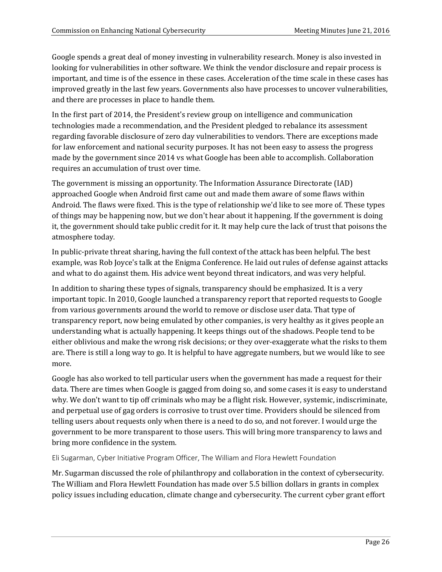Google spends a great deal of money investing in vulnerability research. Money is also invested in looking for vulnerabilities in other software. We think the vendor disclosure and repair process is important, and time is of the essence in these cases. Acceleration of the time scale in these cases has improved greatly in the last few years. Governments also have processes to uncover vulnerabilities, and there are processes in place to handle them.

In the first part of 2014, the President's review group on intelligence and communication technologies made a recommendation, and the President pledged to rebalance its assessment regarding favorable disclosure of zero day vulnerabilities to vendors. There are exceptions made for law enforcement and national security purposes. It has not been easy to assess the progress made by the government since 2014 vs what Google has been able to accomplish. Collaboration requires an accumulation of trust over time.

The government is missing an opportunity. The Information Assurance Directorate (IAD) approached Google when Android first came out and made them aware of some flaws within Android. The flaws were fixed. This is the type of relationship we'd like to see more of. These types of things may be happening now, but we don't hear about it happening. If the government is doing it, the government should take public credit for it. It may help cure the lack of trust that poisons the atmosphere today.

In public-private threat sharing, having the full context of the attack has been helpful. The best example, was Rob Joyce's talk at the Enigma Conference. He laid out rules of defense against attacks and what to do against them. His advice went beyond threat indicators, and was very helpful.

In addition to sharing these types of signals, transparency should be emphasized. It is a very important topic. In 2010, Google launched a transparency report that reported requests to Google from various governments around the world to remove or disclose user data. That type of transparency report, now being emulated by other companies, is very healthy as it gives people an understanding what is actually happening. It keeps things out of the shadows. People tend to be either oblivious and make the wrong risk decisions; or they over-exaggerate what the risks to them are. There is still a long way to go. It is helpful to have aggregate numbers, but we would like to see more.

Google has also worked to tell particular users when the government has made a request for their data. There are times when Google is gagged from doing so, and some cases it is easy to understand why. We don't want to tip off criminals who may be a flight risk. However, systemic, indiscriminate, and perpetual use of gag orders is corrosive to trust over time. Providers should be silenced from telling users about requests only when there is a need to do so, and not forever. I would urge the government to be more transparent to those users. This will bring more transparency to laws and bring more confidence in the system.

Eli Sugarman, Cyber Initiative Program Officer, The William and Flora Hewlett Foundation

Mr. Sugarman discussed the role of philanthropy and collaboration in the context of cybersecurity. The William and Flora Hewlett Foundation has made over 5.5 billion dollars in grants in complex policy issues including education, climate change and cybersecurity. The current cyber grant effort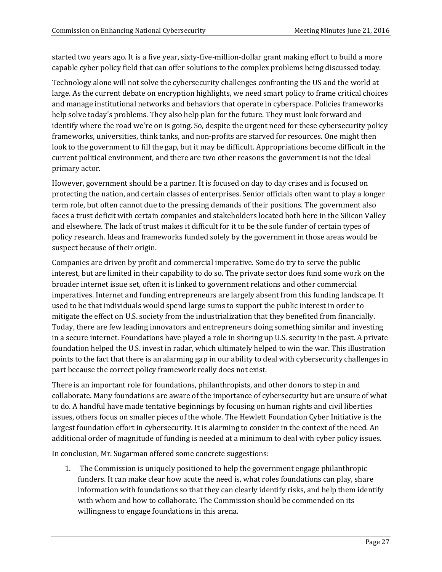started two years ago. It is a five year, sixty-five-million-dollar grant making effort to build a more capable cyber policy field that can offer solutions to the complex problems being discussed today.

Technology alone will not solve the cybersecurity challenges confronting the US and the world at large. As the current debate on encryption highlights, we need smart policy to frame critical choices and manage institutional networks and behaviors that operate in cyberspace. Policies frameworks help solve today's problems. They also help plan for the future. They must look forward and identify where the road we're on is going. So, despite the urgent need for these cybersecurity policy frameworks, universities, think tanks, and non-profits are starved for resources. One might then look to the government to fill the gap, but it may be difficult. Appropriations become difficult in the current political environment, and there are two other reasons the government is not the ideal primary actor.

However, government should be a partner. It is focused on day to day crises and is focused on protecting the nation, and certain classes of enterprises. Senior officials often want to play a longer term role, but often cannot due to the pressing demands of their positions. The government also faces a trust deficit with certain companies and stakeholders located both here in the Silicon Valley and elsewhere. The lack of trust makes it difficult for it to be the sole funder of certain types of policy research. Ideas and frameworks funded solely by the government in those areas would be suspect because of their origin.

Companies are driven by profit and commercial imperative. Some do try to serve the public interest, but are limited in their capability to do so. The private sector does fund some work on the broader internet issue set, often it is linked to government relations and other commercial imperatives. Internet and funding entrepreneurs are largely absent from this funding landscape. It used to be that individuals would spend large sums to support the public interest in order to mitigate the effect on U.S. society from the industrialization that they benefited from financially. Today, there are few leading innovators and entrepreneurs doing something similar and investing in a secure internet. Foundations have played a role in shoring up U.S. security in the past. A private foundation helped the U.S. invest in radar, which ultimately helped to win the war. This illustration points to the fact that there is an alarming gap in our ability to deal with cybersecurity challenges in part because the correct policy framework really does not exist.

There is an important role for foundations, philanthropists, and other donors to step in and collaborate. Many foundations are aware of the importance of cybersecurity but are unsure of what to do. A handful have made tentative beginnings by focusing on human rights and civil liberties issues, others focus on smaller pieces of the whole. The Hewlett Foundation Cyber Initiative is the largest foundation effort in cybersecurity. It is alarming to consider in the context of the need. An additional order of magnitude of funding is needed at a minimum to deal with cyber policy issues.

In conclusion, Mr. Sugarman offered some concrete suggestions:

1. The Commission is uniquely positioned to help the government engage philanthropic funders. It can make clear how acute the need is, what roles foundations can play, share information with foundations so that they can clearly identify risks, and help them identify with whom and how to collaborate. The Commission should be commended on its willingness to engage foundations in this arena.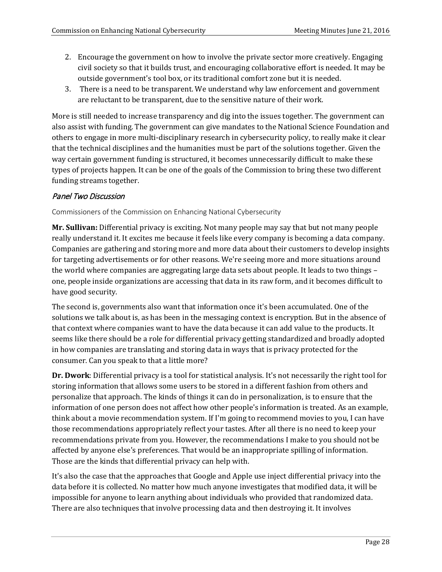- 2. Encourage the government on how to involve the private sector more creatively. Engaging civil society so that it builds trust, and encouraging collaborative effort is needed. It may be outside government's tool box, or its traditional comfort zone but it is needed.
- 3. There is a need to be transparent. We understand why law enforcement and government are reluctant to be transparent, due to the sensitive nature of their work.

More is still needed to increase transparency and dig into the issues together. The government can also assist with funding. The government can give mandates to the National Science Foundation and others to engage in more multi-disciplinary research in cybersecurity policy, to really make it clear that the technical disciplines and the humanities must be part of the solutions together. Given the way certain government funding is structured, it becomes unnecessarily difficult to make these types of projects happen. It can be one of the goals of the Commission to bring these two different funding streams together.

## Panel Two Discussion

Commissioners of the Commission on Enhancing National Cybersecurity

**Mr. Sullivan:** Differential privacy is exciting. Not many people may say that but not many people really understand it. It excites me because it feels like every company is becoming a data company. Companies are gathering and storing more and more data about their customers to develop insights for targeting advertisements or for other reasons. We're seeing more and more situations around the world where companies are aggregating large data sets about people. It leads to two things – one, people inside organizations are accessing that data in its raw form, and it becomes difficult to have good security.

The second is, governments also want that information once it's been accumulated. One of the solutions we talk about is, as has been in the messaging context is encryption. But in the absence of that context where companies want to have the data because it can add value to the products. It seems like there should be a role for differential privacy getting standardized and broadly adopted in how companies are translating and storing data in ways that is privacy protected for the consumer. Can you speak to that a little more?

**Dr. Dwork**: Differential privacy is a tool for statistical analysis. It's not necessarily the right tool for storing information that allows some users to be stored in a different fashion from others and personalize that approach. The kinds of things it can do in personalization, is to ensure that the information of one person does not affect how other people's information is treated. As an example, think about a movie recommendation system. If I'm going to recommend movies to you, I can have those recommendations appropriately reflect your tastes. After all there is no need to keep your recommendations private from you. However, the recommendations I make to you should not be affected by anyone else's preferences. That would be an inappropriate spilling of information. Those are the kinds that differential privacy can help with.

It's also the case that the approaches that Google and Apple use inject differential privacy into the data before it is collected. No matter how much anyone investigates that modified data, it will be impossible for anyone to learn anything about individuals who provided that randomized data. There are also techniques that involve processing data and then destroying it. It involves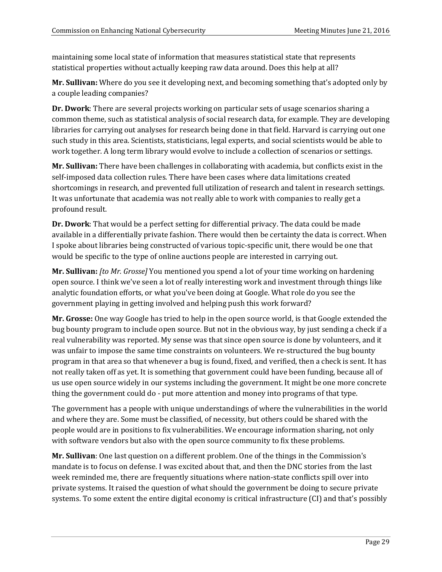maintaining some local state of information that measures statistical state that represents statistical properties without actually keeping raw data around. Does this help at all?

**Mr. Sullivan:** Where do you see it developing next, and becoming something that's adopted only by a couple leading companies?

**Dr. Dwork**: There are several projects working on particular sets of usage scenarios sharing a common theme, such as statistical analysis of social research data, for example. They are developing libraries for carrying out analyses for research being done in that field. Harvard is carrying out one such study in this area. Scientists, statisticians, legal experts, and social scientists would be able to work together. A long term library would evolve to include a collection of scenarios or settings.

**Mr. Sullivan:** There have been challenges in collaborating with academia, but conflicts exist in the self-imposed data collection rules. There have been cases where data limitations created shortcomings in research, and prevented full utilization of research and talent in research settings. It was unfortunate that academia was not really able to work with companies to really get a profound result.

**Dr. Dwork**: That would be a perfect setting for differential privacy. The data could be made available in a differentially private fashion. There would then be certainty the data is correct. When I spoke about libraries being constructed of various topic-specific unit, there would be one that would be specific to the type of online auctions people are interested in carrying out.

**Mr. Sullivan:** *[to Mr. Grosse]* You mentioned you spend a lot of your time working on hardening open source. I think we've seen a lot of really interesting work and investment through things like analytic foundation efforts, or what you've been doing at Google. What role do you see the government playing in getting involved and helping push this work forward?

**Mr. Grosse:** One way Google has tried to help in the open source world, is that Google extended the bug bounty program to include open source. But not in the obvious way, by just sending a check if a real vulnerability was reported. My sense was that since open source is done by volunteers, and it was unfair to impose the same time constraints on volunteers. We re-structured the bug bounty program in that area so that whenever a bug is found, fixed, and verified, then a check is sent. It has not really taken off as yet. It is something that government could have been funding, because all of us use open source widely in our systems including the government. It might be one more concrete thing the government could do - put more attention and money into programs of that type.

The government has a people with unique understandings of where the vulnerabilities in the world and where they are. Some must be classified, of necessity, but others could be shared with the people would are in positions to fix vulnerabilities. We encourage information sharing, not only with software vendors but also with the open source community to fix these problems.

**Mr. Sullivan**: One last question on a different problem. One of the things in the Commission's mandate is to focus on defense. I was excited about that, and then the DNC stories from the last week reminded me, there are frequently situations where nation-state conflicts spill over into private systems. It raised the question of what should the government be doing to secure private systems. To some extent the entire digital economy is critical infrastructure (CI) and that's possibly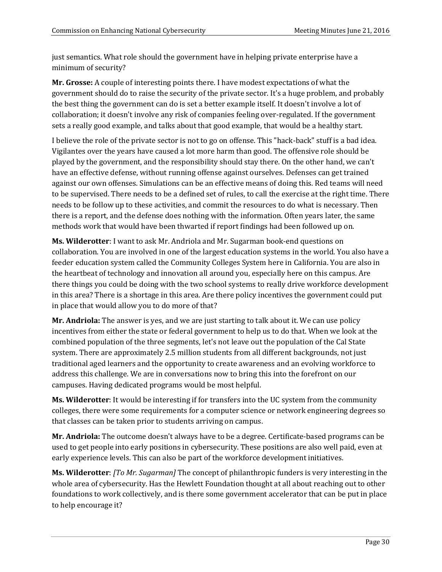just semantics. What role should the government have in helping private enterprise have a minimum of security?

**Mr. Grosse:** A couple of interesting points there. I have modest expectations of what the government should do to raise the security of the private sector. It's a huge problem, and probably the best thing the government can do is set a better example itself. It doesn't involve a lot of collaboration; it doesn't involve any risk of companies feeling over-regulated. If the government sets a really good example, and talks about that good example, that would be a healthy start.

I believe the role of the private sector is not to go on offense. This "hack-back" stuff is a bad idea. Vigilantes over the years have caused a lot more harm than good. The offensive role should be played by the government, and the responsibility should stay there. On the other hand, we can't have an effective defense, without running offense against ourselves. Defenses can get trained against our own offenses. Simulations can be an effective means of doing this. Red teams will need to be supervised. There needs to be a defined set of rules, to call the exercise at the right time. There needs to be follow up to these activities, and commit the resources to do what is necessary. Then there is a report, and the defense does nothing with the information. Often years later, the same methods work that would have been thwarted if report findings had been followed up on.

**Ms. Wilderotter**: I want to ask Mr. Andriola and Mr. Sugarman book-end questions on collaboration. You are involved in one of the largest education systems in the world. You also have a feeder education system called the Community Colleges System here in California. You are also in the heartbeat of technology and innovation all around you, especially here on this campus. Are there things you could be doing with the two school systems to really drive workforce development in this area? There is a shortage in this area. Are there policy incentives the government could put in place that would allow you to do more of that?

**Mr. Andriola:** The answer is yes, and we are just starting to talk about it. We can use policy incentives from either the state or federal government to help us to do that. When we look at the combined population of the three segments, let's not leave out the population of the Cal State system. There are approximately 2.5 million students from all different backgrounds, not just traditional aged learners and the opportunity to create awareness and an evolving workforce to address this challenge. We are in conversations now to bring this into the forefront on our campuses. Having dedicated programs would be most helpful.

**Ms. Wilderotter**: It would be interesting if for transfers into the UC system from the community colleges, there were some requirements for a computer science or network engineering degrees so that classes can be taken prior to students arriving on campus.

**Mr. Andriola:** The outcome doesn't always have to be a degree. Certificate-based programs can be used to get people into early positions in cybersecurity. These positions are also well paid, even at early experience levels. This can also be part of the workforce development initiatives.

**Ms. Wilderotter**: *[To Mr. Sugarman]* The concept of philanthropic funders is very interesting in the whole area of cybersecurity. Has the Hewlett Foundation thought at all about reaching out to other foundations to work collectively, and is there some government accelerator that can be put in place to help encourage it?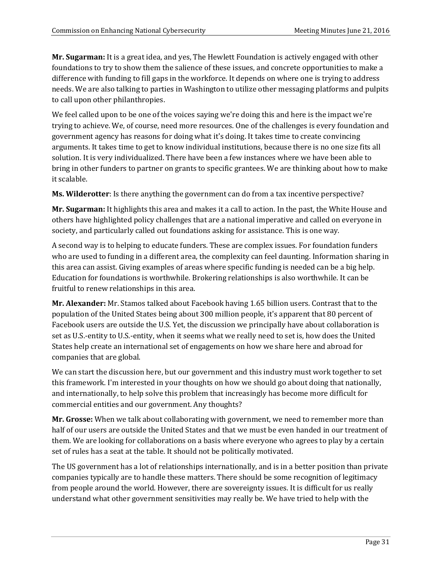**Mr. Sugarman:** It is a great idea, and yes, The Hewlett Foundation is actively engaged with other foundations to try to show them the salience of these issues, and concrete opportunities to make a difference with funding to fill gaps in the workforce. It depends on where one is trying to address needs. We are also talking to parties in Washington to utilize other messaging platforms and pulpits to call upon other philanthropies.

We feel called upon to be one of the voices saying we're doing this and here is the impact we're trying to achieve. We, of course, need more resources. One of the challenges is every foundation and government agency has reasons for doing what it's doing. It takes time to create convincing arguments. It takes time to get to know individual institutions, because there is no one size fits all solution. It is very individualized. There have been a few instances where we have been able to bring in other funders to partner on grants to specific grantees. We are thinking about how to make it scalable.

**Ms. Wilderotter**: Is there anything the government can do from a tax incentive perspective?

**Mr. Sugarman:** It highlights this area and makes it a call to action. In the past, the White House and others have highlighted policy challenges that are a national imperative and called on everyone in society, and particularly called out foundations asking for assistance. This is one way.

A second way is to helping to educate funders. These are complex issues. For foundation funders who are used to funding in a different area, the complexity can feel daunting. Information sharing in this area can assist. Giving examples of areas where specific funding is needed can be a big help. Education for foundations is worthwhile. Brokering relationships is also worthwhile. It can be fruitful to renew relationships in this area.

**Mr. Alexander:** Mr. Stamos talked about Facebook having 1.65 billion users. Contrast that to the population of the United States being about 300 million people, it's apparent that 80 percent of Facebook users are outside the U.S. Yet, the discussion we principally have about collaboration is set as U.S.-entity to U.S.-entity, when it seems what we really need to set is, how does the United States help create an international set of engagements on how we share here and abroad for companies that are global.

We can start the discussion here, but our government and this industry must work together to set this framework. I'm interested in your thoughts on how we should go about doing that nationally, and internationally, to help solve this problem that increasingly has become more difficult for commercial entities and our government. Any thoughts?

**Mr. Grosse:** When we talk about collaborating with government, we need to remember more than half of our users are outside the United States and that we must be even handed in our treatment of them. We are looking for collaborations on a basis where everyone who agrees to play by a certain set of rules has a seat at the table. It should not be politically motivated.

The US government has a lot of relationships internationally, and is in a better position than private companies typically are to handle these matters. There should be some recognition of legitimacy from people around the world. However, there are sovereignty issues. It is difficult for us really understand what other government sensitivities may really be. We have tried to help with the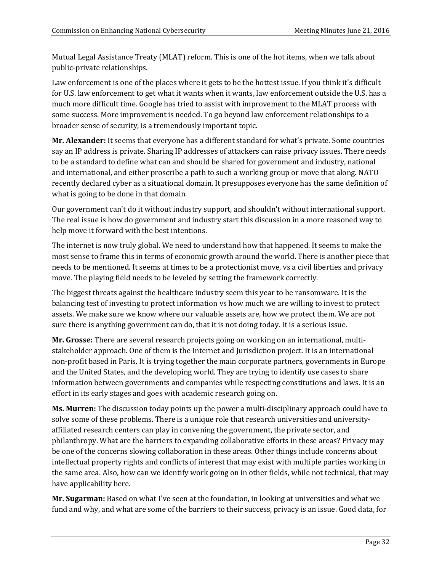Mutual Legal Assistance Treaty (MLAT) reform. This is one of the hot items, when we talk about public-private relationships.

Law enforcement is one of the places where it gets to be the hottest issue. If you think it's difficult for U.S. law enforcement to get what it wants when it wants, law enforcement outside the U.S. has a much more difficult time. Google has tried to assist with improvement to the MLAT process with some success. More improvement is needed. To go beyond law enforcement relationships to a broader sense of security, is a tremendously important topic.

**Mr. Alexander:** It seems that everyone has a different standard for what's private. Some countries say an IP address is private. Sharing IP addresses of attackers can raise privacy issues. There needs to be a standard to define what can and should be shared for government and industry, national and international, and either proscribe a path to such a working group or move that along. NATO recently declared cyber as a situational domain. It presupposes everyone has the same definition of what is going to be done in that domain.

Our government can't do it without industry support, and shouldn't without international support. The real issue is how do government and industry start this discussion in a more reasoned way to help move it forward with the best intentions.

The internet is now truly global. We need to understand how that happened. It seems to make the most sense to frame this in terms of economic growth around the world. There is another piece that needs to be mentioned. It seems at times to be a protectionist move, vs a civil liberties and privacy move. The playing field needs to be leveled by setting the framework correctly.

The biggest threats against the healthcare industry seem this year to be ransomware. It is the balancing test of investing to protect information vs how much we are willing to invest to protect assets. We make sure we know where our valuable assets are, how we protect them. We are not sure there is anything government can do, that it is not doing today. It is a serious issue.

**Mr. Grosse:** There are several research projects going on working on an international, multistakeholder approach. One of them is the Internet and Jurisdiction project. It is an international non-profit based in Paris. It is trying together the main corporate partners, governments in Europe and the United States, and the developing world. They are trying to identify use cases to share information between governments and companies while respecting constitutions and laws. It is an effort in its early stages and goes with academic research going on.

**Ms. Murren:** The discussion today points up the power a multi-disciplinary approach could have to solve some of these problems. There is a unique role that research universities and universityaffiliated research centers can play in convening the government, the private sector, and philanthropy. What are the barriers to expanding collaborative efforts in these areas? Privacy may be one of the concerns slowing collaboration in these areas. Other things include concerns about intellectual property rights and conflicts of interest that may exist with multiple parties working in the same area. Also, how can we identify work going on in other fields, while not technical, that may have applicability here.

**Mr. Sugarman:** Based on what I've seen at the foundation, in looking at universities and what we fund and why, and what are some of the barriers to their success, privacy is an issue. Good data, for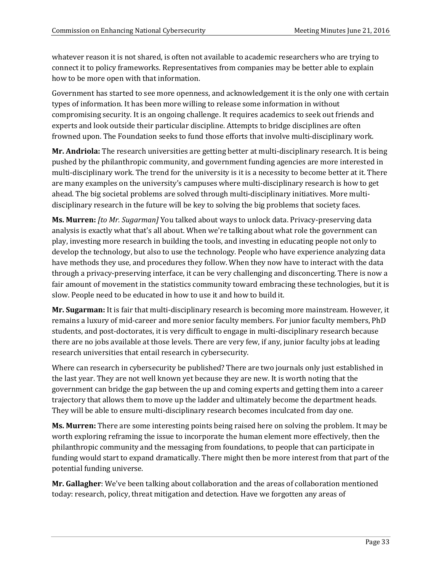whatever reason it is not shared, is often not available to academic researchers who are trying to connect it to policy frameworks. Representatives from companies may be better able to explain how to be more open with that information.

Government has started to see more openness, and acknowledgement it is the only one with certain types of information. It has been more willing to release some information in without compromising security. It is an ongoing challenge. It requires academics to seek out friends and experts and look outside their particular discipline. Attempts to bridge disciplines are often frowned upon. The Foundation seeks to fund those efforts that involve multi-disciplinary work.

**Mr. Andriola:** The research universities are getting better at multi-disciplinary research. It is being pushed by the philanthropic community, and government funding agencies are more interested in multi-disciplinary work. The trend for the university is it is a necessity to become better at it. There are many examples on the university's campuses where multi-disciplinary research is how to get ahead. The big societal problems are solved through multi-disciplinary initiatives. More multidisciplinary research in the future will be key to solving the big problems that society faces.

**Ms. Murren:** *[to Mr. Sugarman]* You talked about ways to unlock data. Privacy-preserving data analysis is exactly what that's all about. When we're talking about what role the government can play, investing more research in building the tools, and investing in educating people not only to develop the technology, but also to use the technology. People who have experience analyzing data have methods they use, and procedures they follow. When they now have to interact with the data through a privacy-preserving interface, it can be very challenging and disconcerting. There is now a fair amount of movement in the statistics community toward embracing these technologies, but it is slow. People need to be educated in how to use it and how to build it.

**Mr. Sugarman:** It is fair that multi-disciplinary research is becoming more mainstream. However, it remains a luxury of mid-career and more senior faculty members. For junior faculty members, PhD students, and post-doctorates, it is very difficult to engage in multi-disciplinary research because there are no jobs available at those levels. There are very few, if any, junior faculty jobs at leading research universities that entail research in cybersecurity.

Where can research in cybersecurity be published? There are two journals only just established in the last year. They are not well known yet because they are new. It is worth noting that the government can bridge the gap between the up and coming experts and getting them into a career trajectory that allows them to move up the ladder and ultimately become the department heads. They will be able to ensure multi-disciplinary research becomes inculcated from day one.

**Ms. Murren:** There are some interesting points being raised here on solving the problem. It may be worth exploring reframing the issue to incorporate the human element more effectively, then the philanthropic community and the messaging from foundations, to people that can participate in funding would start to expand dramatically. There might then be more interest from that part of the potential funding universe.

**Mr. Gallagher**: We've been talking about collaboration and the areas of collaboration mentioned today: research, policy, threat mitigation and detection. Have we forgotten any areas of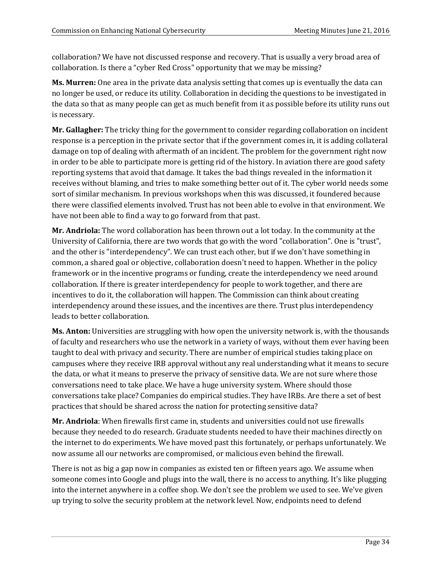collaboration? We have not discussed response and recovery. That is usually a very broad area of collaboration. Is there a "cyber Red Cross" opportunity that we may be missing?

**Ms. Murren:** One area in the private data analysis setting that comes up is eventually the data can no longer be used, or reduce its utility. Collaboration in deciding the questions to be investigated in the data so that as many people can get as much benefit from it as possible before its utility runs out is necessary.

**Mr. Gallagher:** The tricky thing for the government to consider regarding collaboration on incident response is a perception in the private sector that if the government comes in, it is adding collateral damage on top of dealing with aftermath of an incident. The problem for the government right now in order to be able to participate more is getting rid of the history. In aviation there are good safety reporting systems that avoid that damage. It takes the bad things revealed in the information it receives without blaming, and tries to make something better out of it. The cyber world needs some sort of similar mechanism. In previous workshops when this was discussed, it foundered because there were classified elements involved. Trust has not been able to evolve in that environment. We have not been able to find a way to go forward from that past.

**Mr. Andriola:** The word collaboration has been thrown out a lot today. In the community at the University of California, there are two words that go with the word "collaboration". One is "trust", and the other is "interdependency". We can trust each other, but if we don't have something in common, a shared goal or objective, collaboration doesn't need to happen. Whether in the policy framework or in the incentive programs or funding, create the interdependency we need around collaboration. If there is greater interdependency for people to work together, and there are incentives to do it, the collaboration will happen. The Commission can think about creating interdependency around these issues, and the incentives are there. Trust plus interdependency leads to better collaboration.

**Ms. Anton:** Universities are struggling with how open the university network is, with the thousands of faculty and researchers who use the network in a variety of ways, without them ever having been taught to deal with privacy and security. There are number of empirical studies taking place on campuses where they receive IRB approval without any real understanding what it means to secure the data, or what it means to preserve the privacy of sensitive data. We are not sure where those conversations need to take place. We have a huge university system. Where should those conversations take place? Companies do empirical studies. They have IRBs. Are there a set of best practices that should be shared across the nation for protecting sensitive data?

**Mr. Andriola**: When firewalls first came in, students and universities could not use firewalls because they needed to do research. Graduate students needed to have their machines directly on the internet to do experiments. We have moved past this fortunately, or perhaps unfortunately. We now assume all our networks are compromised, or malicious even behind the firewall.

There is not as big a gap now in companies as existed ten or fifteen years ago. We assume when someone comes into Google and plugs into the wall, there is no access to anything. It's like plugging into the internet anywhere in a coffee shop. We don't see the problem we used to see. We've given up trying to solve the security problem at the network level. Now, endpoints need to defend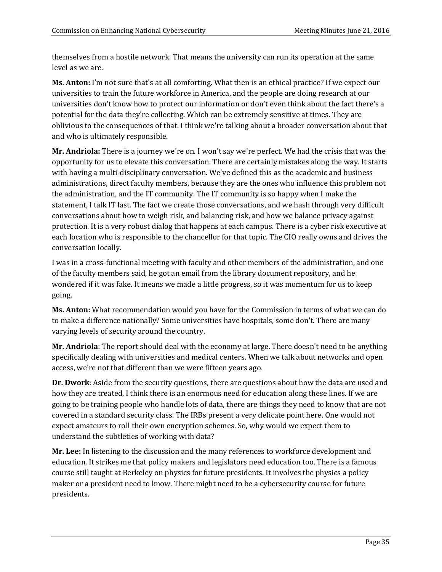themselves from a hostile network. That means the university can run its operation at the same level as we are.

**Ms. Anton:** I'm not sure that's at all comforting. What then is an ethical practice? If we expect our universities to train the future workforce in America, and the people are doing research at our universities don't know how to protect our information or don't even think about the fact there's a potential for the data they're collecting. Which can be extremely sensitive at times. They are oblivious to the consequences of that. I think we're talking about a broader conversation about that and who is ultimately responsible.

**Mr. Andriola:** There is a journey we're on. I won't say we're perfect. We had the crisis that was the opportunity for us to elevate this conversation. There are certainly mistakes along the way. It starts with having a multi-disciplinary conversation. We've defined this as the academic and business administrations, direct faculty members, because they are the ones who influence this problem not the administration, and the IT community. The IT community is so happy when I make the statement, I talk IT last. The fact we create those conversations, and we hash through very difficult conversations about how to weigh risk, and balancing risk, and how we balance privacy against protection. It is a very robust dialog that happens at each campus. There is a cyber risk executive at each location who is responsible to the chancellor for that topic. The CIO really owns and drives the conversation locally.

I was in a cross-functional meeting with faculty and other members of the administration, and one of the faculty members said, he got an email from the library document repository, and he wondered if it was fake. It means we made a little progress, so it was momentum for us to keep going.

**Ms. Anton:** What recommendation would you have for the Commission in terms of what we can do to make a difference nationally? Some universities have hospitals, some don't. There are many varying levels of security around the country.

**Mr. Andriola**: The report should deal with the economy at large. There doesn't need to be anything specifically dealing with universities and medical centers. When we talk about networks and open access, we're not that different than we were fifteen years ago.

**Dr. Dwork**: Aside from the security questions, there are questions about how the data are used and how they are treated. I think there is an enormous need for education along these lines. If we are going to be training people who handle lots of data, there are things they need to know that are not covered in a standard security class. The IRBs present a very delicate point here. One would not expect amateurs to roll their own encryption schemes. So, why would we expect them to understand the subtleties of working with data?

**Mr. Lee:** In listening to the discussion and the many references to workforce development and education. It strikes me that policy makers and legislators need education too. There is a famous course still taught at Berkeley on physics for future presidents. It involves the physics a policy maker or a president need to know. There might need to be a cybersecurity course for future presidents.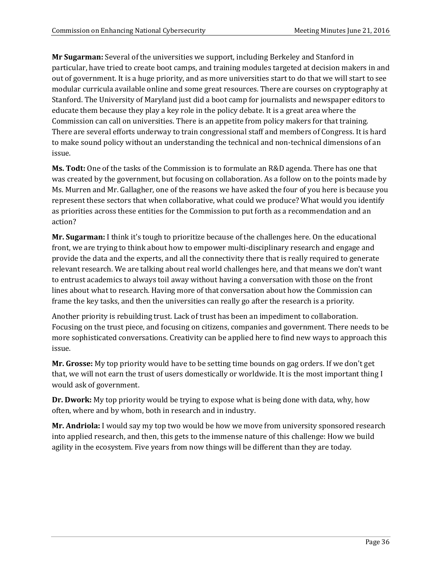**Mr Sugarman:** Several of the universities we support, including Berkeley and Stanford in particular, have tried to create boot camps, and training modules targeted at decision makers in and out of government. It is a huge priority, and as more universities start to do that we will start to see modular curricula available online and some great resources. There are courses on cryptography at Stanford. The University of Maryland just did a boot camp for journalists and newspaper editors to educate them because they play a key role in the policy debate. It is a great area where the Commission can call on universities. There is an appetite from policy makers for that training. There are several efforts underway to train congressional staff and members of Congress. It is hard to make sound policy without an understanding the technical and non-technical dimensions of an issue.

**Ms. Todt:** One of the tasks of the Commission is to formulate an R&D agenda. There has one that was created by the government, but focusing on collaboration. As a follow on to the points made by Ms. Murren and Mr. Gallagher, one of the reasons we have asked the four of you here is because you represent these sectors that when collaborative, what could we produce? What would you identify as priorities across these entities for the Commission to put forth as a recommendation and an action?

**Mr. Sugarman:** I think it's tough to prioritize because of the challenges here. On the educational front, we are trying to think about how to empower multi-disciplinary research and engage and provide the data and the experts, and all the connectivity there that is really required to generate relevant research. We are talking about real world challenges here, and that means we don't want to entrust academics to always toil away without having a conversation with those on the front lines about what to research. Having more of that conversation about how the Commission can frame the key tasks, and then the universities can really go after the research is a priority.

Another priority is rebuilding trust. Lack of trust has been an impediment to collaboration. Focusing on the trust piece, and focusing on citizens, companies and government. There needs to be more sophisticated conversations. Creativity can be applied here to find new ways to approach this issue.

**Mr. Grosse:** My top priority would have to be setting time bounds on gag orders. If we don't get that, we will not earn the trust of users domestically or worldwide. It is the most important thing I would ask of government.

**Dr. Dwork:** My top priority would be trying to expose what is being done with data, why, how often, where and by whom, both in research and in industry.

**Mr. Andriola:** I would say my top two would be how we move from university sponsored research into applied research, and then, this gets to the immense nature of this challenge: How we build agility in the ecosystem. Five years from now things will be different than they are today.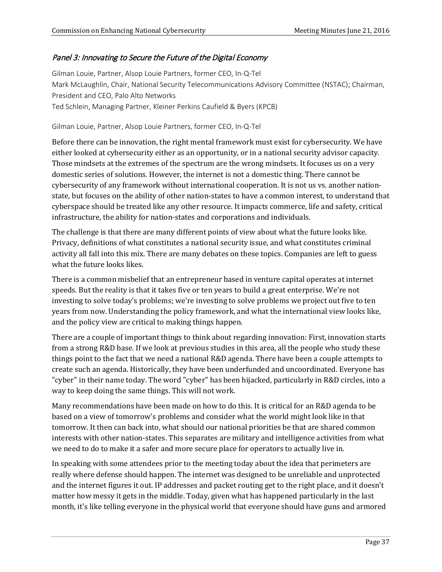# Panel 3: Innovating to Secure the Future of the Digital Economy

Gilman Louie, Partner, Alsop Louie Partners, former CEO, In-Q-Tel Mark McLaughlin, Chair, National Security Telecommunications Advisory Committee (NSTAC); Chairman, President and CEO, Palo Alto Networks Ted Schlein, Managing Partner, Kleiner Perkins Caufield & Byers (KPCB)

#### Gilman Louie, Partner, Alsop Louie Partners, former CEO, In-Q-Tel

Before there can be innovation, the right mental framework must exist for cybersecurity. We have either looked at cybersecurity either as an opportunity, or in a national security advisor capacity. Those mindsets at the extremes of the spectrum are the wrong mindsets. It focuses us on a very domestic series of solutions. However, the internet is not a domestic thing. There cannot be cybersecurity of any framework without international cooperation. It is not us vs. another nationstate, but focuses on the ability of other nation-states to have a common interest, to understand that cyberspace should be treated like any other resource. It impacts commerce, life and safety, critical infrastructure, the ability for nation-states and corporations and individuals.

The challenge is that there are many different points of view about what the future looks like. Privacy, definitions of what constitutes a national security issue, and what constitutes criminal activity all fall into this mix. There are many debates on these topics. Companies are left to guess what the future looks likes.

There is a common misbelief that an entrepreneur based in venture capital operates at internet speeds. But the reality is that it takes five or ten years to build a great enterprise. We're not investing to solve today's problems; we're investing to solve problems we project out five to ten years from now. Understanding the policy framework, and what the international view looks like, and the policy view are critical to making things happen.

There are a couple of important things to think about regarding innovation: First, innovation starts from a strong R&D base. If we look at previous studies in this area, all the people who study these things point to the fact that we need a national R&D agenda. There have been a couple attempts to create such an agenda. Historically, they have been underfunded and uncoordinated. Everyone has "cyber" in their name today. The word "cyber" has been hijacked, particularly in R&D circles, into a way to keep doing the same things. This will not work.

Many recommendations have been made on how to do this. It is critical for an R&D agenda to be based on a view of tomorrow's problems and consider what the world might look like in that tomorrow. It then can back into, what should our national priorities be that are shared common interests with other nation-states. This separates are military and intelligence activities from what we need to do to make it a safer and more secure place for operators to actually live in.

In speaking with some attendees prior to the meeting today about the idea that perimeters are really where defense should happen. The internet was designed to be unreliable and unprotected and the internet figures it out. IP addresses and packet routing get to the right place, and it doesn't matter how messy it gets in the middle. Today, given what has happened particularly in the last month, it's like telling everyone in the physical world that everyone should have guns and armored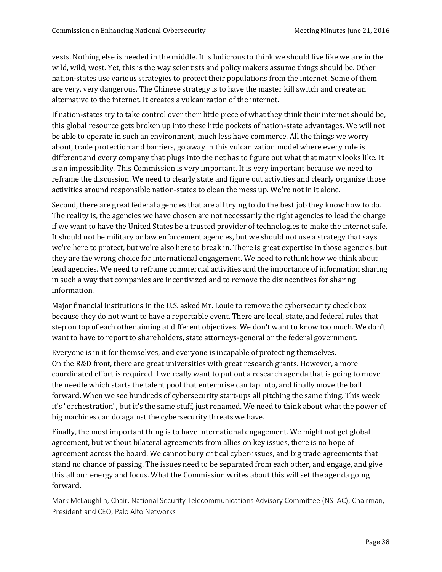vests. Nothing else is needed in the middle. It is ludicrous to think we should live like we are in the wild, wild, west. Yet, this is the way scientists and policy makers assume things should be. Other nation-states use various strategies to protect their populations from the internet. Some of them are very, very dangerous. The Chinese strategy is to have the master kill switch and create an alternative to the internet. It creates a vulcanization of the internet.

If nation-states try to take control over their little piece of what they think their internet should be, this global resource gets broken up into these little pockets of nation-state advantages. We will not be able to operate in such an environment, much less have commerce. All the things we worry about, trade protection and barriers, go away in this vulcanization model where every rule is different and every company that plugs into the net has to figure out what that matrix looks like. It is an impossibility. This Commission is very important. It is very important because we need to reframe the discussion. We need to clearly state and figure out activities and clearly organize those activities around responsible nation-states to clean the mess up. We're not in it alone.

Second, there are great federal agencies that are all trying to do the best job they know how to do. The reality is, the agencies we have chosen are not necessarily the right agencies to lead the charge if we want to have the United States be a trusted provider of technologies to make the internet safe. It should not be military or law enforcement agencies, but we should not use a strategy that says we're here to protect, but we're also here to break in. There is great expertise in those agencies, but they are the wrong choice for international engagement. We need to rethink how we think about lead agencies. We need to reframe commercial activities and the importance of information sharing in such a way that companies are incentivized and to remove the disincentives for sharing information.

Major financial institutions in the U.S. asked Mr. Louie to remove the cybersecurity check box because they do not want to have a reportable event. There are local, state, and federal rules that step on top of each other aiming at different objectives. We don't want to know too much. We don't want to have to report to shareholders, state attorneys-general or the federal government.

Everyone is in it for themselves, and everyone is incapable of protecting themselves. On the R&D front, there are great universities with great research grants. However, a more coordinated effort is required if we really want to put out a research agenda that is going to move the needle which starts the talent pool that enterprise can tap into, and finally move the ball forward. When we see hundreds of cybersecurity start-ups all pitching the same thing. This week it's "orchestration", but it's the same stuff, just renamed. We need to think about what the power of big machines can do against the cybersecurity threats we have.

Finally, the most important thing is to have international engagement. We might not get global agreement, but without bilateral agreements from allies on key issues, there is no hope of agreement across the board. We cannot bury critical cyber-issues, and big trade agreements that stand no chance of passing. The issues need to be separated from each other, and engage, and give this all our energy and focus. What the Commission writes about this will set the agenda going forward.

Mark McLaughlin, Chair, National Security Telecommunications Advisory Committee (NSTAC); Chairman, President and CEO, Palo Alto Networks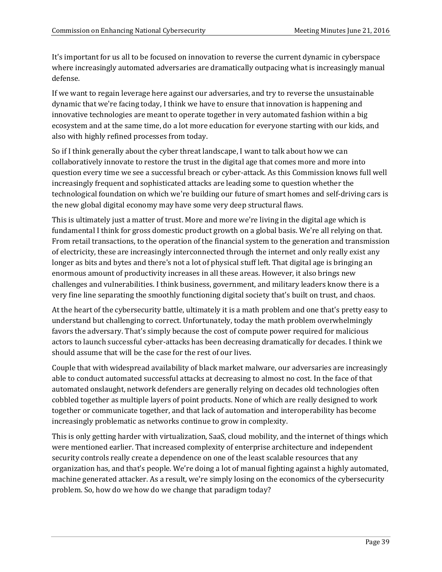It's important for us all to be focused on innovation to reverse the current dynamic in cyberspace where increasingly automated adversaries are dramatically outpacing what is increasingly manual defense.

If we want to regain leverage here against our adversaries, and try to reverse the unsustainable dynamic that we're facing today, I think we have to ensure that innovation is happening and innovative technologies are meant to operate together in very automated fashion within a big ecosystem and at the same time, do a lot more education for everyone starting with our kids, and also with highly refined processes from today.

So if I think generally about the cyber threat landscape, I want to talk about how we can collaboratively innovate to restore the trust in the digital age that comes more and more into question every time we see a successful breach or cyber-attack. As this Commission knows full well increasingly frequent and sophisticated attacks are leading some to question whether the technological foundation on which we're building our future of smart homes and self-driving cars is the new global digital economy may have some very deep structural flaws.

This is ultimately just a matter of trust. More and more we're living in the digital age which is fundamental I think for gross domestic product growth on a global basis. We're all relying on that. From retail transactions, to the operation of the financial system to the generation and transmission of electricity, these are increasingly interconnected through the internet and only really exist any longer as bits and bytes and there's not a lot of physical stuff left. That digital age is bringing an enormous amount of productivity increases in all these areas. However, it also brings new challenges and vulnerabilities. I think business, government, and military leaders know there is a very fine line separating the smoothly functioning digital society that's built on trust, and chaos.

At the heart of the cybersecurity battle, ultimately it is a math problem and one that's pretty easy to understand but challenging to correct. Unfortunately, today the math problem overwhelmingly favors the adversary. That's simply because the cost of compute power required for malicious actors to launch successful cyber-attacks has been decreasing dramatically for decades. I think we should assume that will be the case for the rest of our lives.

Couple that with widespread availability of black market malware, our adversaries are increasingly able to conduct automated successful attacks at decreasing to almost no cost. In the face of that automated onslaught, network defenders are generally relying on decades old technologies often cobbled together as multiple layers of point products. None of which are really designed to work together or communicate together, and that lack of automation and interoperability has become increasingly problematic as networks continue to grow in complexity.

This is only getting harder with virtualization, SaaS, cloud mobility, and the internet of things which were mentioned earlier. That increased complexity of enterprise architecture and independent security controls really create a dependence on one of the least scalable resources that any organization has, and that's people. We're doing a lot of manual fighting against a highly automated, machine generated attacker. As a result, we're simply losing on the economics of the cybersecurity problem. So, how do we how do we change that paradigm today?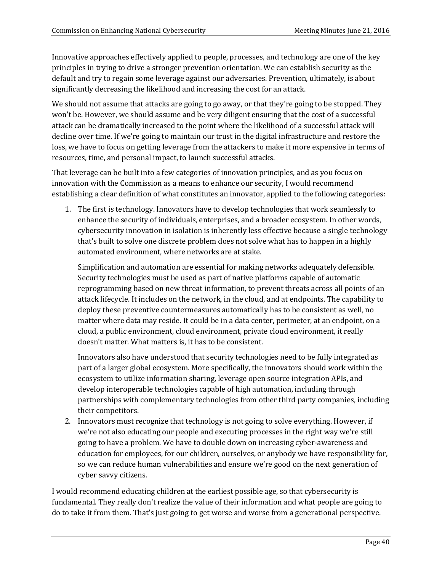Innovative approaches effectively applied to people, processes, and technology are one of the key principles in trying to drive a stronger prevention orientation. We can establish security as the default and try to regain some leverage against our adversaries. Prevention, ultimately, is about significantly decreasing the likelihood and increasing the cost for an attack.

We should not assume that attacks are going to go away, or that they're going to be stopped. They won't be. However, we should assume and be very diligent ensuring that the cost of a successful attack can be dramatically increased to the point where the likelihood of a successful attack will decline over time. If we're going to maintain our trust in the digital infrastructure and restore the loss, we have to focus on getting leverage from the attackers to make it more expensive in terms of resources, time, and personal impact, to launch successful attacks.

That leverage can be built into a few categories of innovation principles, and as you focus on innovation with the Commission as a means to enhance our security, I would recommend establishing a clear definition of what constitutes an innovator, applied to the following categories:

1. The first is technology. Innovators have to develop technologies that work seamlessly to enhance the security of individuals, enterprises, and a broader ecosystem. In other words, cybersecurity innovation in isolation is inherently less effective because a single technology that's built to solve one discrete problem does not solve what has to happen in a highly automated environment, where networks are at stake.

Simplification and automation are essential for making networks adequately defensible. Security technologies must be used as part of native platforms capable of automatic reprogramming based on new threat information, to prevent threats across all points of an attack lifecycle. It includes on the network, in the cloud, and at endpoints. The capability to deploy these preventive countermeasures automatically has to be consistent as well, no matter where data may reside. It could be in a data center, perimeter, at an endpoint, on a cloud, a public environment, cloud environment, private cloud environment, it really doesn't matter. What matters is, it has to be consistent.

Innovators also have understood that security technologies need to be fully integrated as part of a larger global ecosystem. More specifically, the innovators should work within the ecosystem to utilize information sharing, leverage open source integration APIs, and develop interoperable technologies capable of high automation, including through partnerships with complementary technologies from other third party companies, including their competitors.

2. Innovators must recognize that technology is not going to solve everything. However, if we're not also educating our people and executing processes in the right way we're still going to have a problem. We have to double down on increasing cyber-awareness and education for employees, for our children, ourselves, or anybody we have responsibility for, so we can reduce human vulnerabilities and ensure we're good on the next generation of cyber savvy citizens.

I would recommend educating children at the earliest possible age, so that cybersecurity is fundamental. They really don't realize the value of their information and what people are going to do to take it from them. That's just going to get worse and worse from a generational perspective.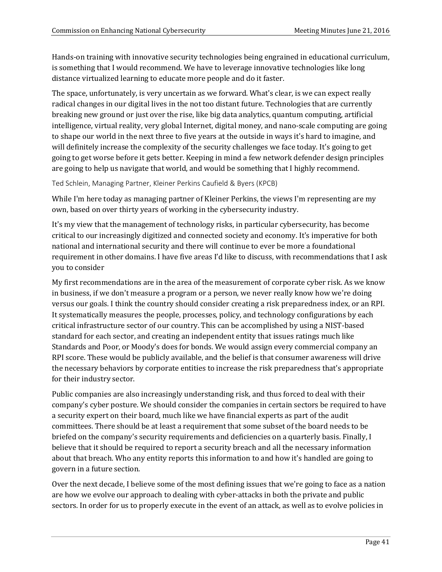Hands-on training with innovative security technologies being engrained in educational curriculum, is something that I would recommend. We have to leverage innovative technologies like long distance virtualized learning to educate more people and do it faster.

The space, unfortunately, is very uncertain as we forward. What's clear, is we can expect really radical changes in our digital lives in the not too distant future. Technologies that are currently breaking new ground or just over the rise, like big data analytics, quantum computing, artificial intelligence, virtual reality, very global Internet, digital money, and nano-scale computing are going to shape our world in the next three to five years at the outside in ways it's hard to imagine, and will definitely increase the complexity of the security challenges we face today. It's going to get going to get worse before it gets better. Keeping in mind a few network defender design principles are going to help us navigate that world, and would be something that I highly recommend.

Ted Schlein, Managing Partner, Kleiner Perkins Caufield & Byers (KPCB)

While I'm here today as managing partner of Kleiner Perkins, the views I'm representing are my own, based on over thirty years of working in the cybersecurity industry.

It's my view that the management of technology risks, in particular cybersecurity, has become critical to our increasingly digitized and connected society and economy. It's imperative for both national and international security and there will continue to ever be more a foundational requirement in other domains. I have five areas I'd like to discuss, with recommendations that I ask you to consider

My first recommendations are in the area of the measurement of corporate cyber risk. As we know in business, if we don't measure a program or a person, we never really know how we're doing versus our goals. I think the country should consider creating a risk preparedness index, or an RPI. It systematically measures the people, processes, policy, and technology configurations by each critical infrastructure sector of our country. This can be accomplished by using a NIST-based standard for each sector, and creating an independent entity that issues ratings much like Standards and Poor, or Moody's does for bonds. We would assign every commercial company an RPI score. These would be publicly available, and the belief is that consumer awareness will drive the necessary behaviors by corporate entities to increase the risk preparedness that's appropriate for their industry sector.

Public companies are also increasingly understanding risk, and thus forced to deal with their company's cyber posture. We should consider the companies in certain sectors be required to have a security expert on their board, much like we have financial experts as part of the audit committees. There should be at least a requirement that some subset of the board needs to be briefed on the company's security requirements and deficiencies on a quarterly basis. Finally, I believe that it should be required to report a security breach and all the necessary information about that breach. Who any entity reports this information to and how it's handled are going to govern in a future section.

Over the next decade, I believe some of the most defining issues that we're going to face as a nation are how we evolve our approach to dealing with cyber-attacks in both the private and public sectors. In order for us to properly execute in the event of an attack, as well as to evolve policies in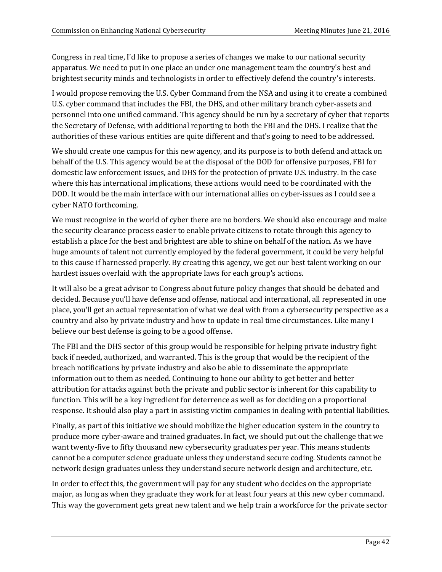Congress in real time, I'd like to propose a series of changes we make to our national security apparatus. We need to put in one place an under one management team the country's best and brightest security minds and technologists in order to effectively defend the country's interests.

I would propose removing the U.S. Cyber Command from the NSA and using it to create a combined U.S. cyber command that includes the FBI, the DHS, and other military branch cyber-assets and personnel into one unified command. This agency should be run by a secretary of cyber that reports the Secretary of Defense, with additional reporting to both the FBI and the DHS. I realize that the authorities of these various entities are quite different and that's going to need to be addressed.

We should create one campus for this new agency, and its purpose is to both defend and attack on behalf of the U.S. This agency would be at the disposal of the DOD for offensive purposes, FBI for domestic law enforcement issues, and DHS for the protection of private U.S. industry. In the case where this has international implications, these actions would need to be coordinated with the DOD. It would be the main interface with our international allies on cyber-issues as I could see a cyber NATO forthcoming.

We must recognize in the world of cyber there are no borders. We should also encourage and make the security clearance process easier to enable private citizens to rotate through this agency to establish a place for the best and brightest are able to shine on behalf of the nation. As we have huge amounts of talent not currently employed by the federal government, it could be very helpful to this cause if harnessed properly. By creating this agency, we get our best talent working on our hardest issues overlaid with the appropriate laws for each group's actions.

It will also be a great advisor to Congress about future policy changes that should be debated and decided. Because you'll have defense and offense, national and international, all represented in one place, you'll get an actual representation of what we deal with from a cybersecurity perspective as a country and also by private industry and how to update in real time circumstances. Like many I believe our best defense is going to be a good offense.

The FBI and the DHS sector of this group would be responsible for helping private industry fight back if needed, authorized, and warranted. This is the group that would be the recipient of the breach notifications by private industry and also be able to disseminate the appropriate information out to them as needed. Continuing to hone our ability to get better and better attribution for attacks against both the private and public sector is inherent for this capability to function. This will be a key ingredient for deterrence as well as for deciding on a proportional response. It should also play a part in assisting victim companies in dealing with potential liabilities.

Finally, as part of this initiative we should mobilize the higher education system in the country to produce more cyber-aware and trained graduates. In fact, we should put out the challenge that we want twenty-five to fifty thousand new cybersecurity graduates per year. This means students cannot be a computer science graduate unless they understand secure coding. Students cannot be network design graduates unless they understand secure network design and architecture, etc.

In order to effect this, the government will pay for any student who decides on the appropriate major, as long as when they graduate they work for at least four years at this new cyber command. This way the government gets great new talent and we help train a workforce for the private sector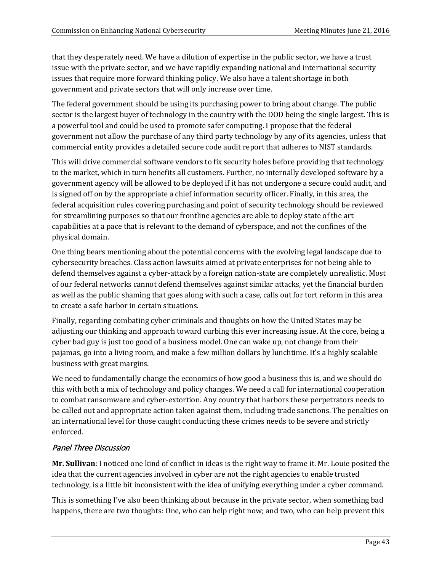that they desperately need. We have a dilution of expertise in the public sector, we have a trust issue with the private sector, and we have rapidly expanding national and international security issues that require more forward thinking policy. We also have a talent shortage in both government and private sectors that will only increase over time.

The federal government should be using its purchasing power to bring about change. The public sector is the largest buyer of technology in the country with the DOD being the single largest. This is a powerful tool and could be used to promote safer computing. I propose that the federal government not allow the purchase of any third party technology by any of its agencies, unless that commercial entity provides a detailed secure code audit report that adheres to NIST standards.

This will drive commercial software vendors to fix security holes before providing that technology to the market, which in turn benefits all customers. Further, no internally developed software by a government agency will be allowed to be deployed if it has not undergone a secure could audit, and is signed off on by the appropriate a chief information security officer. Finally, in this area, the federal acquisition rules covering purchasing and point of security technology should be reviewed for streamlining purposes so that our frontline agencies are able to deploy state of the art capabilities at a pace that is relevant to the demand of cyberspace, and not the confines of the physical domain.

One thing bears mentioning about the potential concerns with the evolving legal landscape due to cybersecurity breaches. Class action lawsuits aimed at private enterprises for not being able to defend themselves against a cyber-attack by a foreign nation-state are completely unrealistic. Most of our federal networks cannot defend themselves against similar attacks, yet the financial burden as well as the public shaming that goes along with such a case, calls out for tort reform in this area to create a safe harbor in certain situations.

Finally, regarding combating cyber criminals and thoughts on how the United States may be adjusting our thinking and approach toward curbing this ever increasing issue. At the core, being a cyber bad guy is just too good of a business model. One can wake up, not change from their pajamas, go into a living room, and make a few million dollars by lunchtime. It's a highly scalable business with great margins.

We need to fundamentally change the economics of how good a business this is, and we should do this with both a mix of technology and policy changes. We need a call for international cooperation to combat ransomware and cyber-extortion. Any country that harbors these perpetrators needs to be called out and appropriate action taken against them, including trade sanctions. The penalties on an international level for those caught conducting these crimes needs to be severe and strictly enforced.

# Panel Three Discussion

**Mr. Sullivan**: I noticed one kind of conflict in ideas is the right way to frame it. Mr. Louie posited the idea that the current agencies involved in cyber are not the right agencies to enable trusted technology, is a little bit inconsistent with the idea of unifying everything under a cyber command.

This is something I've also been thinking about because in the private sector, when something bad happens, there are two thoughts: One, who can help right now; and two, who can help prevent this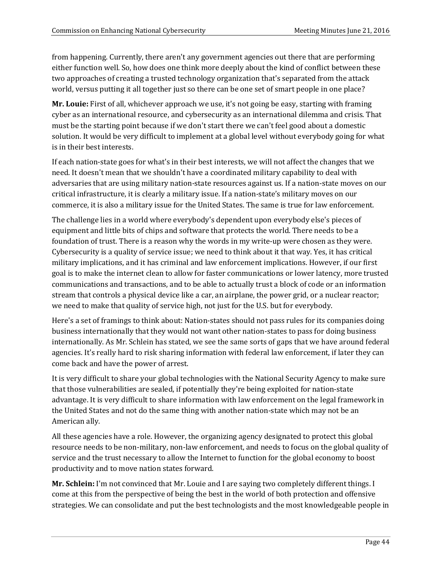from happening. Currently, there aren't any government agencies out there that are performing either function well. So, how does one think more deeply about the kind of conflict between these two approaches of creating a trusted technology organization that's separated from the attack world, versus putting it all together just so there can be one set of smart people in one place?

**Mr. Louie:** First of all, whichever approach we use, it's not going be easy, starting with framing cyber as an international resource, and cybersecurity as an international dilemma and crisis. That must be the starting point because if we don't start there we can't feel good about a domestic solution. It would be very difficult to implement at a global level without everybody going for what is in their best interests.

If each nation-state goes for what's in their best interests, we will not affect the changes that we need. It doesn't mean that we shouldn't have a coordinated military capability to deal with adversaries that are using military nation-state resources against us. If a nation-state moves on our critical infrastructure, it is clearly a military issue. If a nation-state's military moves on our commerce, it is also a military issue for the United States. The same is true for law enforcement.

The challenge lies in a world where everybody's dependent upon everybody else's pieces of equipment and little bits of chips and software that protects the world. There needs to be a foundation of trust. There is a reason why the words in my write-up were chosen as they were. Cybersecurity is a quality of service issue; we need to think about it that way. Yes, it has critical military implications, and it has criminal and law enforcement implications. However, if our first goal is to make the internet clean to allow for faster communications or lower latency, more trusted communications and transactions, and to be able to actually trust a block of code or an information stream that controls a physical device like a car, an airplane, the power grid, or a nuclear reactor; we need to make that quality of service high, not just for the U.S. but for everybody.

Here's a set of framings to think about: Nation-states should not pass rules for its companies doing business internationally that they would not want other nation-states to pass for doing business internationally. As Mr. Schlein has stated, we see the same sorts of gaps that we have around federal agencies. It's really hard to risk sharing information with federal law enforcement, if later they can come back and have the power of arrest.

It is very difficult to share your global technologies with the National Security Agency to make sure that those vulnerabilities are sealed, if potentially they're being exploited for nation-state advantage. It is very difficult to share information with law enforcement on the legal framework in the United States and not do the same thing with another nation-state which may not be an American ally.

All these agencies have a role. However, the organizing agency designated to protect this global resource needs to be non-military, non-law enforcement, and needs to focus on the global quality of service and the trust necessary to allow the Internet to function for the global economy to boost productivity and to move nation states forward.

**Mr. Schlein:** I'm not convinced that Mr. Louie and I are saying two completely different things. I come at this from the perspective of being the best in the world of both protection and offensive strategies. We can consolidate and put the best technologists and the most knowledgeable people in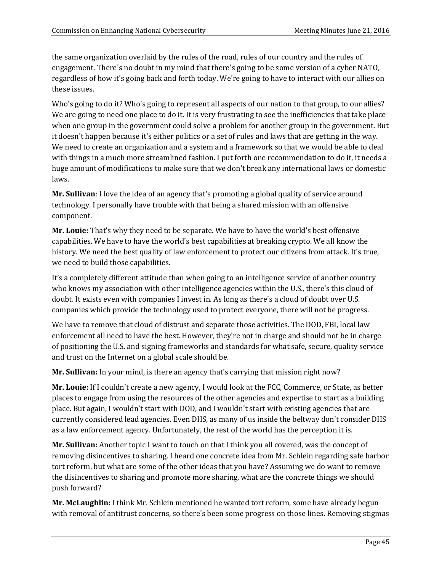the same organization overlaid by the rules of the road, rules of our country and the rules of engagement. There's no doubt in my mind that there's going to be some version of a cyber NATO, regardless of how it's going back and forth today. We're going to have to interact with our allies on these issues.

Who's going to do it? Who's going to represent all aspects of our nation to that group, to our allies? We are going to need one place to do it. It is very frustrating to see the inefficiencies that take place when one group in the government could solve a problem for another group in the government. But it doesn't happen because it's either politics or a set of rules and laws that are getting in the way. We need to create an organization and a system and a framework so that we would be able to deal with things in a much more streamlined fashion. I put forth one recommendation to do it, it needs a huge amount of modifications to make sure that we don't break any international laws or domestic laws.

**Mr. Sullivan**: I love the idea of an agency that's promoting a global quality of service around technology. I personally have trouble with that being a shared mission with an offensive component.

**Mr. Louie:** That's why they need to be separate. We have to have the world's best offensive capabilities. We have to have the world's best capabilities at breaking crypto. We all know the history. We need the best quality of law enforcement to protect our citizens from attack. It's true, we need to build those capabilities.

It's a completely different attitude than when going to an intelligence service of another country who knows my association with other intelligence agencies within the U.S., there's this cloud of doubt. It exists even with companies I invest in. As long as there's a cloud of doubt over U.S. companies which provide the technology used to protect everyone, there will not be progress.

We have to remove that cloud of distrust and separate those activities. The DOD, FBI, local law enforcement all need to have the best. However, they're not in charge and should not be in charge of positioning the U.S. and signing frameworks and standards for what safe, secure, quality service and trust on the Internet on a global scale should be.

**Mr. Sullivan:** In your mind, is there an agency that's carrying that mission right now?

**Mr. Louie:** If I couldn't create a new agency, I would look at the FCC, Commerce, or State, as better places to engage from using the resources of the other agencies and expertise to start as a building place. But again, I wouldn't start with DOD, and I wouldn't start with existing agencies that are currently considered lead agencies. Even DHS, as many of us inside the beltway don't consider DHS as a law enforcement agency. Unfortunately, the rest of the world has the perception it is.

**Mr. Sullivan:** Another topic I want to touch on that I think you all covered, was the concept of removing disincentives to sharing. I heard one concrete idea from Mr. Schlein regarding safe harbor tort reform, but what are some of the other ideas that you have? Assuming we do want to remove the disincentives to sharing and promote more sharing, what are the concrete things we should push forward?

**Mr. McLaughlin:** I think Mr. Schlein mentioned he wanted tort reform, some have already begun with removal of antitrust concerns, so there's been some progress on those lines. Removing stigmas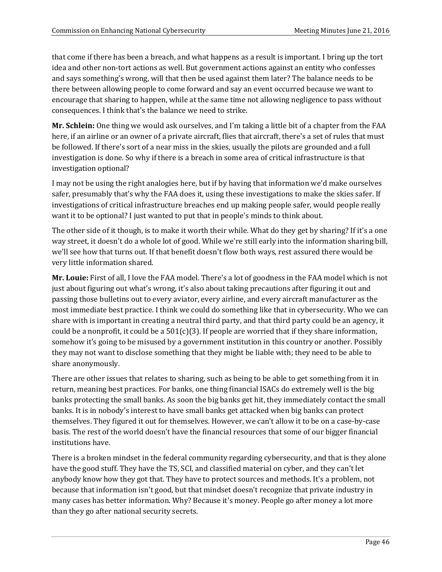that come if there has been a breach, and what happens as a result is important. I bring up the tort idea and other non-tort actions as well. But government actions against an entity who confesses and says something's wrong, will that then be used against them later? The balance needs to be there between allowing people to come forward and say an event occurred because we want to encourage that sharing to happen, while at the same time not allowing negligence to pass without consequences. I think that's the balance we need to strike.

**Mr. Schlein:** One thing we would ask ourselves, and I'm taking a little bit of a chapter from the FAA here, if an airline or an owner of a private aircraft, flies that aircraft, there's a set of rules that must be followed. If there's sort of a near miss in the skies, usually the pilots are grounded and a full investigation is done. So why if there is a breach in some area of critical infrastructure is that investigation optional?

I may not be using the right analogies here, but if by having that information we'd make ourselves safer, presumably that's why the FAA does it, using these investigations to make the skies safer. If investigations of critical infrastructure breaches end up making people safer, would people really want it to be optional? I just wanted to put that in people's minds to think about.

The other side of it though, is to make it worth their while. What do they get by sharing? If it's a one way street, it doesn't do a whole lot of good. While we're still early into the information sharing bill, we'll see how that turns out. If that benefit doesn't flow both ways, rest assured there would be very little information shared.

**Mr. Louie:** First of all, I love the FAA model. There's a lot of goodness in the FAA model which is not just about figuring out what's wrong, it's also about taking precautions after figuring it out and passing those bulletins out to every aviator, every airline, and every aircraft manufacturer as the most immediate best practice. I think we could do something like that in cybersecurity. Who we can share with is important in creating a neutral third party, and that third party could be an agency, it could be a nonprofit, it could be a  $501(c)(3)$ . If people are worried that if they share information, somehow it's going to be misused by a government institution in this country or another. Possibly they may not want to disclose something that they might be liable with; they need to be able to share anonymously.

There are other issues that relates to sharing, such as being to be able to get something from it in return, meaning best practices. For banks, one thing financial ISACs do extremely well is the big banks protecting the small banks. As soon the big banks get hit, they immediately contact the small banks. It is in nobody's interest to have small banks get attacked when big banks can protect themselves. They figured it out for themselves. However, we can't allow it to be on a case-by-case basis. The rest of the world doesn't have the financial resources that some of our bigger financial institutions have.

There is a broken mindset in the federal community regarding cybersecurity, and that is they alone have the good stuff. They have the TS, SCI, and classified material on cyber, and they can't let anybody know how they got that. They have to protect sources and methods. It's a problem, not because that information isn't good, but that mindset doesn't recognize that private industry in many cases has better information. Why? Because it's money. People go after money a lot more than they go after national security secrets.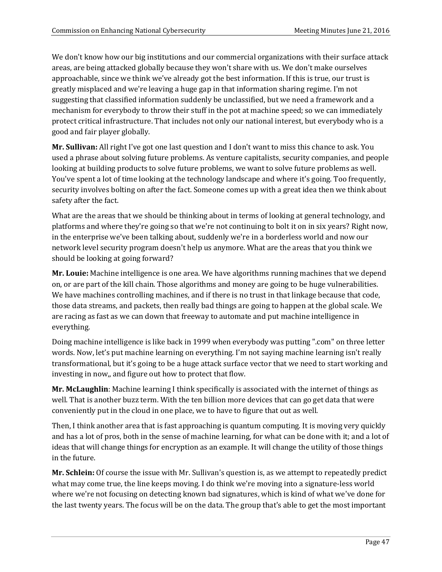We don't know how our big institutions and our commercial organizations with their surface attack areas, are being attacked globally because they won't share with us. We don't make ourselves approachable, since we think we've already got the best information. If this is true, our trust is greatly misplaced and we're leaving a huge gap in that information sharing regime. I'm not suggesting that classified information suddenly be unclassified, but we need a framework and a mechanism for everybody to throw their stuff in the pot at machine speed; so we can immediately protect critical infrastructure. That includes not only our national interest, but everybody who is a good and fair player globally.

**Mr. Sullivan:** All right I've got one last question and I don't want to miss this chance to ask. You used a phrase about solving future problems. As venture capitalists, security companies, and people looking at building products to solve future problems, we want to solve future problems as well. You've spent a lot of time looking at the technology landscape and where it's going. Too frequently, security involves bolting on after the fact. Someone comes up with a great idea then we think about safety after the fact.

What are the areas that we should be thinking about in terms of looking at general technology, and platforms and where they're going so that we're not continuing to bolt it on in six years? Right now, in the enterprise we've been talking about, suddenly we're in a borderless world and now our network level security program doesn't help us anymore. What are the areas that you think we should be looking at going forward?

**Mr. Louie:** Machine intelligence is one area. We have algorithms running machines that we depend on, or are part of the kill chain. Those algorithms and money are going to be huge vulnerabilities. We have machines controlling machines, and if there is no trust in that linkage because that code, those data streams, and packets, then really bad things are going to happen at the global scale. We are racing as fast as we can down that freeway to automate and put machine intelligence in everything.

Doing machine intelligence is like back in 1999 when everybody was putting ".com" on three letter words. Now, let's put machine learning on everything. I'm not saying machine learning isn't really transformational, but it's going to be a huge attack surface vector that we need to start working and investing in now,, and figure out how to protect that flow.

**Mr. McLaughlin**: Machine learning I think specifically is associated with the internet of things as well. That is another buzz term. With the ten billion more devices that can go get data that were conveniently put in the cloud in one place, we to have to figure that out as well.

Then, I think another area that is fast approaching is quantum computing. It is moving very quickly and has a lot of pros, both in the sense of machine learning, for what can be done with it; and a lot of ideas that will change things for encryption as an example. It will change the utility of those things in the future.

**Mr. Schlein:** Of course the issue with Mr. Sullivan's question is, as we attempt to repeatedly predict what may come true, the line keeps moving. I do think we're moving into a signature-less world where we're not focusing on detecting known bad signatures, which is kind of what we've done for the last twenty years. The focus will be on the data. The group that's able to get the most important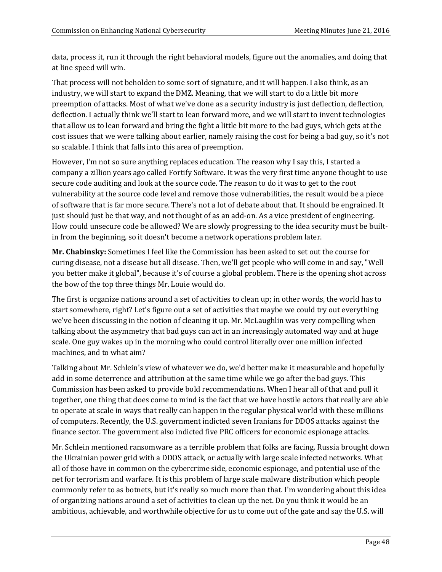data, process it, run it through the right behavioral models, figure out the anomalies, and doing that at line speed will win.

That process will not beholden to some sort of signature, and it will happen. I also think, as an industry, we will start to expand the DMZ. Meaning, that we will start to do a little bit more preemption of attacks. Most of what we've done as a security industry is just deflection, deflection, deflection. I actually think we'll start to lean forward more, and we will start to invent technologies that allow us to lean forward and bring the fight a little bit more to the bad guys, which gets at the cost issues that we were talking about earlier, namely raising the cost for being a bad guy, so it's not so scalable. I think that falls into this area of preemption.

However, I'm not so sure anything replaces education. The reason why I say this, I started a company a zillion years ago called Fortify Software. It was the very first time anyone thought to use secure code auditing and look at the source code. The reason to do it was to get to the root vulnerability at the source code level and remove those vulnerabilities, the result would be a piece of software that is far more secure. There's not a lot of debate about that. It should be engrained. It just should just be that way, and not thought of as an add-on. As a vice president of engineering. How could unsecure code be allowed? We are slowly progressing to the idea security must be builtin from the beginning, so it doesn't become a network operations problem later.

**Mr. Chabinsky:** Sometimes I feel like the Commission has been asked to set out the course for curing disease, not a disease but all disease. Then, we'll get people who will come in and say, "Well you better make it global", because it's of course a global problem. There is the opening shot across the bow of the top three things Mr. Louie would do.

The first is organize nations around a set of activities to clean up; in other words, the world has to start somewhere, right? Let's figure out a set of activities that maybe we could try out everything we've been discussing in the notion of cleaning it up. Mr. McLaughlin was very compelling when talking about the asymmetry that bad guys can act in an increasingly automated way and at huge scale. One guy wakes up in the morning who could control literally over one million infected machines, and to what aim?

Talking about Mr. Schlein's view of whatever we do, we'd better make it measurable and hopefully add in some deterrence and attribution at the same time while we go after the bad guys. This Commission has been asked to provide bold recommendations. When I hear all of that and pull it together, one thing that does come to mind is the fact that we have hostile actors that really are able to operate at scale in ways that really can happen in the regular physical world with these millions of computers. Recently, the U.S. government indicted seven Iranians for DDOS attacks against the finance sector. The government also indicted five PRC officers for economic espionage attacks.

Mr. Schlein mentioned ransomware as a terrible problem that folks are facing. Russia brought down the Ukrainian power grid with a DDOS attack, or actually with large scale infected networks. What all of those have in common on the cybercrime side, economic espionage, and potential use of the net for terrorism and warfare. It is this problem of large scale malware distribution which people commonly refer to as botnets, but it's really so much more than that. I'm wondering about this idea of organizing nations around a set of activities to clean up the net. Do you think it would be an ambitious, achievable, and worthwhile objective for us to come out of the gate and say the U.S. will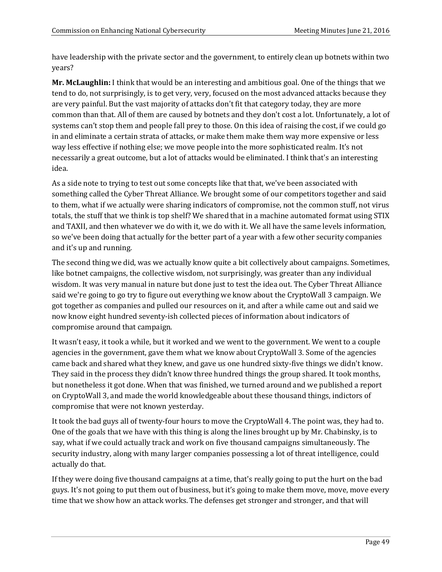have leadership with the private sector and the government, to entirely clean up botnets within two years?

**Mr. McLaughlin:** I think that would be an interesting and ambitious goal. One of the things that we tend to do, not surprisingly, is to get very, very, focused on the most advanced attacks because they are very painful. But the vast majority of attacks don't fit that category today, they are more common than that. All of them are caused by botnets and they don't cost a lot. Unfortunately, a lot of systems can't stop them and people fall prey to those. On this idea of raising the cost, if we could go in and eliminate a certain strata of attacks, or make them make them way more expensive or less way less effective if nothing else; we move people into the more sophisticated realm. It's not necessarily a great outcome, but a lot of attacks would be eliminated. I think that's an interesting idea.

As a side note to trying to test out some concepts like that that, we've been associated with something called the Cyber Threat Alliance. We brought some of our competitors together and said to them, what if we actually were sharing indicators of compromise, not the common stuff, not virus totals, the stuff that we think is top shelf? We shared that in a machine automated format using STIX and TAXII, and then whatever we do with it, we do with it. We all have the same levels information, so we've been doing that actually for the better part of a year with a few other security companies and it's up and running.

The second thing we did, was we actually know quite a bit collectively about campaigns. Sometimes, like botnet campaigns, the collective wisdom, not surprisingly, was greater than any individual wisdom. It was very manual in nature but done just to test the idea out. The Cyber Threat Alliance said we're going to go try to figure out everything we know about the CryptoWall 3 campaign. We got together as companies and pulled our resources on it, and after a while came out and said we now know eight hundred seventy-ish collected pieces of information about indicators of compromise around that campaign.

It wasn't easy, it took a while, but it worked and we went to the government. We went to a couple agencies in the government, gave them what we know about CryptoWall 3. Some of the agencies came back and shared what they knew, and gave us one hundred sixty-five things we didn't know. They said in the process they didn't know three hundred things the group shared. It took months, but nonetheless it got done. When that was finished, we turned around and we published a report on CryptoWall 3, and made the world knowledgeable about these thousand things, indictors of compromise that were not known yesterday.

It took the bad guys all of twenty-four hours to move the CryptoWall 4. The point was, they had to. One of the goals that we have with this thing is along the lines brought up by Mr. Chabinsky, is to say, what if we could actually track and work on five thousand campaigns simultaneously. The security industry, along with many larger companies possessing a lot of threat intelligence, could actually do that.

If they were doing five thousand campaigns at a time, that's really going to put the hurt on the bad guys. It's not going to put them out of business, but it's going to make them move, move, move every time that we show how an attack works. The defenses get stronger and stronger, and that will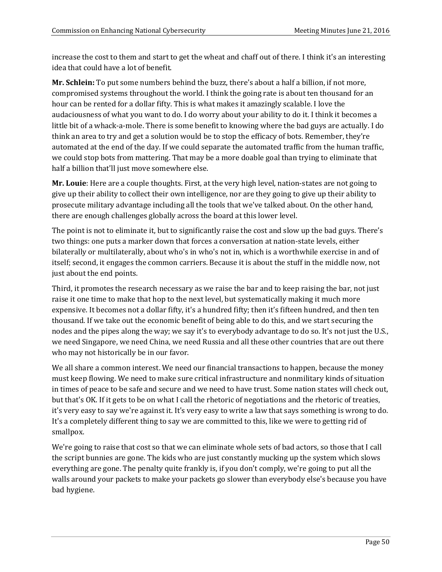increase the cost to them and start to get the wheat and chaff out of there. I think it's an interesting idea that could have a lot of benefit.

**Mr. Schlein:** To put some numbers behind the buzz, there's about a half a billion, if not more, compromised systems throughout the world. I think the going rate is about ten thousand for an hour can be rented for a dollar fifty. This is what makes it amazingly scalable. I love the audaciousness of what you want to do. I do worry about your ability to do it. I think it becomes a little bit of a whack-a-mole. There is some benefit to knowing where the bad guys are actually. I do think an area to try and get a solution would be to stop the efficacy of bots. Remember, they're automated at the end of the day. If we could separate the automated traffic from the human traffic, we could stop bots from mattering. That may be a more doable goal than trying to eliminate that half a billion that'll just move somewhere else.

**Mr. Louie**: Here are a couple thoughts. First, at the very high level, nation-states are not going to give up their ability to collect their own intelligence, nor are they going to give up their ability to prosecute military advantage including all the tools that we've talked about. On the other hand, there are enough challenges globally across the board at this lower level.

The point is not to eliminate it, but to significantly raise the cost and slow up the bad guys. There's two things: one puts a marker down that forces a conversation at nation-state levels, either bilaterally or multilaterally, about who's in who's not in, which is a worthwhile exercise in and of itself; second, it engages the common carriers. Because it is about the stuff in the middle now, not just about the end points.

Third, it promotes the research necessary as we raise the bar and to keep raising the bar, not just raise it one time to make that hop to the next level, but systematically making it much more expensive. It becomes not a dollar fifty, it's a hundred fifty; then it's fifteen hundred, and then ten thousand. If we take out the economic benefit of being able to do this, and we start securing the nodes and the pipes along the way; we say it's to everybody advantage to do so. It's not just the U.S., we need Singapore, we need China, we need Russia and all these other countries that are out there who may not historically be in our favor.

We all share a common interest. We need our financial transactions to happen, because the money must keep flowing. We need to make sure critical infrastructure and nonmilitary kinds of situation in times of peace to be safe and secure and we need to have trust. Some nation states will check out, but that's OK. If it gets to be on what I call the rhetoric of negotiations and the rhetoric of treaties, it's very easy to say we're against it. It's very easy to write a law that says something is wrong to do. It's a completely different thing to say we are committed to this, like we were to getting rid of smallpox.

We're going to raise that cost so that we can eliminate whole sets of bad actors, so those that I call the script bunnies are gone. The kids who are just constantly mucking up the system which slows everything are gone. The penalty quite frankly is, if you don't comply, we're going to put all the walls around your packets to make your packets go slower than everybody else's because you have bad hygiene.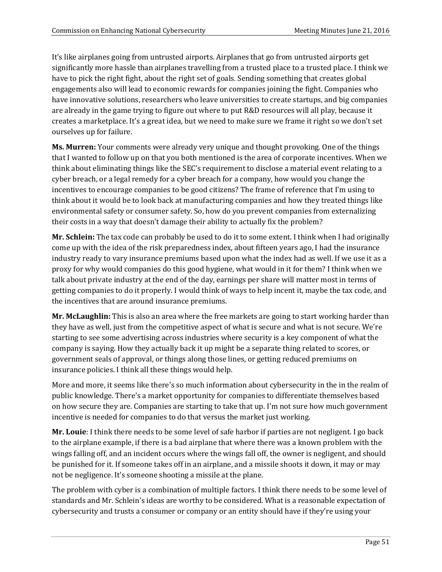It's like airplanes going from untrusted airports. Airplanes that go from untrusted airports get significantly more hassle than airplanes travelling from a trusted place to a trusted place. I think we have to pick the right fight, about the right set of goals. Sending something that creates global engagements also will lead to economic rewards for companies joining the fight. Companies who have innovative solutions, researchers who leave universities to create startups, and big companies are already in the game trying to figure out where to put R&D resources will all play, because it creates a marketplace. It's a great idea, but we need to make sure we frame it right so we don't set ourselves up for failure.

**Ms. Murren:** Your comments were already very unique and thought provoking. One of the things that I wanted to follow up on that you both mentioned is the area of corporate incentives. When we think about eliminating things like the SEC's requirement to disclose a material event relating to a cyber breach, or a legal remedy for a cyber breach for a company, how would you change the incentives to encourage companies to be good citizens? The frame of reference that I'm using to think about it would be to look back at manufacturing companies and how they treated things like environmental safety or consumer safety. So, how do you prevent companies from externalizing their costs in a way that doesn't damage their ability to actually fix the problem?

**Mr. Schlein:** The tax code can probably be used to do it to some extent. I think when I had originally come up with the idea of the risk preparedness index, about fifteen years ago, I had the insurance industry ready to vary insurance premiums based upon what the index had as well. If we use it as a proxy for why would companies do this good hygiene, what would in it for them? I think when we talk about private industry at the end of the day, earnings per share will matter most in terms of getting companies to do it properly. I would think of ways to help incent it, maybe the tax code, and the incentives that are around insurance premiums.

**Mr. McLaughlin:** This is also an area where the free markets are going to start working harder than they have as well, just from the competitive aspect of what is secure and what is not secure. We're starting to see some advertising across industries where security is a key component of what the company is saying. How they actually back it up might be a separate thing related to scores, or government seals of approval, or things along those lines, or getting reduced premiums on insurance policies. I think all these things would help.

More and more, it seems like there's so much information about cybersecurity in the in the realm of public knowledge. There's a market opportunity for companies to differentiate themselves based on how secure they are. Companies are starting to take that up. I'm not sure how much government incentive is needed for companies to do that versus the market just working.

**Mr. Louie**: I think there needs to be some level of safe harbor if parties are not negligent. I go back to the airplane example, if there is a bad airplane that where there was a known problem with the wings falling off, and an incident occurs where the wings fall off, the owner is negligent, and should be punished for it. If someone takes off in an airplane, and a missile shoots it down, it may or may not be negligence. It's someone shooting a missile at the plane.

The problem with cyber is a combination of multiple factors. I think there needs to be some level of standards and Mr. Schlein's ideas are worthy to be considered. What is a reasonable expectation of cybersecurity and trusts a consumer or company or an entity should have if they're using your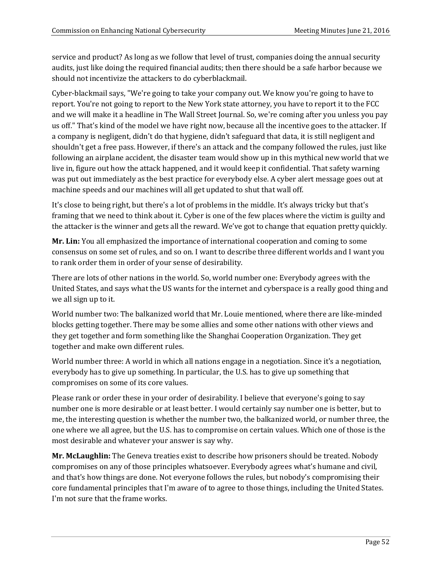service and product? As long as we follow that level of trust, companies doing the annual security audits, just like doing the required financial audits; then there should be a safe harbor because we should not incentivize the attackers to do cyberblackmail.

Cyber-blackmail says, "We're going to take your company out. We know you're going to have to report. You're not going to report to the New York state attorney, you have to report it to the FCC and we will make it a headline in The Wall Street Journal. So, we're coming after you unless you pay us off." That's kind of the model we have right now, because all the incentive goes to the attacker. If a company is negligent, didn't do that hygiene, didn't safeguard that data, it is still negligent and shouldn't get a free pass. However, if there's an attack and the company followed the rules, just like following an airplane accident, the disaster team would show up in this mythical new world that we live in, figure out how the attack happened, and it would keep it confidential. That safety warning was put out immediately as the best practice for everybody else. A cyber alert message goes out at machine speeds and our machines will all get updated to shut that wall off.

It's close to being right, but there's a lot of problems in the middle. It's always tricky but that's framing that we need to think about it. Cyber is one of the few places where the victim is guilty and the attacker is the winner and gets all the reward. We've got to change that equation pretty quickly.

**Mr. Lin:** You all emphasized the importance of international cooperation and coming to some consensus on some set of rules, and so on. I want to describe three different worlds and I want you to rank order them in order of your sense of desirability.

There are lots of other nations in the world. So, world number one: Everybody agrees with the United States, and says what the US wants for the internet and cyberspace is a really good thing and we all sign up to it.

World number two: The balkanized world that Mr. Louie mentioned, where there are like-minded blocks getting together. There may be some allies and some other nations with other views and they get together and form something like the Shanghai Cooperation Organization. They get together and make own different rules.

World number three: A world in which all nations engage in a negotiation. Since it's a negotiation, everybody has to give up something. In particular, the U.S. has to give up something that compromises on some of its core values.

Please rank or order these in your order of desirability. I believe that everyone's going to say number one is more desirable or at least better. I would certainly say number one is better, but to me, the interesting question is whether the number two, the balkanized world, or number three, the one where we all agree, but the U.S. has to compromise on certain values. Which one of those is the most desirable and whatever your answer is say why.

**Mr. McLaughlin:** The Geneva treaties exist to describe how prisoners should be treated. Nobody compromises on any of those principles whatsoever. Everybody agrees what's humane and civil, and that's how things are done. Not everyone follows the rules, but nobody's compromising their core fundamental principles that I'm aware of to agree to those things, including the United States. I'm not sure that the frame works.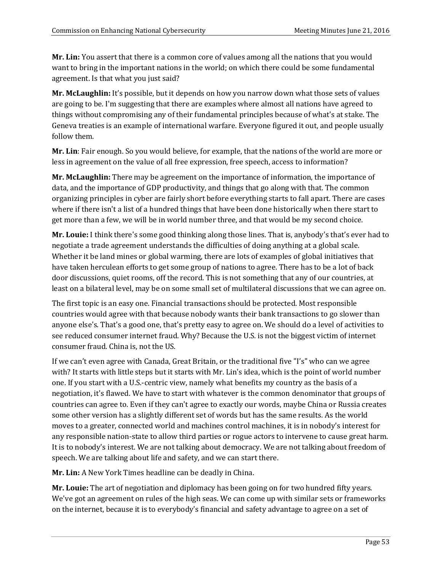**Mr. Lin:** You assert that there is a common core of values among all the nations that you would want to bring in the important nations in the world; on which there could be some fundamental agreement. Is that what you just said?

**Mr. McLaughlin:** It's possible, but it depends on how you narrow down what those sets of values are going to be. I'm suggesting that there are examples where almost all nations have agreed to things without compromising any of their fundamental principles because of what's at stake. The Geneva treaties is an example of international warfare. Everyone figured it out, and people usually follow them.

**Mr. Lin**: Fair enough. So you would believe, for example, that the nations of the world are more or less in agreement on the value of all free expression, free speech, access to information?

**Mr. McLaughlin:** There may be agreement on the importance of information, the importance of data, and the importance of GDP productivity, and things that go along with that. The common organizing principles in cyber are fairly short before everything starts to fall apart. There are cases where if there isn't a list of a hundred things that have been done historically when there start to get more than a few, we will be in world number three, and that would be my second choice.

**Mr. Louie:** I think there's some good thinking along those lines. That is, anybody's that's ever had to negotiate a trade agreement understands the difficulties of doing anything at a global scale. Whether it be land mines or global warming, there are lots of examples of global initiatives that have taken herculean efforts to get some group of nations to agree. There has to be a lot of back door discussions, quiet rooms, off the record. This is not something that any of our countries, at least on a bilateral level, may be on some small set of multilateral discussions that we can agree on.

The first topic is an easy one. Financial transactions should be protected. Most responsible countries would agree with that because nobody wants their bank transactions to go slower than anyone else's. That's a good one, that's pretty easy to agree on. We should do a level of activities to see reduced consumer internet fraud. Why? Because the U.S. is not the biggest victim of internet consumer fraud. China is, not the US.

If we can't even agree with Canada, Great Britain, or the traditional five "I's" who can we agree with? It starts with little steps but it starts with Mr. Lin's idea, which is the point of world number one. If you start with a U.S.-centric view, namely what benefits my country as the basis of a negotiation, it's flawed. We have to start with whatever is the common denominator that groups of countries can agree to. Even if they can't agree to exactly our words, maybe China or Russia creates some other version has a slightly different set of words but has the same results. As the world moves to a greater, connected world and machines control machines, it is in nobody's interest for any responsible nation-state to allow third parties or rogue actors to intervene to cause great harm. It is to nobody's interest. We are not talking about democracy. We are not talking about freedom of speech. We are talking about life and safety, and we can start there.

**Mr. Lin:** A New York Times headline can be deadly in China.

**Mr. Louie:** The art of negotiation and diplomacy has been going on for two hundred fifty years. We've got an agreement on rules of the high seas. We can come up with similar sets or frameworks on the internet, because it is to everybody's financial and safety advantage to agree on a set of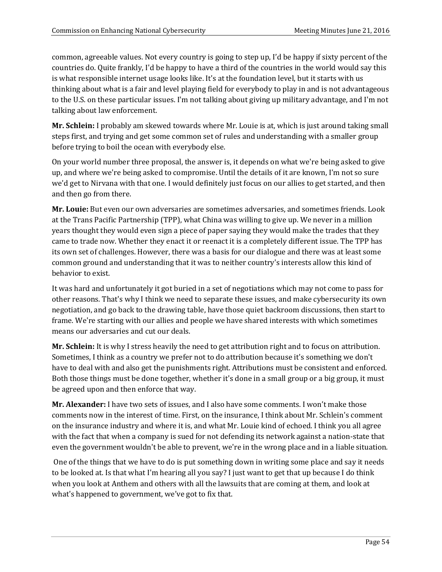common, agreeable values. Not every country is going to step up, I'd be happy if sixty percent of the countries do. Quite frankly, I'd be happy to have a third of the countries in the world would say this is what responsible internet usage looks like. It's at the foundation level, but it starts with us thinking about what is a fair and level playing field for everybody to play in and is not advantageous to the U.S. on these particular issues. I'm not talking about giving up military advantage, and I'm not talking about law enforcement.

**Mr. Schlein:** I probably am skewed towards where Mr. Louie is at, which is just around taking small steps first, and trying and get some common set of rules and understanding with a smaller group before trying to boil the ocean with everybody else.

On your world number three proposal, the answer is, it depends on what we're being asked to give up, and where we're being asked to compromise. Until the details of it are known, I'm not so sure we'd get to Nirvana with that one. I would definitely just focus on our allies to get started, and then and then go from there.

**Mr. Louie:** But even our own adversaries are sometimes adversaries, and sometimes friends. Look at the Trans Pacific Partnership (TPP), what China was willing to give up. We never in a million years thought they would even sign a piece of paper saying they would make the trades that they came to trade now. Whether they enact it or reenact it is a completely different issue. The TPP has its own set of challenges. However, there was a basis for our dialogue and there was at least some common ground and understanding that it was to neither country's interests allow this kind of behavior to exist.

It was hard and unfortunately it got buried in a set of negotiations which may not come to pass for other reasons. That's why I think we need to separate these issues, and make cybersecurity its own negotiation, and go back to the drawing table, have those quiet backroom discussions, then start to frame. We're starting with our allies and people we have shared interests with which sometimes means our adversaries and cut our deals.

**Mr. Schlein:** It is why I stress heavily the need to get attribution right and to focus on attribution. Sometimes, I think as a country we prefer not to do attribution because it's something we don't have to deal with and also get the punishments right. Attributions must be consistent and enforced. Both those things must be done together, whether it's done in a small group or a big group, it must be agreed upon and then enforce that way.

**Mr. Alexander:** I have two sets of issues, and I also have some comments. I won't make those comments now in the interest of time. First, on the insurance, I think about Mr. Schlein's comment on the insurance industry and where it is, and what Mr. Louie kind of echoed. I think you all agree with the fact that when a company is sued for not defending its network against a nation-state that even the government wouldn't be able to prevent, we're in the wrong place and in a liable situation.

One of the things that we have to do is put something down in writing some place and say it needs to be looked at. Is that what I'm hearing all you say? I just want to get that up because I do think when you look at Anthem and others with all the lawsuits that are coming at them, and look at what's happened to government, we've got to fix that.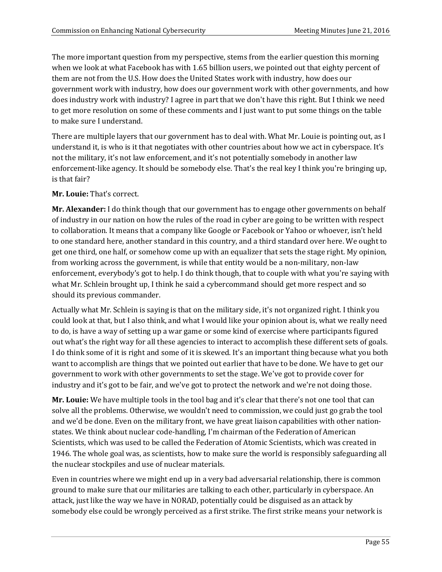The more important question from my perspective, stems from the earlier question this morning when we look at what Facebook has with 1.65 billion users, we pointed out that eighty percent of them are not from the U.S. How does the United States work with industry, how does our government work with industry, how does our government work with other governments, and how does industry work with industry? I agree in part that we don't have this right. But I think we need to get more resolution on some of these comments and I just want to put some things on the table to make sure I understand.

There are multiple layers that our government has to deal with. What Mr. Louie is pointing out, as I understand it, is who is it that negotiates with other countries about how we act in cyberspace. It's not the military, it's not law enforcement, and it's not potentially somebody in another law enforcement-like agency. It should be somebody else. That's the real key I think you're bringing up, is that fair?

#### **Mr. Louie:** That's correct.

**Mr. Alexander:** I do think though that our government has to engage other governments on behalf of industry in our nation on how the rules of the road in cyber are going to be written with respect to collaboration. It means that a company like Google or Facebook or Yahoo or whoever, isn't held to one standard here, another standard in this country, and a third standard over here. We ought to get one third, one half, or somehow come up with an equalizer that sets the stage right. My opinion, from working across the government, is while that entity would be a non-military, non-law enforcement, everybody's got to help. I do think though, that to couple with what you're saying with what Mr. Schlein brought up, I think he said a cybercommand should get more respect and so should its previous commander.

Actually what Mr. Schlein is saying is that on the military side, it's not organized right. I think you could look at that, but I also think, and what I would like your opinion about is, what we really need to do, is have a way of setting up a war game or some kind of exercise where participants figured out what's the right way for all these agencies to interact to accomplish these different sets of goals. I do think some of it is right and some of it is skewed. It's an important thing because what you both want to accomplish are things that we pointed out earlier that have to be done. We have to get our government to work with other governments to set the stage. We've got to provide cover for industry and it's got to be fair, and we've got to protect the network and we're not doing those.

**Mr. Louie:** We have multiple tools in the tool bag and it's clear that there's not one tool that can solve all the problems. Otherwise, we wouldn't need to commission, we could just go grab the tool and we'd be done. Even on the military front, we have great liaison capabilities with other nationstates. We think about nuclear code-handling, I'm chairman of the Federation of American Scientists, which was used to be called the Federation of Atomic Scientists, which was created in 1946. The whole goal was, as scientists, how to make sure the world is responsibly safeguarding all the nuclear stockpiles and use of nuclear materials.

Even in countries where we might end up in a very bad adversarial relationship, there is common ground to make sure that our militaries are talking to each other, particularly in cyberspace. An attack, just like the way we have in NORAD, potentially could be disguised as an attack by somebody else could be wrongly perceived as a first strike. The first strike means your network is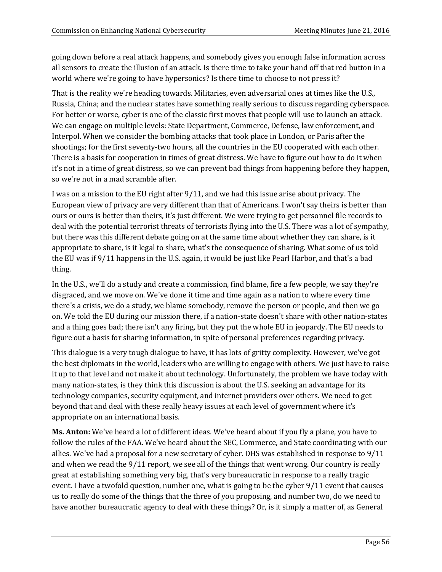going down before a real attack happens, and somebody gives you enough false information across all sensors to create the illusion of an attack. Is there time to take your hand off that red button in a world where we're going to have hypersonics? Is there time to choose to not press it?

That is the reality we're heading towards. Militaries, even adversarial ones at times like the U.S., Russia, China; and the nuclear states have something really serious to discuss regarding cyberspace. For better or worse, cyber is one of the classic first moves that people will use to launch an attack. We can engage on multiple levels: State Department, Commerce, Defense, law enforcement, and Interpol. When we consider the bombing attacks that took place in London, or Paris after the shootings; for the first seventy-two hours, all the countries in the EU cooperated with each other. There is a basis for cooperation in times of great distress. We have to figure out how to do it when it's not in a time of great distress, so we can prevent bad things from happening before they happen, so we're not in a mad scramble after.

I was on a mission to the EU right after 9/11, and we had this issue arise about privacy. The European view of privacy are very different than that of Americans. I won't say theirs is better than ours or ours is better than theirs, it's just different. We were trying to get personnel file records to deal with the potential terrorist threats of terrorists flying into the U.S. There was a lot of sympathy, but there was this different debate going on at the same time about whether they can share, is it appropriate to share, is it legal to share, what's the consequence of sharing. What some of us told the EU was if 9/11 happens in the U.S. again, it would be just like Pearl Harbor, and that's a bad thing.

In the U.S., we'll do a study and create a commission, find blame, fire a few people, we say they're disgraced, and we move on. We've done it time and time again as a nation to where every time there's a crisis, we do a study, we blame somebody, remove the person or people, and then we go on. We told the EU during our mission there, if a nation-state doesn't share with other nation-states and a thing goes bad; there isn't any firing, but they put the whole EU in jeopardy. The EU needs to figure out a basis for sharing information, in spite of personal preferences regarding privacy.

This dialogue is a very tough dialogue to have, it has lots of gritty complexity. However, we've got the best diplomats in the world, leaders who are willing to engage with others. We just have to raise it up to that level and not make it about technology. Unfortunately, the problem we have today with many nation-states, is they think this discussion is about the U.S. seeking an advantage for its technology companies, security equipment, and internet providers over others. We need to get beyond that and deal with these really heavy issues at each level of government where it's appropriate on an international basis.

**Ms. Anton:** We've heard a lot of different ideas. We've heard about if you fly a plane, you have to follow the rules of the FAA. We've heard about the SEC, Commerce, and State coordinating with our allies. We've had a proposal for a new secretary of cyber. DHS was established in response to 9/11 and when we read the 9/11 report, we see all of the things that went wrong. Our country is really great at establishing something very big, that's very bureaucratic in response to a really tragic event. I have a twofold question, number one, what is going to be the cyber 9/11 event that causes us to really do some of the things that the three of you proposing, and number two, do we need to have another bureaucratic agency to deal with these things? Or, is it simply a matter of, as General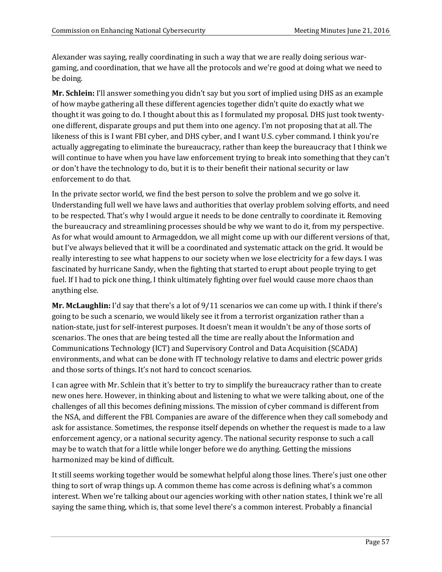Alexander was saying, really coordinating in such a way that we are really doing serious wargaming, and coordination, that we have all the protocols and we're good at doing what we need to be doing.

**Mr. Schlein:** I'll answer something you didn't say but you sort of implied using DHS as an example of how maybe gathering all these different agencies together didn't quite do exactly what we thought it was going to do. I thought about this as I formulated my proposal. DHS just took twentyone different, disparate groups and put them into one agency. I'm not proposing that at all. The likeness of this is I want FBI cyber, and DHS cyber, and I want U.S. cyber command. I think you're actually aggregating to eliminate the bureaucracy, rather than keep the bureaucracy that I think we will continue to have when you have law enforcement trying to break into something that they can't or don't have the technology to do, but it is to their benefit their national security or law enforcement to do that.

In the private sector world, we find the best person to solve the problem and we go solve it. Understanding full well we have laws and authorities that overlay problem solving efforts, and need to be respected. That's why I would argue it needs to be done centrally to coordinate it. Removing the bureaucracy and streamlining processes should be why we want to do it, from my perspective. As for what would amount to Armageddon, we all might come up with our different versions of that, but I've always believed that it will be a coordinated and systematic attack on the grid. It would be really interesting to see what happens to our society when we lose electricity for a few days. I was fascinated by hurricane Sandy, when the fighting that started to erupt about people trying to get fuel. If I had to pick one thing, I think ultimately fighting over fuel would cause more chaos than anything else.

**Mr. McLaughlin:** I'd say that there's a lot of 9/11 scenarios we can come up with. I think if there's going to be such a scenario, we would likely see it from a terrorist organization rather than a nation-state, just for self-interest purposes. It doesn't mean it wouldn't be any of those sorts of scenarios. The ones that are being tested all the time are really about the Information and Communications Technology (ICT) and Supervisory Control and Data Acquisition (SCADA) environments, and what can be done with IT technology relative to dams and electric power grids and those sorts of things. It's not hard to concoct scenarios.

I can agree with Mr. Schlein that it's better to try to simplify the bureaucracy rather than to create new ones here. However, in thinking about and listening to what we were talking about, one of the challenges of all this becomes defining missions. The mission of cyber command is different from the NSA, and different the FBI. Companies are aware of the difference when they call somebody and ask for assistance. Sometimes, the response itself depends on whether the request is made to a law enforcement agency, or a national security agency. The national security response to such a call may be to watch that for a little while longer before we do anything. Getting the missions harmonized may be kind of difficult.

It still seems working together would be somewhat helpful along those lines. There's just one other thing to sort of wrap things up. A common theme has come across is defining what's a common interest. When we're talking about our agencies working with other nation states, I think we're all saying the same thing, which is, that some level there's a common interest. Probably a financial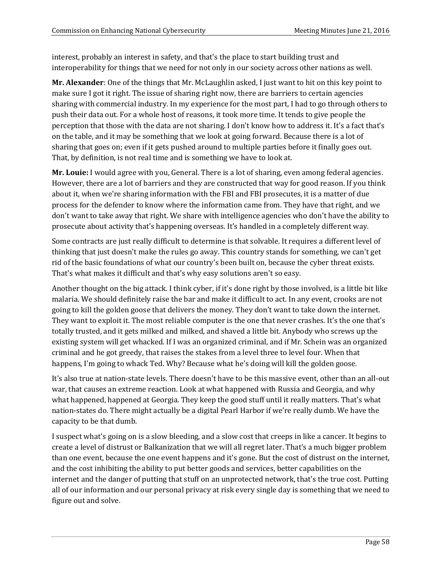interest, probably an interest in safety, and that's the place to start building trust and interoperability for things that we need for not only in our society across other nations as well.

**Mr. Alexander**: One of the things that Mr. McLaughlin asked, I just want to hit on this key point to make sure I got it right. The issue of sharing right now, there are barriers to certain agencies sharing with commercial industry. In my experience for the most part, I had to go through others to push their data out. For a whole host of reasons, it took more time. It tends to give people the perception that those with the data are not sharing. I don't know how to address it. It's a fact that's on the table, and it may be something that we look at going forward. Because there is a lot of sharing that goes on; even if it gets pushed around to multiple parties before it finally goes out. That, by definition, is not real time and is something we have to look at.

**Mr. Louie:** I would agree with you, General. There is a lot of sharing, even among federal agencies. However, there are a lot of barriers and they are constructed that way for good reason. If you think about it, when we're sharing information with the FBI and FBI prosecutes, it is a matter of due process for the defender to know where the information came from. They have that right, and we don't want to take away that right. We share with intelligence agencies who don't have the ability to prosecute about activity that's happening overseas. It's handled in a completely different way.

Some contracts are just really difficult to determine is that solvable. It requires a different level of thinking that just doesn't make the rules go away. This country stands for something, we can't get rid of the basic foundations of what our country's been built on, because the cyber threat exists. That's what makes it difficult and that's why easy solutions aren't so easy.

Another thought on the big attack. I think cyber, if it's done right by those involved, is a little bit like malaria. We should definitely raise the bar and make it difficult to act. In any event, crooks are not going to kill the golden goose that delivers the money. They don't want to take down the internet. They want to exploit it. The most reliable computer is the one that never crashes. It's the one that's totally trusted, and it gets milked and milked, and shaved a little bit. Anybody who screws up the existing system will get whacked. If I was an organized criminal, and if Mr. Schein was an organized criminal and he got greedy, that raises the stakes from a level three to level four. When that happens, I'm going to whack Ted. Why? Because what he's doing will kill the golden goose.

It's also true at nation-state levels. There doesn't have to be this massive event, other than an all-out war, that causes an extreme reaction. Look at what happened with Russia and Georgia, and why what happened, happened at Georgia. They keep the good stuff until it really matters. That's what nation-states do. There might actually be a digital Pearl Harbor if we're really dumb. We have the capacity to be that dumb.

I suspect what's going on is a slow bleeding, and a slow cost that creeps in like a cancer. It begins to create a level of distrust or Balkanization that we will all regret later. That's a much bigger problem than one event, because the one event happens and it's gone. But the cost of distrust on the internet, and the cost inhibiting the ability to put better goods and services, better capabilities on the internet and the danger of putting that stuff on an unprotected network, that's the true cost. Putting all of our information and our personal privacy at risk every single day is something that we need to figure out and solve.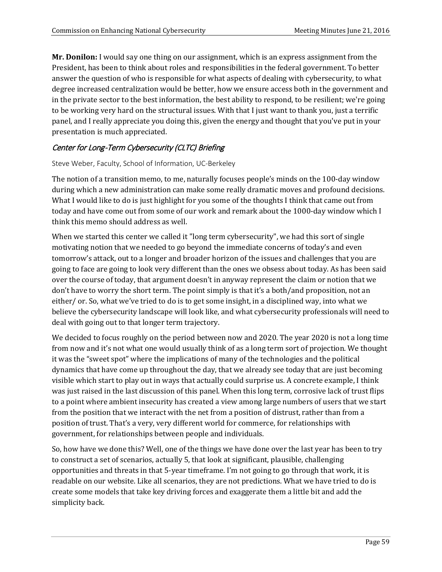**Mr. Donilon:** I would say one thing on our assignment, which is an express assignment from the President, has been to think about roles and responsibilities in the federal government. To better answer the question of who is responsible for what aspects of dealing with cybersecurity, to what degree increased centralization would be better, how we ensure access both in the government and in the private sector to the best information, the best ability to respond, to be resilient; we're going to be working very hard on the structural issues. With that I just want to thank you, just a terrific panel, and I really appreciate you doing this, given the energy and thought that you've put in your presentation is much appreciated.

# Center for Long-Term Cybersecurity (CLTC) Briefing

#### Steve Weber, Faculty, School of Information, UC-Berkeley

The notion of a transition memo, to me, naturally focuses people's minds on the 100-day window during which a new administration can make some really dramatic moves and profound decisions. What I would like to do is just highlight for you some of the thoughts I think that came out from today and have come out from some of our work and remark about the 1000-day window which I think this memo should address as well.

When we started this center we called it "long term cybersecurity", we had this sort of single motivating notion that we needed to go beyond the immediate concerns of today's and even tomorrow's attack, out to a longer and broader horizon of the issues and challenges that you are going to face are going to look very different than the ones we obsess about today. As has been said over the course of today, that argument doesn't in anyway represent the claim or notion that we don't have to worry the short term. The point simply is that it's a both/and proposition, not an either/ or. So, what we've tried to do is to get some insight, in a disciplined way, into what we believe the cybersecurity landscape will look like, and what cybersecurity professionals will need to deal with going out to that longer term trajectory.

We decided to focus roughly on the period between now and 2020. The year 2020 is not a long time from now and it's not what one would usually think of as a long term sort of projection. We thought it was the "sweet spot" where the implications of many of the technologies and the political dynamics that have come up throughout the day, that we already see today that are just becoming visible which start to play out in ways that actually could surprise us. A concrete example, I think was just raised in the last discussion of this panel. When this long term, corrosive lack of trust flips to a point where ambient insecurity has created a view among large numbers of users that we start from the position that we interact with the net from a position of distrust, rather than from a position of trust. That's a very, very different world for commerce, for relationships with government, for relationships between people and individuals.

So, how have we done this? Well, one of the things we have done over the last year has been to try to construct a set of scenarios, actually 5, that look at significant, plausible, challenging opportunities and threats in that 5-year timeframe. I'm not going to go through that work, it is readable on our website. Like all scenarios, they are not predictions. What we have tried to do is create some models that take key driving forces and exaggerate them a little bit and add the simplicity back.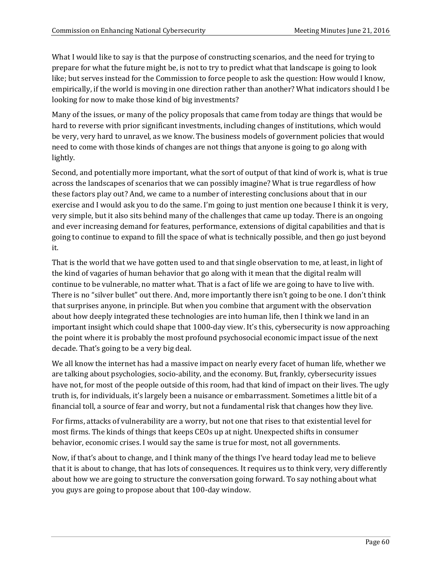What I would like to say is that the purpose of constructing scenarios, and the need for trying to prepare for what the future might be, is not to try to predict what that landscape is going to look like; but serves instead for the Commission to force people to ask the question: How would I know, empirically, if the world is moving in one direction rather than another? What indicators should I be looking for now to make those kind of big investments?

Many of the issues, or many of the policy proposals that came from today are things that would be hard to reverse with prior significant investments, including changes of institutions, which would be very, very hard to unravel, as we know. The business models of government policies that would need to come with those kinds of changes are not things that anyone is going to go along with lightly.

Second, and potentially more important, what the sort of output of that kind of work is, what is true across the landscapes of scenarios that we can possibly imagine? What is true regardless of how these factors play out? And, we came to a number of interesting conclusions about that in our exercise and I would ask you to do the same. I'm going to just mention one because I think it is very, very simple, but it also sits behind many of the challenges that came up today. There is an ongoing and ever increasing demand for features, performance, extensions of digital capabilities and that is going to continue to expand to fill the space of what is technically possible, and then go just beyond it.

That is the world that we have gotten used to and that single observation to me, at least, in light of the kind of vagaries of human behavior that go along with it mean that the digital realm will continue to be vulnerable, no matter what. That is a fact of life we are going to have to live with. There is no "silver bullet" out there. And, more importantly there isn't going to be one. I don't think that surprises anyone, in principle. But when you combine that argument with the observation about how deeply integrated these technologies are into human life, then I think we land in an important insight which could shape that 1000-day view. It's this, cybersecurity is now approaching the point where it is probably the most profound psychosocial economic impact issue of the next decade. That's going to be a very big deal.

We all know the internet has had a massive impact on nearly every facet of human life, whether we are talking about psychologies, socio-ability, and the economy. But, frankly, cybersecurity issues have not, for most of the people outside of this room, had that kind of impact on their lives. The ugly truth is, for individuals, it's largely been a nuisance or embarrassment. Sometimes a little bit of a financial toll, a source of fear and worry, but not a fundamental risk that changes how they live.

For firms, attacks of vulnerability are a worry, but not one that rises to that existential level for most firms. The kinds of things that keeps CEOs up at night. Unexpected shifts in consumer behavior, economic crises. I would say the same is true for most, not all governments.

Now, if that's about to change, and I think many of the things I've heard today lead me to believe that it is about to change, that has lots of consequences. It requires us to think very, very differently about how we are going to structure the conversation going forward. To say nothing about what you guys are going to propose about that 100-day window.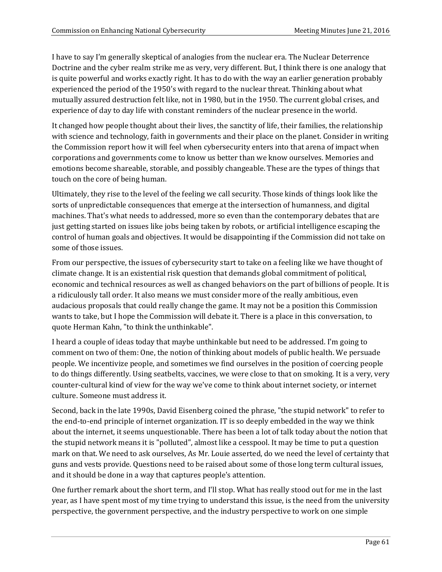I have to say I'm generally skeptical of analogies from the nuclear era. The Nuclear Deterrence Doctrine and the cyber realm strike me as very, very different. But, I think there is one analogy that is quite powerful and works exactly right. It has to do with the way an earlier generation probably experienced the period of the 1950's with regard to the nuclear threat. Thinking about what mutually assured destruction felt like, not in 1980, but in the 1950. The current global crises, and experience of day to day life with constant reminders of the nuclear presence in the world.

It changed how people thought about their lives, the sanctity of life, their families, the relationship with science and technology, faith in governments and their place on the planet. Consider in writing the Commission report how it will feel when cybersecurity enters into that arena of impact when corporations and governments come to know us better than we know ourselves. Memories and emotions become shareable, storable, and possibly changeable. These are the types of things that touch on the core of being human.

Ultimately, they rise to the level of the feeling we call security. Those kinds of things look like the sorts of unpredictable consequences that emerge at the intersection of humanness, and digital machines. That's what needs to addressed, more so even than the contemporary debates that are just getting started on issues like jobs being taken by robots, or artificial intelligence escaping the control of human goals and objectives. It would be disappointing if the Commission did not take on some of those issues.

From our perspective, the issues of cybersecurity start to take on a feeling like we have thought of climate change. It is an existential risk question that demands global commitment of political, economic and technical resources as well as changed behaviors on the part of billions of people. It is a ridiculously tall order. It also means we must consider more of the really ambitious, even audacious proposals that could really change the game. It may not be a position this Commission wants to take, but I hope the Commission will debate it. There is a place in this conversation, to quote Herman Kahn, "to think the unthinkable".

I heard a couple of ideas today that maybe unthinkable but need to be addressed. I'm going to comment on two of them: One, the notion of thinking about models of public health. We persuade people. We incentivize people, and sometimes we find ourselves in the position of coercing people to do things differently. Using seatbelts, vaccines, we were close to that on smoking. It is a very, very counter-cultural kind of view for the way we've come to think about internet society, or internet culture. Someone must address it.

Second, back in the late 1990s, David Eisenberg coined the phrase, "the stupid network" to refer to the end-to-end principle of internet organization. IT is so deeply embedded in the way we think about the internet, it seems unquestionable. There has been a lot of talk today about the notion that the stupid network means it is "polluted", almost like a cesspool. It may be time to put a question mark on that. We need to ask ourselves, As Mr. Louie asserted, do we need the level of certainty that guns and vests provide. Questions need to be raised about some of those long term cultural issues, and it should be done in a way that captures people's attention.

One further remark about the short term, and I'll stop. What has really stood out for me in the last year, as I have spent most of my time trying to understand this issue, is the need from the university perspective, the government perspective, and the industry perspective to work on one simple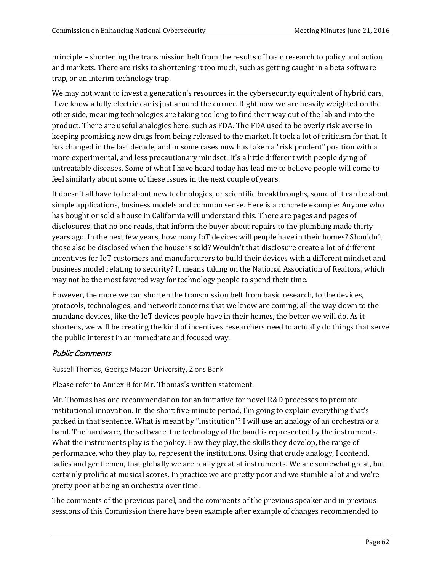principle – shortening the transmission belt from the results of basic research to policy and action and markets. There are risks to shortening it too much, such as getting caught in a beta software trap, or an interim technology trap.

We may not want to invest a generation's resources in the cybersecurity equivalent of hybrid cars, if we know a fully electric car is just around the corner. Right now we are heavily weighted on the other side, meaning technologies are taking too long to find their way out of the lab and into the product. There are useful analogies here, such as FDA. The FDA used to be overly risk averse in keeping promising new drugs from being released to the market. It took a lot of criticism for that. It has changed in the last decade, and in some cases now has taken a "risk prudent" position with a more experimental, and less precautionary mindset. It's a little different with people dying of untreatable diseases. Some of what I have heard today has lead me to believe people will come to feel similarly about some of these issues in the next couple of years.

It doesn't all have to be about new technologies, or scientific breakthroughs, some of it can be about simple applications, business models and common sense. Here is a concrete example: Anyone who has bought or sold a house in California will understand this. There are pages and pages of disclosures, that no one reads, that inform the buyer about repairs to the plumbing made thirty years ago. In the next few years, how many IoT devices will people have in their homes? Shouldn't those also be disclosed when the house is sold? Wouldn't that disclosure create a lot of different incentives for IoT customers and manufacturers to build their devices with a different mindset and business model relating to security? It means taking on the National Association of Realtors, which may not be the most favored way for technology people to spend their time.

However, the more we can shorten the transmission belt from basic research, to the devices, protocols, technologies, and network concerns that we know are coming, all the way down to the mundane devices, like the IoT devices people have in their homes, the better we will do. As it shortens, we will be creating the kind of incentives researchers need to actually do things that serve the public interest in an immediate and focused way.

# Public Comments

Russell Thomas, George Mason University, Zions Bank

Please refer to Annex B for Mr. Thomas's written statement.

Mr. Thomas has one recommendation for an initiative for novel R&D processes to promote institutional innovation. In the short five-minute period, I'm going to explain everything that's packed in that sentence. What is meant by "institution"? I will use an analogy of an orchestra or a band. The hardware, the software, the technology of the band is represented by the instruments. What the instruments play is the policy. How they play, the skills they develop, the range of performance, who they play to, represent the institutions. Using that crude analogy, I contend, ladies and gentlemen, that globally we are really great at instruments. We are somewhat great, but certainly prolific at musical scores. In practice we are pretty poor and we stumble a lot and we're pretty poor at being an orchestra over time.

The comments of the previous panel, and the comments of the previous speaker and in previous sessions of this Commission there have been example after example of changes recommended to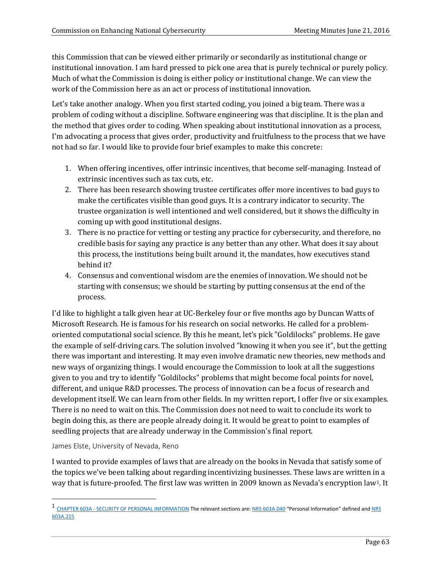this Commission that can be viewed either primarily or secondarily as institutional change or institutional innovation. I am hard pressed to pick one area that is purely technical or purely policy. Much of what the Commission is doing is either policy or institutional change. We can view the work of the Commission here as an act or process of institutional innovation.

Let's take another analogy. When you first started coding, you joined a big team. There was a problem of coding without a discipline. Software engineering was that discipline. It is the plan and the method that gives order to coding. When speaking about institutional innovation as a process, I'm advocating a process that gives order, productivity and fruitfulness to the process that we have not had so far. I would like to provide four brief examples to make this concrete:

- 1. When offering incentives, offer intrinsic incentives, that become self-managing. Instead of extrinsic incentives such as tax cuts, etc.
- 2. There has been research showing trustee certificates offer more incentives to bad guys to make the certificates visible than good guys. It is a contrary indicator to security. The trustee organization is well intentioned and well considered, but it shows the difficulty in coming up with good institutional designs.
- 3. There is no practice for vetting or testing any practice for cybersecurity, and therefore, no credible basis for saying any practice is any better than any other. What does it say about this process, the institutions being built around it, the mandates, how executives stand behind it?
- 4. Consensus and conventional wisdom are the enemies of innovation. We should not be starting with consensus; we should be starting by putting consensus at the end of the process.

I'd like to highlight a talk given hear at UC-Berkeley four or five months ago by Duncan Watts of Microsoft Research. He is famous for his research on social networks. He called for a problemoriented computational social science. By this he meant, let's pick "Goldilocks" problems. He gave the example of self-driving cars. The solution involved "knowing it when you see it", but the getting there was important and interesting. It may even involve dramatic new theories, new methods and new ways of organizing things. I would encourage the Commission to look at all the suggestions given to you and try to identify "Goldilocks" problems that might become focal points for novel, different, and unique R&D processes. The process of innovation can be a focus of research and development itself. We can learn from other fields. In my written report, I offer five or six examples. There is no need to wait on this. The Commission does not need to wait to conclude its work to begin doing this, as there are people already doing it. It would be great to point to examples of seedling projects that are already underway in the Commission's final report.

#### James Elste, University of Nevada, Reno

I wanted to provide examples of laws that are already on the books in Nevada that satisfy some of the topics we've been talking about regarding incentivizing businesses. These laws are written i[n](#page-62-0) a way that is future-proofed. The first law was written in 2009 known as Nevada's encryption law<sup>1</sup>. It

<span id="page-62-0"></span><sup>&</sup>lt;sup>1</sup> CHAPTER 603A - [SECURITY OF PERSONAL](http://www.leg.state.nv.us/nrs/nrs-603a.html) INFORMATION The relevant sections are[: NRS 603A.040](http://www.leg.state.nv.us/nrs/nrs-603a.html#NRS603ASec040) "Personal Information" defined and NRS [603A.215](http://www.leg.state.nv.us/nrs/nrs-603a.html#NRS603ASec215)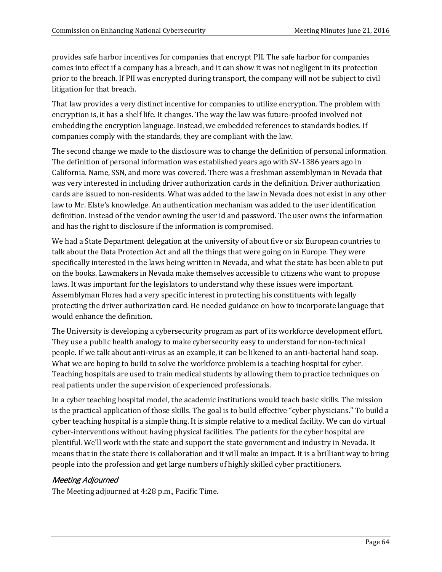provides safe harbor incentives for companies that encrypt PII. The safe harbor for companies comes into effect if a company has a breach, and it can show it was not negligent in its protection prior to the breach. If PII was encrypted during transport, the company will not be subject to civil litigation for that breach.

That law provides a very distinct incentive for companies to utilize encryption. The problem with encryption is, it has a shelf life. It changes. The way the law was future-proofed involved not embedding the encryption language. Instead, we embedded references to standards bodies. If companies comply with the standards, they are compliant with the law.

The second change we made to the disclosure was to change the definition of personal information. The definition of personal information was established years ago with SV-1386 years ago in California. Name, SSN, and more was covered. There was a freshman assemblyman in Nevada that was very interested in including driver authorization cards in the definition. Driver authorization cards are issued to non-residents. What was added to the law in Nevada does not exist in any other law to Mr. Elste's knowledge. An authentication mechanism was added to the user identification definition. Instead of the vendor owning the user id and password. The user owns the information and has the right to disclosure if the information is compromised.

We had a State Department delegation at the university of about five or six European countries to talk about the Data Protection Act and all the things that were going on in Europe. They were specifically interested in the laws being written in Nevada, and what the state has been able to put on the books. Lawmakers in Nevada make themselves accessible to citizens who want to propose laws. It was important for the legislators to understand why these issues were important. Assemblyman Flores had a very specific interest in protecting his constituents with legally protecting the driver authorization card. He needed guidance on how to incorporate language that would enhance the definition.

The University is developing a cybersecurity program as part of its workforce development effort. They use a public health analogy to make cybersecurity easy to understand for non-technical people. If we talk about anti-virus as an example, it can be likened to an anti-bacterial hand soap. What we are hoping to build to solve the workforce problem is a teaching hospital for cyber. Teaching hospitals are used to train medical students by allowing them to practice techniques on real patients under the supervision of experienced professionals.

In a cyber teaching hospital model, the academic institutions would teach basic skills. The mission is the practical application of those skills. The goal is to build effective "cyber physicians." To build a cyber teaching hospital is a simple thing. It is simple relative to a medical facility. We can do virtual cyber-interventions without having physical facilities. The patients for the cyber hospital are plentiful. We'll work with the state and support the state government and industry in Nevada. It means that in the state there is collaboration and it will make an impact. It is a brilliant way to bring people into the profession and get large numbers of highly skilled cyber practitioners.

# Meeting Adjourned

The Meeting adjourned at 4:28 p.m., Pacific Time.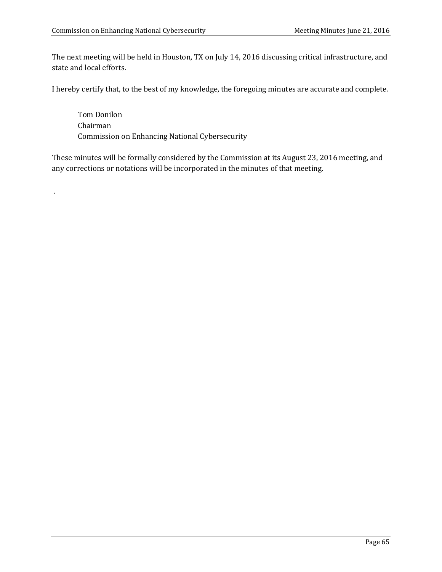.

The next meeting will be held in Houston, TX on July 14, 2016 discussing critical infrastructure, and state and local efforts.

I hereby certify that, to the best of my knowledge, the foregoing minutes are accurate and complete.

Tom Donilon Chairman Commission on Enhancing National Cybersecurity

These minutes will be formally considered by the Commission at its August 23, 2016 meeting, and any corrections or notations will be incorporated in the minutes of that meeting.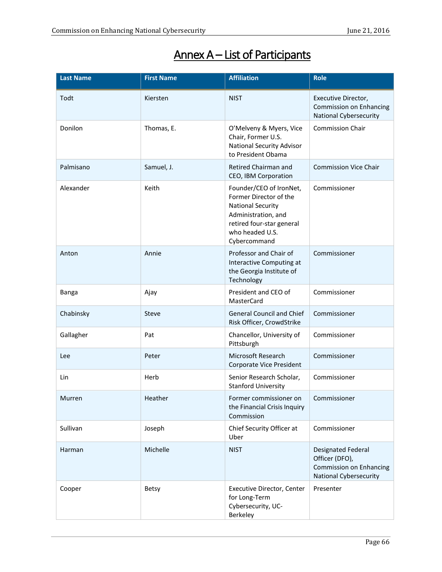| <b>Last Name</b> | <b>First Name</b> | <b>Affiliation</b>                                                                                                                                                   | <b>Role</b>                                                                                             |
|------------------|-------------------|----------------------------------------------------------------------------------------------------------------------------------------------------------------------|---------------------------------------------------------------------------------------------------------|
| Todt             | Kiersten          | <b>NIST</b>                                                                                                                                                          | Executive Director,<br><b>Commission on Enhancing</b><br><b>National Cybersecurity</b>                  |
| Donilon          | Thomas, E.        | O'Melveny & Myers, Vice<br>Chair, Former U.S.<br><b>National Security Advisor</b><br>to President Obama                                                              | <b>Commission Chair</b>                                                                                 |
| Palmisano        | Samuel, J.        | Retired Chairman and<br>CEO, IBM Corporation                                                                                                                         | <b>Commission Vice Chair</b>                                                                            |
| Alexander        | Keith             | Founder/CEO of IronNet,<br>Former Director of the<br><b>National Security</b><br>Administration, and<br>retired four-star general<br>who headed U.S.<br>Cybercommand | Commissioner                                                                                            |
| Anton            | Annie             | Professor and Chair of<br>Interactive Computing at<br>the Georgia Institute of<br>Technology                                                                         | Commissioner                                                                                            |
| Banga            | Ajay              | President and CEO of<br>MasterCard                                                                                                                                   | Commissioner                                                                                            |
| Chabinsky        | Steve             | <b>General Council and Chief</b><br>Risk Officer, CrowdStrike                                                                                                        | Commissioner                                                                                            |
| Gallagher        | Pat               | Chancellor, University of<br>Pittsburgh                                                                                                                              | Commissioner                                                                                            |
| Lee              | Peter             | Microsoft Research<br>Corporate Vice President                                                                                                                       | Commissioner                                                                                            |
| Lin              | Herb              | Senior Research Scholar,<br><b>Stanford University</b>                                                                                                               | Commissioner                                                                                            |
| Murren           | Heather           | Former commissioner on<br>the Financial Crisis Inquiry<br>Commission                                                                                                 | Commissioner                                                                                            |
| Sullivan         | Joseph            | Chief Security Officer at<br>Uber                                                                                                                                    | Commissioner                                                                                            |
| Harman           | Michelle          | <b>NIST</b>                                                                                                                                                          | Designated Federal<br>Officer (DFO),<br><b>Commission on Enhancing</b><br><b>National Cybersecurity</b> |
| Cooper           | <b>Betsy</b>      | Executive Director, Center<br>for Long-Term<br>Cybersecurity, UC-<br>Berkeley                                                                                        | Presenter                                                                                               |

# Annex A – List of Participants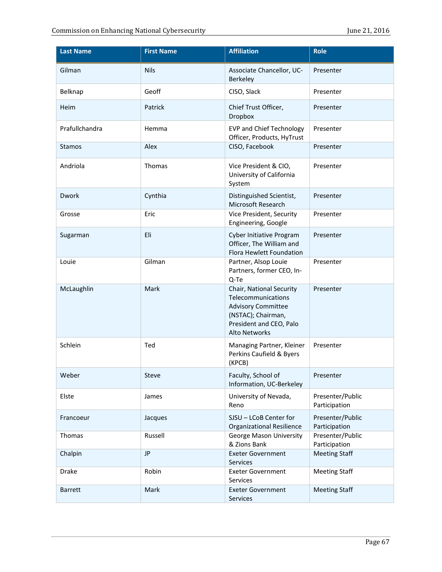| <b>Last Name</b> | <b>First Name</b> | <b>Affiliation</b>                                                                                                                                   | <b>Role</b>                       |
|------------------|-------------------|------------------------------------------------------------------------------------------------------------------------------------------------------|-----------------------------------|
| Gilman           | <b>Nils</b>       | Associate Chancellor, UC-<br>Berkeley                                                                                                                | Presenter                         |
| Belknap          | Geoff             | CISO, Slack                                                                                                                                          | Presenter                         |
| Heim             | Patrick           | Chief Trust Officer,<br>Dropbox                                                                                                                      | Presenter                         |
| Prafullchandra   | Hemma             | <b>EVP and Chief Technology</b><br>Officer, Products, HyTrust                                                                                        | Presenter                         |
| <b>Stamos</b>    | Alex              | CISO, Facebook                                                                                                                                       | Presenter                         |
| Andriola         | Thomas            | Vice President & CIO,<br>University of California<br>System                                                                                          | Presenter                         |
| Dwork            | Cynthia           | Distinguished Scientist,<br>Microsoft Research                                                                                                       | Presenter                         |
| Grosse           | Eric              | Vice President, Security<br>Engineering, Google                                                                                                      | Presenter                         |
| Sugarman         | Eli               | <b>Cyber Initiative Program</b><br>Officer, The William and<br>Flora Hewlett Foundation                                                              | Presenter                         |
| Louie            | Gilman            | Partner, Alsop Louie<br>Partners, former CEO, In-<br>Q-Te                                                                                            | Presenter                         |
| McLaughlin       | Mark              | Chair, National Security<br>Telecommunications<br><b>Advisory Committee</b><br>(NSTAC); Chairman,<br>President and CEO, Palo<br><b>Alto Networks</b> | Presenter                         |
| Schlein          | Ted               | Managing Partner, Kleiner<br>Perkins Caufield & Byers<br>(KPCB)                                                                                      | Presenter                         |
| Weber            | Steve             | Faculty, School of<br>Information, UC-Berkeley                                                                                                       | Presenter                         |
| Elste            | James             | University of Nevada,<br>Reno                                                                                                                        | Presenter/Public<br>Participation |
| Francoeur        | Jacques           | SJSU - LCoB Center for<br><b>Organizational Resilience</b>                                                                                           | Presenter/Public<br>Participation |
| Thomas           | Russell           | <b>George Mason University</b><br>& Zions Bank                                                                                                       | Presenter/Public<br>Participation |
| Chalpin          | <b>JP</b>         | <b>Exeter Government</b><br>Services                                                                                                                 | <b>Meeting Staff</b>              |
| Drake            | Robin             | <b>Exeter Government</b><br>Services                                                                                                                 | <b>Meeting Staff</b>              |
| <b>Barrett</b>   | Mark              | <b>Exeter Government</b><br>Services                                                                                                                 | <b>Meeting Staff</b>              |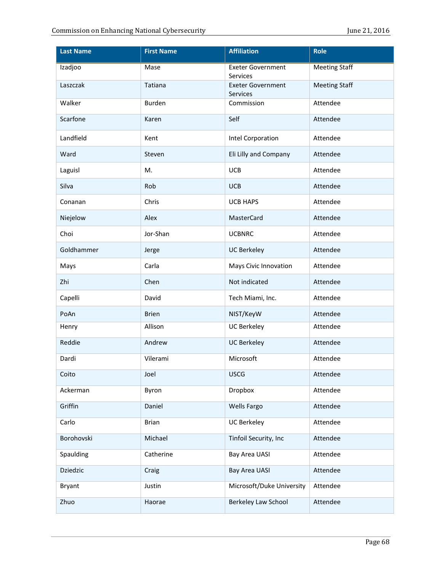| <b>Last Name</b> | <b>First Name</b> | <b>Affiliation</b>                   | <b>Role</b>          |
|------------------|-------------------|--------------------------------------|----------------------|
| Izadjoo          | <b>Mase</b>       | <b>Exeter Government</b><br>Services | <b>Meeting Staff</b> |
| Laszczak         | Tatiana           | <b>Exeter Government</b><br>Services | <b>Meeting Staff</b> |
| Walker           | Burden            | Commission                           | Attendee             |
| Scarfone         | Karen             | Self                                 | Attendee             |
| Landfield        | Kent              | Intel Corporation                    | Attendee             |
| Ward             | Steven            | Eli Lilly and Company                | Attendee             |
| Laguisl          | M.                | <b>UCB</b>                           | Attendee             |
| Silva            | Rob               | <b>UCB</b>                           | Attendee             |
| Conanan          | Chris             | <b>UCB HAPS</b>                      | Attendee             |
| Niejelow         | Alex              | <b>MasterCard</b>                    | Attendee             |
| Choi             | Jor-Shan          | <b>UCBNRC</b>                        | Attendee             |
| Goldhammer       | Jerge             | <b>UC Berkeley</b>                   | Attendee             |
| Mays             | Carla             | Mays Civic Innovation                | Attendee             |
| Zhi              | Chen              | Not indicated                        | Attendee             |
| Capelli          | David             | Tech Miami, Inc.                     | Attendee             |
| PoAn             | <b>Brien</b>      | NIST/KeyW                            | Attendee             |
| Henry            | Allison           | <b>UC Berkeley</b>                   | Attendee             |
| Reddie           | Andrew            | <b>UC Berkeley</b>                   | Attendee             |
| Dardi            | Vilerami          | Microsoft                            | Attendee             |
| Coito            | Joel              | <b>USCG</b>                          | Attendee             |
| Ackerman         | Byron             | Dropbox                              | Attendee             |
| Griffin          | Daniel            | Wells Fargo                          | Attendee             |
| Carlo            | <b>Brian</b>      | <b>UC Berkeley</b>                   | Attendee             |
| Borohovski       | Michael           | Tinfoil Security, Inc                | Attendee             |
| Spaulding        | Catherine         | Bay Area UASI                        | Attendee             |
| <b>Dziedzic</b>  | Craig             | <b>Bay Area UASI</b>                 | Attendee             |
| <b>Bryant</b>    | Justin            | Microsoft/Duke University            | Attendee             |
| Zhuo             | Haorae            | Berkeley Law School                  | Attendee             |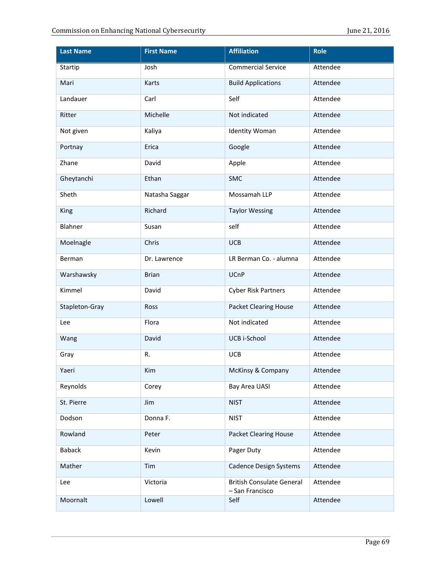| <b>Last Name</b> | <b>First Name</b> | <b>Affiliation</b>                                  | Role     |
|------------------|-------------------|-----------------------------------------------------|----------|
| <b>Startip</b>   | Josh              | <b>Commercial Service</b>                           | Attendee |
| Mari             | Karts             | <b>Build Applications</b>                           | Attendee |
| Landauer         | Carl              | Self                                                | Attendee |
| Ritter           | Michelle          | Not indicated                                       | Attendee |
| Not given        | Kaliya            | <b>Identity Woman</b>                               | Attendee |
| Portnay          | Erica             | Google                                              | Attendee |
| Zhane            | David             | Apple                                               | Attendee |
| Gheytanchi       | Ethan             | SMC                                                 | Attendee |
| Sheth            | Natasha Saggar    | Mossamah LLP                                        | Attendee |
| King             | Richard           | <b>Taylor Wessing</b>                               | Attendee |
| Blahner          | Susan             | self                                                | Attendee |
| Moelnagle        | Chris             | <b>UCB</b>                                          | Attendee |
| Berman           | Dr. Lawrence      | LR Berman Co. - alumna                              | Attendee |
| Warshawsky       | <b>Brian</b>      | <b>UCnP</b>                                         | Attendee |
| Kimmel           | David             | <b>Cyber Risk Partners</b>                          | Attendee |
| Stapleton-Gray   | Ross              | <b>Packet Clearing House</b>                        | Attendee |
| Lee              | Flora             | Not indicated                                       | Attendee |
| Wang             | David             | UCB i-School                                        | Attendee |
| Gray             | R.                | <b>UCB</b>                                          | Attendee |
| Yaeri            | Kim               | McKinsy & Company                                   | Attendee |
| Reynolds         | Corey             | Bay Area UASI                                       | Attendee |
| St. Pierre       | Jim               | <b>NIST</b>                                         | Attendee |
| Dodson           | Donna F.          | <b>NIST</b>                                         | Attendee |
| Rowland          | Peter             | <b>Packet Clearing House</b>                        | Attendee |
| <b>Baback</b>    | Kevin             | Pager Duty                                          | Attendee |
| Mather           | Tim               | <b>Cadence Design Systems</b>                       | Attendee |
| Lee              | Victoria          | <b>British Consulate General</b><br>- San Francisco | Attendee |
| Moornalt         | Lowell            | Self                                                | Attendee |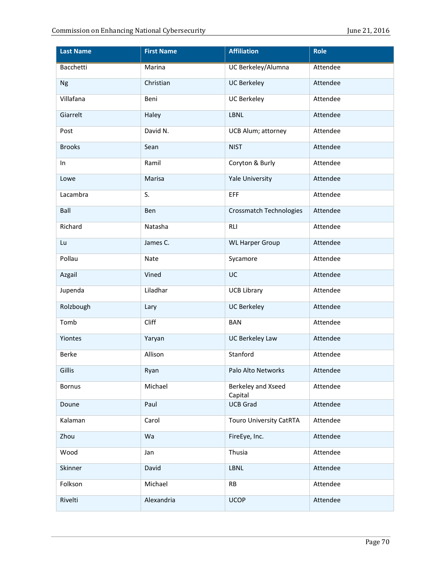| <b>Last Name</b> | <b>First Name</b> | <b>Affiliation</b>             | Role     |
|------------------|-------------------|--------------------------------|----------|
| <b>Bacchetti</b> | <b>Marina</b>     | <b>UC Berkeley/Alumna</b>      | Attendee |
| <b>Ng</b>        | Christian         | <b>UC Berkeley</b>             | Attendee |
| Villafana        | Beni              | <b>UC Berkeley</b>             | Attendee |
| Giarrelt         | Haley             | <b>LBNL</b>                    | Attendee |
| Post             | David N.          | UCB Alum; attorney             | Attendee |
| <b>Brooks</b>    | Sean              | <b>NIST</b>                    | Attendee |
| In               | Ramil             | Coryton & Burly                | Attendee |
| Lowe             | Marisa            | <b>Yale University</b>         | Attendee |
| Lacambra         | S.                | EFF                            | Attendee |
| Ball             | Ben               | <b>Crossmatch Technologies</b> | Attendee |
| Richard          | Natasha           | <b>RLI</b>                     | Attendee |
| Lu               | James C.          | <b>WL Harper Group</b>         | Attendee |
| Pollau           | Nate              | Sycamore                       | Attendee |
| Azgail           | Vined             | UC                             | Attendee |
| Jupenda          | Liladhar          | <b>UCB Library</b>             | Attendee |
| Rolzbough        | Lary              | <b>UC Berkeley</b>             | Attendee |
| Tomb             | Cliff             | <b>BAN</b>                     | Attendee |
| Yiontes          | Yaryan            | <b>UC Berkeley Law</b>         | Attendee |
| <b>Berke</b>     | Allison           | Stanford                       | Attendee |
| Gillis           | Ryan              | Palo Alto Networks             | Attendee |
| <b>Bornus</b>    | Michael           | Berkeley and Xseed<br>Capital  | Attendee |
| Doune            | Paul              | <b>UCB Grad</b>                | Attendee |
| Kalaman          | Carol             | <b>Touro University CatRTA</b> | Attendee |
| Zhou             | Wa                | FireEye, Inc.                  | Attendee |
| Wood             | Jan               | Thusia                         | Attendee |
| Skinner          | David             | LBNL                           | Attendee |
| Folkson          | Michael           | <b>RB</b>                      | Attendee |
| Rivelti          | Alexandria        | <b>UCOP</b>                    | Attendee |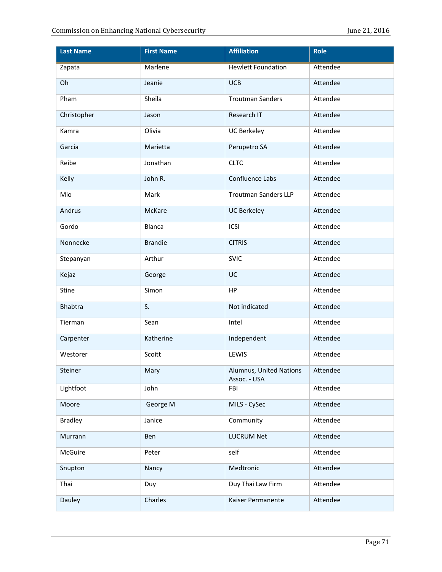| <b>Last Name</b> | <b>First Name</b> | <b>Affiliation</b>                      | Role     |
|------------------|-------------------|-----------------------------------------|----------|
| Zapata           | <b>Marlene</b>    | <b>Hewlett Foundation</b>               | Attendee |
| Oh               | Jeanie            | <b>UCB</b>                              | Attendee |
| Pham             | Sheila            | <b>Troutman Sanders</b>                 | Attendee |
| Christopher      | Jason             | Research IT                             | Attendee |
| Kamra            | Olivia            | <b>UC Berkeley</b>                      | Attendee |
| Garcia           | Marietta          | Perupetro SA                            | Attendee |
| Reibe            | Jonathan          | <b>CLTC</b>                             | Attendee |
| Kelly            | John R.           | Confluence Labs                         | Attendee |
| Mio              | Mark              | <b>Troutman Sanders LLP</b>             | Attendee |
| Andrus           | McKare            | <b>UC Berkeley</b>                      | Attendee |
| Gordo            | Blanca            | ICSI                                    | Attendee |
| Nonnecke         | <b>Brandie</b>    | <b>CITRIS</b>                           | Attendee |
| Stepanyan        | Arthur            | <b>SVIC</b>                             | Attendee |
| Kejaz            | George            | UC                                      | Attendee |
| Stine            | Simon             | HP                                      | Attendee |
| <b>Bhabtra</b>   | S.                | Not indicated                           | Attendee |
| Tierman          | Sean              | Intel                                   | Attendee |
| Carpenter        | Katherine         | Independent                             | Attendee |
| Westorer         | Scoitt            | LEWIS                                   | Attendee |
| Steiner          | Mary              | Alumnus, United Nations<br>Assoc. - USA | Attendee |
| Lightfoot        | John              | FBI                                     | Attendee |
| Moore            | George M          | MILS - CySec                            | Attendee |
| <b>Bradley</b>   | Janice            | Community                               | Attendee |
| Murrann          | Ben               | <b>LUCRUM Net</b>                       | Attendee |
| McGuire          | Peter             | self                                    | Attendee |
| Snupton          | Nancy             | Medtronic                               | Attendee |
| Thai             | Duy               | Duy Thai Law Firm                       | Attendee |
| Dauley           | Charles           | Kaiser Permanente                       | Attendee |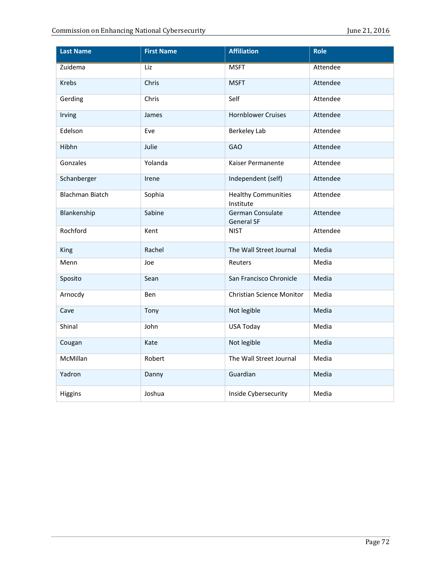| <b>Last Name</b>       | <b>First Name</b> | <b>Affiliation</b>                      | <b>Role</b> |
|------------------------|-------------------|-----------------------------------------|-------------|
| Zuidema                | Liz               | <b>MSFT</b>                             | Attendee    |
| <b>Krebs</b>           | Chris             | <b>MSFT</b>                             | Attendee    |
| Gerding                | Chris             | Self                                    | Attendee    |
| Irving                 | James             | <b>Hornblower Cruises</b>               | Attendee    |
| Edelson                | Eve               | <b>Berkeley Lab</b>                     | Attendee    |
| Hibhn                  | Julie             | <b>GAO</b>                              | Attendee    |
| Gonzales               | Yolanda           | Kaiser Permanente                       | Attendee    |
| Schanberger            | Irene             | Independent (self)                      | Attendee    |
| <b>Blachman Biatch</b> | Sophia            | <b>Healthy Communities</b><br>Institute | Attendee    |
| Blankenship            | Sabine            | German Consulate<br><b>General SF</b>   | Attendee    |
| Rochford               | Kent              | <b>NIST</b>                             | Attendee    |
| King                   | Rachel            | The Wall Street Journal                 | Media       |
| Menn                   | Joe               | Reuters                                 | Media       |
| Sposito                | Sean              | San Francisco Chronicle                 | Media       |
| Arnocdy                | Ben               | <b>Christian Science Monitor</b>        | Media       |
| Cave                   | Tony              | Not legible                             | Media       |
| Shinal                 | John              | <b>USA Today</b>                        | Media       |
| Cougan                 | Kate              | Not legible                             | Media       |
| McMillan               | Robert            | The Wall Street Journal                 | Media       |
| Yadron                 | Danny             | Guardian                                | Media       |
| Higgins                | Joshua            | Inside Cybersecurity                    | Media       |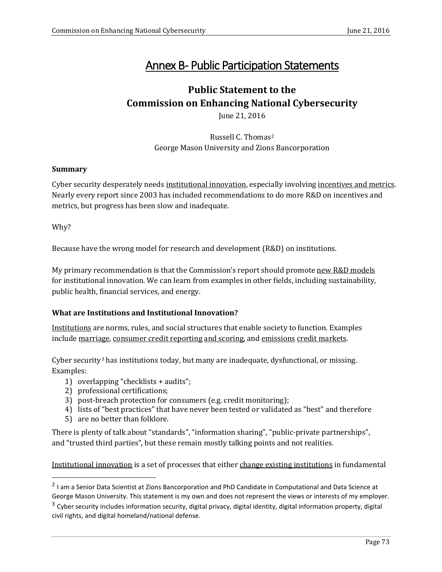# Annex B- Public Participation Statements

# **Public Statement to the Commission on Enhancing National Cybersecurity**

June 21, 2016

Russell C. Thomas[2](#page-72-0) George Mason University and Zions Bancorporation

### **Summary**

Cyber security desperately needs institutional innovation, especially involving incentives and metrics. Nearly every report since 2003 has included recommendations to do more R&D on incentives and metrics, but progress has been slow and inadequate.

Why?

Because have the wrong model for research and development (R&D) on institutions.

My primary recommendation is that the Commission's report should promote new R&D models for institutional innovation. We can learn from examples in other fields, including sustainability, public health, financial services, and energy.

# **What are Institutions and Institutional Innovation?**

Institutions are norms, rules, and social structures that enable society to function. Examples include marriage, consumer credit reporting and scoring, and emissions credit markets.

Cyber security[3](#page-72-1) has institutions today, but many are inadequate, dysfunctional, or missing. Examples:

- 1) overlapping "checklists + audits";
- 2) professional certifications;
- 3) post-breach protection for consumers (e.g. credit monitoring);
- 4) lists of "best practices" that have never been tested or validated as "best" and therefore
- 5) are no better than folklore.

There is plenty of talk about "standards", "information sharing", "public-private partnerships", and "trusted third parties", but these remain mostly talking points and not realities.

Institutional innovation is a set of processes that either change existing institutions in fundamental

<span id="page-72-0"></span><sup>2</sup> I am a Senior Data Scientist at Zions Bancorporation and PhD Candidate in Computational and Data Science at George Mason University. This statement is my own and does not represent the views or interests of my employer.

<span id="page-72-1"></span> $3$  Cyber security includes information security, digital privacy, digital identity, digital information property, digital civil rights, and digital homeland/national defense.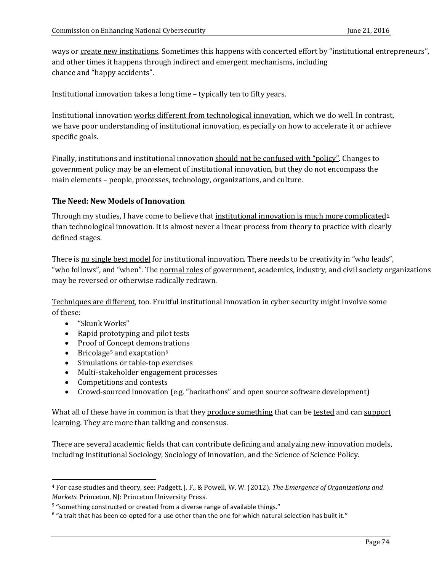ways or create new institutions. Sometimes this happens with concerted effort by "institutional entrepreneurs", and other times it happens through indirect and emergent mechanisms, including chance and "happy accidents".

Institutional innovation takes a long time – typically ten to fifty years.

Institutional innovation works different from technological innovation, which we do well. In contrast, we have poor understanding of institutional innovation, especially on how to accelerate it or achieve specific goals.

Finally, institutions and institutional innovation should not be confused with "policy". Changes to government policy may be an element of institutional innovation, but they do not encompass the main elements – people, processes, technology, organizations, and culture.

# **The Need: New Models of Innovation**

Through my studies, I have come to believe that institutional innovation is much more complicated $4$ than technological innovation. It is almost never a linear process from theory to practice with clearly defined stages.

There is no single best model for institutional innovation. There needs to be creativity in "who leads", "who follows", and "when". The normal roles of government, academics, industry, and civil society organizations may be reversed or otherwise radically redrawn.

Techniques are different, too. Fruitful institutional innovation in cyber security might involve some of these:

- "Skunk Works"
- Rapid prototyping and pilot tests
- Proof of Concept demonstrations
- Bricolage<sup>[5](#page-73-1)</sup> and exaptation<sup>[6](#page-73-2)</sup>
- Simulations or table-top exercises
- Multi-stakeholder engagement processes
- Competitions and contests
- Crowd-sourced innovation (e.g. "hackathons" and open source software development)

What all of these have in common is that they produce something that can be tested and can support learning. They are more than talking and consensus.

There are several academic fields that can contribute defining and analyzing new innovation models, including Institutional Sociology, Sociology of Innovation, and the Science of Science Policy.

<span id="page-73-0"></span> <sup>4</sup> For case studies and theory, see: Padgett, J. F., & Powell, W. W. (2012). *The Emergence of Organizations and Markets*. Princeton, NJ: Princeton University Press.

<span id="page-73-1"></span><sup>&</sup>lt;sup>5</sup> "something constructed or created from a diverse range of available things."

<span id="page-73-2"></span> $6$  "a trait that has been co-opted for a use other than the one for which natural selection has built it."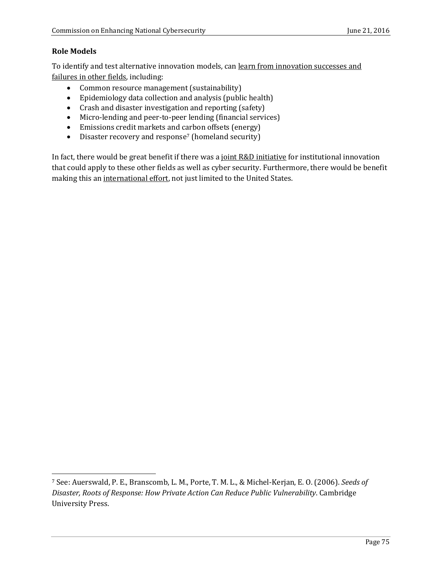# **Role Models**

To identify and test alternative innovation models, can learn from innovation successes and failures in other fields, including:

- Common resource management (sustainability)
- Epidemiology data collection and analysis (public health)
- Crash and disaster investigation and reporting (safety)
- Micro-lending and peer-to-peer lending (financial services)
- Emissions credit markets and carbon offsets (energy)
- Disaster recovery and response<sup>[7](#page-74-0)</sup> (homeland security)

In fact, there would be great benefit if there was a joint R&D initiative for institutional innovation that could apply to these other fields as well as cyber security. Furthermore, there would be benefit making this an international effort, not just limited to the United States.

<span id="page-74-0"></span> <sup>7</sup> See: Auerswald, P. E., Branscomb, L. M., Porte, T. M. L., & Michel-Kerjan, E. O. (2006). *Seeds of Disaster, Roots of Response: How Private Action Can Reduce Public Vulnerability*. Cambridge University Press.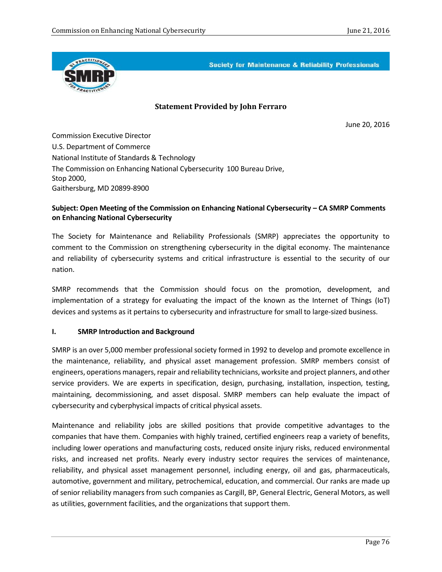

**Society for Maintenance & Reliability Professionals** 

### **Statement Provided by John Ferraro**

June 20, 2016

Commission Executive Director U.S. Department of Commerce National Institute of Standards & Technology The Commission on Enhancing National Cybersecurity 100 Bureau Drive, Stop 2000, Gaithersburg, MD 20899-8900

### **Subject: Open Meeting of the Commission on Enhancing National Cybersecurity – CA SMRP Comments on Enhancing National Cybersecurity**

The Society for Maintenance and Reliability Professionals (SMRP) appreciates the opportunity to comment to the Commission on strengthening cybersecurity in the digital economy. The maintenance and reliability of cybersecurity systems and critical infrastructure is essential to the security of our nation.

SMRP recommends that the Commission should focus on the promotion, development, and implementation of a strategy for evaluating the impact of the known as the Internet of Things (IoT) devices and systems as it pertains to cybersecurity and infrastructure for small to large-sized business.

#### **I. SMRP Introduction and Background**

SMRP is an over 5,000 member professional society formed in 1992 to develop and promote excellence in the maintenance, reliability, and physical asset management profession. SMRP members consist of engineers, operations managers, repair and reliability technicians, worksite and project planners, and other service providers. We are experts in specification, design, purchasing, installation, inspection, testing, maintaining, decommissioning, and asset disposal. SMRP members can help evaluate the impact of cybersecurity and cyberphysical impacts of critical physical assets.

Maintenance and reliability jobs are skilled positions that provide competitive advantages to the companies that have them. Companies with highly trained, certified engineers reap a variety of benefits, including lower operations and manufacturing costs, reduced onsite injury risks, reduced environmental risks, and increased net profits. Nearly every industry sector requires the services of maintenance, reliability, and physical asset management personnel, including energy, oil and gas, pharmaceuticals, automotive, government and military, petrochemical, education, and commercial. Our ranks are made up of senior reliability managers from such companies as Cargill, BP, General Electric, General Motors, as well as utilities, government facilities, and the organizations that support them.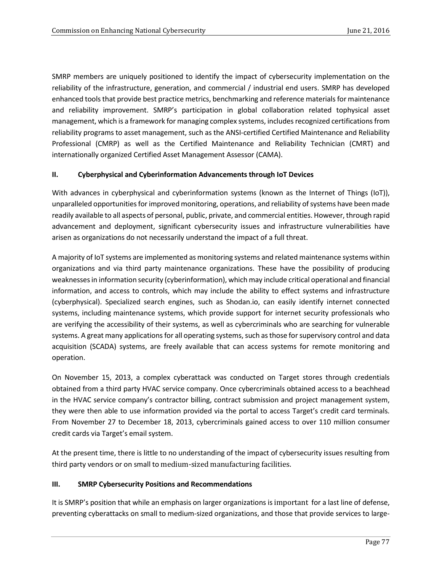SMRP members are uniquely positioned to identify the impact of cybersecurity implementation on the reliability of the infrastructure, generation, and commercial / industrial end users. SMRP has developed enhanced tools that provide best practice metrics, benchmarking and reference materials for maintenance and reliability improvement. SMRP's participation in global collaboration related tophysical asset management, which is a framework for managing complex systems, includes recognized certifications from reliability programs to asset management, such as the ANSI-certified Certified Maintenance and Reliability Professional (CMRP) as well as the Certified Maintenance and Reliability Technician (CMRT) and internationally organized Certified Asset Management Assessor (CAMA).

#### **II. Cyberphysical and Cyberinformation Advancements through IoT Devices**

With advances in cyberphysical and cyberinformation systems (known as the Internet of Things (IoT)), unparalleled opportunities for improved monitoring, operations, and reliability of systems have been made readily available to all aspects of personal, public, private, and commercial entities. However, through rapid advancement and deployment, significant cybersecurity issues and infrastructure vulnerabilities have arisen as organizations do not necessarily understand the impact of a full threat.

A majority of IoT systems are implemented as monitoring systems and related maintenance systems within organizations and via third party maintenance organizations. These have the possibility of producing weaknesses in information security (cyberinformation), which may include critical operational and financial information, and access to controls, which may include the ability to effect systems and infrastructure (cyberphysical). Specialized search engines, such as Shodan.io, can easily identify internet connected systems, including maintenance systems, which provide support for internet security professionals who are verifying the accessibility of their systems, as well as cybercriminals who are searching for vulnerable systems. A great many applications for all operating systems, such as those for supervisory control and data acquisition (SCADA) systems, are freely available that can access systems for remote monitoring and operation.

On November 15, 2013, a complex cyberattack was conducted on Target stores through credentials obtained from a third party HVAC service company. Once cybercriminals obtained access to a beachhead in the HVAC service company's contractor billing, contract submission and project management system, they were then able to use information provided via the portal to access Target's credit card terminals. From November 27 to December 18, 2013, cybercriminals gained access to over 110 million consumer credit cards via Target's email system.

At the present time, there is little to no understanding of the impact of cybersecurity issues resulting from third party vendors or on small to medium-sized manufacturing facilities.

#### **III. SMRP Cybersecurity Positions and Recommendations**

It is SMRP's position that while an emphasis on larger organizations is important for a last line of defense, preventing cyberattacks on small to medium-sized organizations, and those that provide services to large